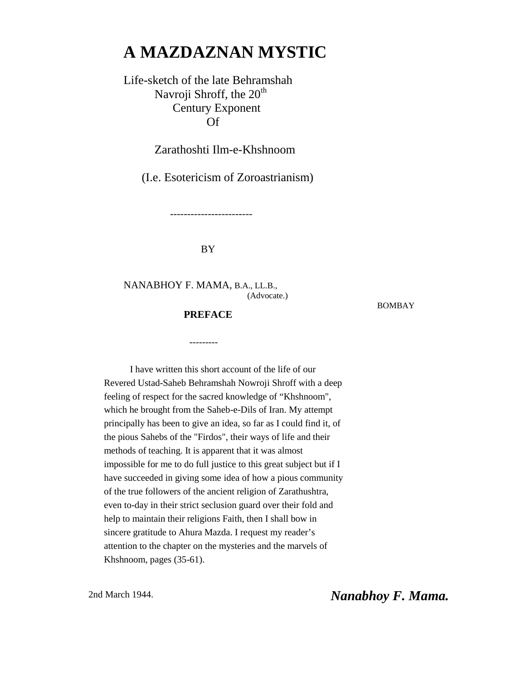# **A MAZDAZNAN MYSTIC**

## Life-sketch of the late Behramshah Navroji Shroff, the  $20<sup>th</sup>$  Century Exponent Of

Zarathoshti Ilm-e-Khshnoom

(I.e. Esotericism of Zoroastrianism)

------------------------

#### BY

NANABHOY F. MAMA, B.A., LL.B., (Advocate.)

BOMBAY

 **PREFACE**

---------

I have written this short account of the life of our Revered Ustad-Saheb Behramshah Nowroji Shroff with a deep feeling of respect for the sacred knowledge of "Khshnoom", which he brought from the Saheb-e-Dils of Iran. My attempt principally has been to give an idea, so far as I could find it, of the pious Sahebs of the "Firdos", their ways of life and their methods of teaching. It is apparent that it was almost impossible for me to do full justice to this great subject but if I have succeeded in giving some idea of how a pious community of the true followers of the ancient religion of Zarathushtra, even to-day in their strict seclusion guard over their fold and help to maintain their religions Faith, then I shall bow in sincere gratitude to Ahura Mazda. I request my reader's attention to the chapter on the mysteries and the marvels of Khshnoom, pages (35-61).

2nd March 1944. *Nanabhoy F. Mama.*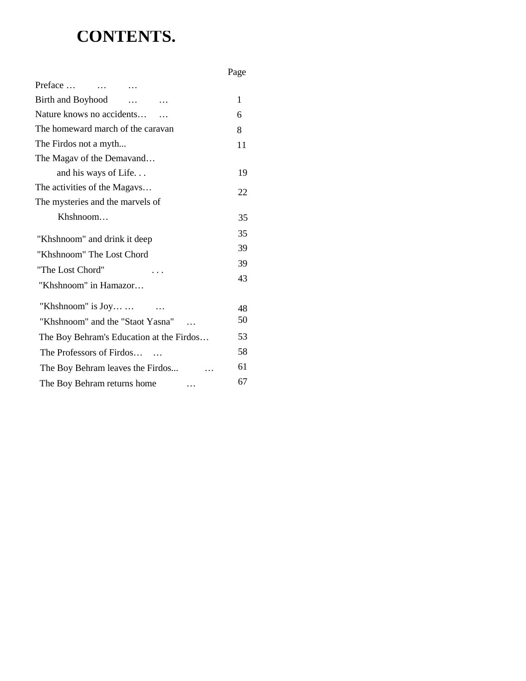# **CONTENTS.**

|                                          | Page |
|------------------------------------------|------|
| Preface<br>$\cdots$                      |      |
| Birth and Boyhood                        | 1    |
| Nature knows no accidents                | 6    |
| The homeward march of the caravan        | 8    |
| The Firdos not a myth                    | 11   |
| The Magav of the Demavand                |      |
| and his ways of Life                     | 19   |
| The activities of the Magavs             | 22   |
| The mysteries and the marvels of         |      |
| Khshnoom                                 | 35   |
| "Khshnoom" and drink it deep             | 35   |
| "Khshnoom" The Lost Chord                | 39   |
| "The Lost Chord"                         | 39   |
| "Khshnoom" in Hamazor                    | 43   |
|                                          |      |
| "Khshnoom" is Joy                        | 48   |
| "Khshnoom" and the "Staot Yasna"         | 50   |
| The Boy Behram's Education at the Firdos | 53   |
| The Professors of Firdos                 | 58   |
| The Boy Behram leaves the Firdos         | 61   |
| The Boy Behram returns home              | 67   |
|                                          |      |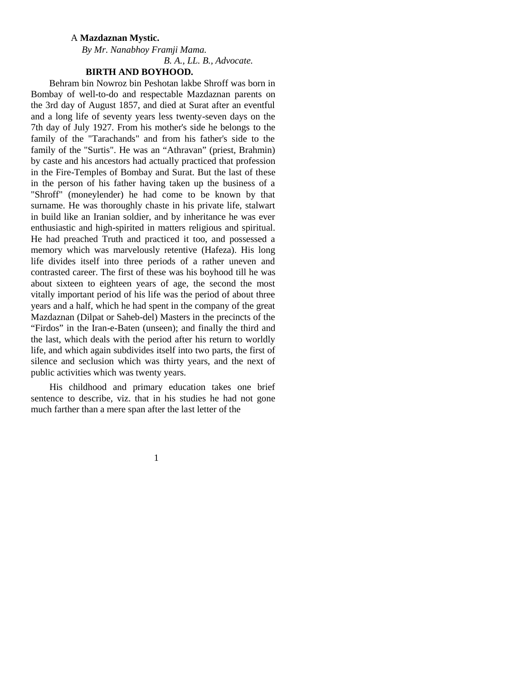#### A **Mazdaznan Mystic.**

#### *By Mr. Nanabhoy Framji Mama. B. A., LL. B., Advocate.* **BIRTH AND BOYHOOD.**

Behram bin Nowroz bin Peshotan lakbe Shroff was born in Bombay of well-to-do and respectable Mazdaznan parents on the 3rd day of August 1857, and died at Surat after an eventful and a long life of seventy years less twenty-seven days on the 7th day of July 1927. From his mother's side he belongs to the family of the "Tarachands" and from his father's side to the family of the "Surtis". He was an "Athravan" (priest, Brahmin) by caste and his ancestors had actually practiced that profession in the Fire-Temples of Bombay and Surat. But the last of these in the person of his father having taken up the business of a "Shroff" (moneylender) he had come to be known by that surname. He was thoroughly chaste in his private life, stalwart in build like an Iranian soldier, and by inheritance he was ever enthusiastic and high-spirited in matters religious and spiritual. He had preached Truth and practiced it too, and possessed a memory which was marvelously retentive (Hafeza). His long life divides itself into three periods of a rather uneven and contrasted career. The first of these was his boyhood till he was about sixteen to eighteen years of age, the second the most vitally important period of his life was the period of about three years and a half, which he had spent in the company of the great Mazdaznan (Dilpat or Saheb-del) Masters in the precincts of the "Firdos" in the Iran-e-Baten (unseen); and finally the third and the last, which deals with the period after his return to worldly life, and which again subdivides itself into two parts, the first of silence and seclusion which was thirty years, and the next of public activities which was twenty years.

His childhood and primary education takes one brief sentence to describe, viz. that in his studies he had not gone much farther than a mere span after the last letter of the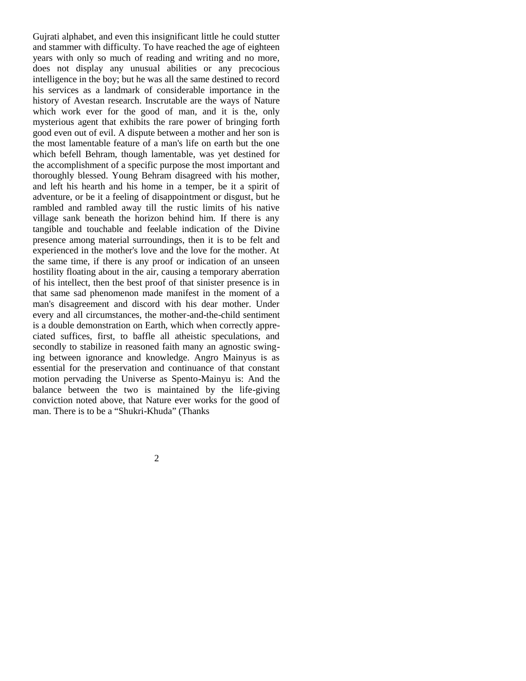Gujrati alphabet, and even this insignificant little he could stutter and stammer with difficulty. To have reached the age of eighteen years with only so much of reading and writing and no more, does not display any unusual abilities or any precocious intelligence in the boy; but he was all the same destined to record his services as a landmark of considerable importance in the history of Avestan research. Inscrutable are the ways of Nature which work ever for the good of man, and it is the, only mysterious agent that exhibits the rare power of bringing forth good even out of evil. A dispute between a mother and her son is the most lamentable feature of a man's life on earth but the one which befell Behram, though lamentable, was yet destined for the accomplishment of a specific purpose the most important and thoroughly blessed. Young Behram disagreed with his mother, and left his hearth and his home in a temper, be it a spirit of adventure, or be it a feeling of disappointment or disgust, but he rambled and rambled away till the rustic limits of his native village sank beneath the horizon behind him. If there is any tangible and touchable and feelable indication of the Divine presence among material surroundings, then it is to be felt and experienced in the mother's love and the love for the mother. At the same time, if there is any proof or indication of an unseen hostility floating about in the air, causing a temporary aberration of his intellect, then the best proof of that sinister presence is in that same sad phenomenon made manifest in the moment of a man's disagreement and discord with his dear mother. Under every and all circumstances, the mother-and-the-child sentiment is a double demonstration on Earth, which when correctly appreciated suffices, first, to baffle all atheistic speculations, and secondly to stabilize in reasoned faith many an agnostic swinging between ignorance and knowledge. Angro Mainyus is as essential for the preservation and continuance of that constant motion pervading the Universe as Spento-Mainyu is: And the balance between the two is maintained by the life-giving conviction noted above, that Nature ever works for the good of man. There is to be a "Shukri-Khuda" (Thanks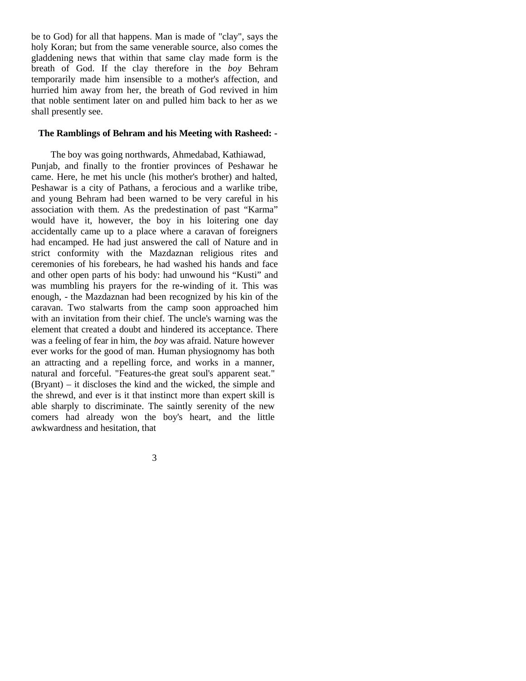be to God) for all that happens. Man is made of "clay", says the holy Koran; but from the same venerable source, also comes the gladdening news that within that same clay made form is the breath of God. If the clay therefore in the *boy* Behram temporarily made him insensible to a mother's affection, and hurried him away from her, the breath of God revived in him that noble sentiment later on and pulled him back to her as we shall presently see.

#### **The Ramblings of Behram and his Meeting with Rasheed: -**

The boy was going northwards, Ahmedabad, Kathiawad, Punjab, and finally to the frontier provinces of Peshawar he came. Here, he met his uncle (his mother's brother) and halted, Peshawar is a city of Pathans, a ferocious and a warlike tribe, and young Behram had been warned to be very careful in his association with them. As the predestination of past "Karma" would have it, however, the boy in his loitering one day accidentally came up to a place where a caravan of foreigners had encamped. He had just answered the call of Nature and in strict conformity with the Mazdaznan religious rites and ceremonies of his forebears, he had washed his hands and face and other open parts of his body: had unwound his "Kusti" and was mumbling his prayers for the re-winding of it. This was enough, - the Mazdaznan had been recognized by his kin of the caravan. Two stalwarts from the camp soon approached him with an invitation from their chief. The uncle's warning was the element that created a doubt and hindered its acceptance. There was a feeling of fear in him, the *boy* was afraid. Nature however ever works for the good of man. Human physiognomy has both an attracting and a repelling force, and works in a manner, natural and forceful. "Features-the great soul's apparent seat." (Bryant) – it discloses the kind and the wicked, the simple and the shrewd, and ever is it that instinct more than expert skill is able sharply to discriminate. The saintly serenity of the new comers had already won the boy's heart, and the little awkwardness and hesitation, that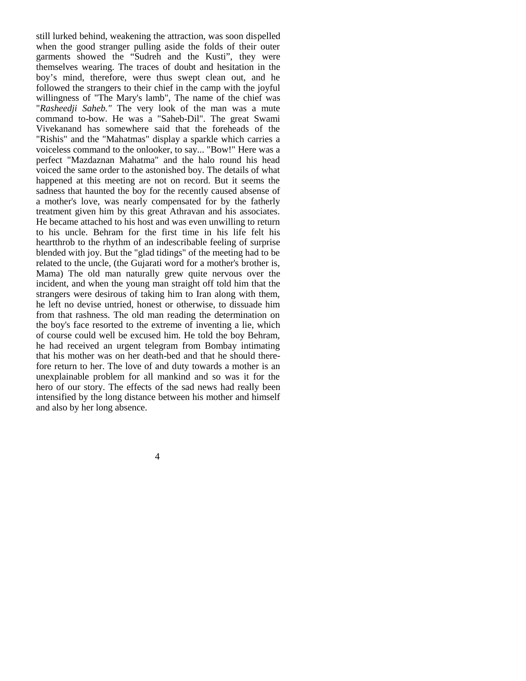still lurked behind, weakening the attraction, was soon dispelled when the good stranger pulling aside the folds of their outer garments showed the "Sudreh and the Kusti", they were themselves wearing. The traces of doubt and hesitation in the boy's mind, therefore, were thus swept clean out, and he followed the strangers to their chief in the camp with the joyful willingness of "The Mary's lamb", The name of the chief was "*Rasheedji Saheb."* The very look of the man was a mute command to-bow. He was a "Saheb-Dil". The great Swami Vivekanand has somewhere said that the foreheads of the "Rishis" and the "Mahatmas" display a sparkle which carries a voiceless command to the onlooker, to say... "Bow!" Here was a perfect "Mazdaznan Mahatma" and the halo round his head voiced the same order to the astonished boy. The details of what happened at this meeting are not on record. But it seems the sadness that haunted the boy for the recently caused absense of a mother's love, was nearly compensated for by the fatherly treatment given him by this great Athravan and his associates. He became attached to his host and was even unwilling to return to his uncle. Behram for the first time in his life felt his heartthrob to the rhythm of an indescribable feeling of surprise blended with joy. But the "glad tidings" of the meeting had to be related to the uncle, (the Gujarati word for a mother's brother is, Mama) The old man naturally grew quite nervous over the incident, and when the young man straight off told him that the strangers were desirous of taking him to Iran along with them, he left no devise untried, honest or otherwise, to dissuade him from that rashness. The old man reading the determination on the boy's face resorted to the extreme of inventing a lie, which of course could well be excused him. He told the boy Behram, he had received an urgent telegram from Bombay intimating that his mother was on her death-bed and that he should therefore return to her. The love of and duty towards a mother is an unexplainable problem for all mankind and so was it for the hero of our story. The effects of the sad news had really been intensified by the long distance between his mother and himself and also by her long absence.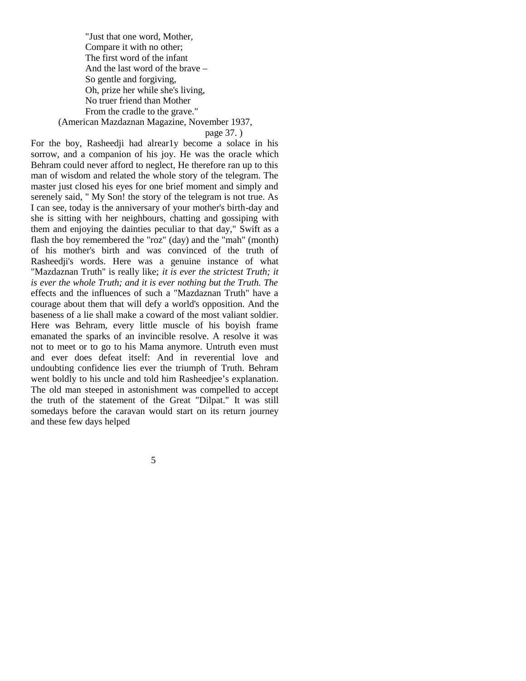"Just that one word, Mother, Compare it with no other; The first word of the infant And the last word of the brave – So gentle and forgiving, Oh, prize her while she's living, No truer friend than Mother From the cradle to the grave." (American Mazdaznan Magazine, November 1937,

page 37. )

For the boy, Rasheedji had alrear1y become a solace in his sorrow, and a companion of his joy. He was the oracle which Behram could never afford to neglect, He therefore ran up to this man of wisdom and related the whole story of the telegram. The master just closed his eyes for one brief moment and simply and serenely said, " My Son! the story of the telegram is not true. As I can see, today is the anniversary of your mother's birth-day and she is sitting with her neighbours, chatting and gossiping with them and enjoying the dainties peculiar to that day," Swift as a flash the boy remembered the "roz" (day) and the "mah" (month) of his mother's birth and was convinced of the truth of Rasheedii's words. Here was a genuine instance of what "Mazdaznan Truth" is really like; *it is ever the strictest Truth; it is ever the whole Truth; and it is ever nothing but the Truth. The*  effects and the influences of such a "Mazdaznan Truth" have a courage about them that will defy a world's opposition. And the baseness of a lie shall make a coward of the most valiant soldier. Here was Behram, every little muscle of his boyish frame emanated the sparks of an invincible resolve. A resolve it was not to meet or to go to his Mama anymore. Untruth even must and ever does defeat itself: And in reverential love and undoubting confidence lies ever the triumph of Truth. Behram went boldly to his uncle and told him Rasheedjee's explanation. The old man steeped in astonishment was compelled to accept the truth of the statement of the Great "Dilpat." It was still somedays before the caravan would start on its return journey and these few days helped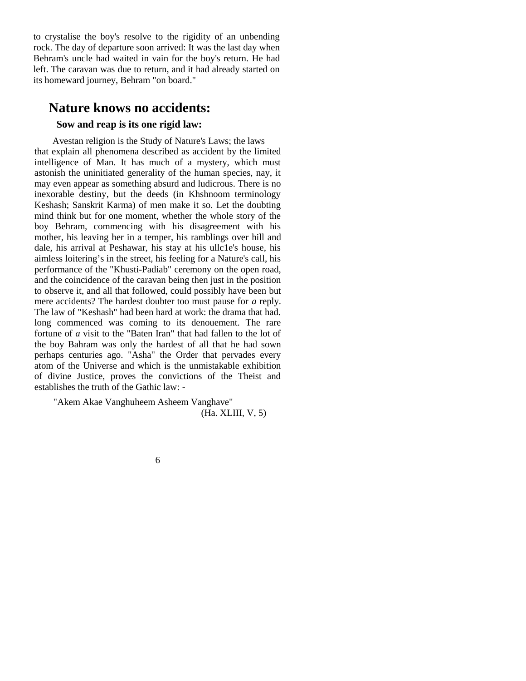to crystalise the boy's resolve to the rigidity of an unbending rock. The day of departure soon arrived: It was the last day when Behram's uncle had waited in vain for the boy's return. He had left. The caravan was due to return, and it had already started on its homeward journey, Behram "on board."

## **Nature knows no accidents:**

## **Sow and reap is its one rigid law:**

Avestan religion is the Study of Nature's Laws; the laws that explain all phenomena described as accident by the limited intelligence of Man. It has much of a mystery, which must astonish the uninitiated generality of the human species, nay, it may even appear as something absurd and ludicrous. There is no inexorable destiny, but the deeds (in Khshnoom terminology Keshash; Sanskrit Karma) of men make it so. Let the doubting mind think but for one moment, whether the whole story of the boy Behram, commencing with his disagreement with his mother, his leaving her in a temper, his ramblings over hill and dale, his arrival at Peshawar, his stay at his ullc1e's house, his aimless loitering's in the street, his feeling for a Nature's call, his performance of the "Khusti-Padiab" ceremony on the open road, and the coincidence of the caravan being then just in the position to observe it, and all that followed, could possibly have been but mere accidents? The hardest doubter too must pause for *a* reply. The law of "Keshash" had been hard at work: the drama that had. long commenced was coming to its denouement. The rare fortune of *a* visit to the "Baten Iran" that had fallen to the lot of the boy Bahram was only the hardest of all that he had sown perhaps centuries ago. "Asha" the Order that pervades every atom of the Universe and which is the unmistakable exhibition of divine Justice, proves the convictions of the Theist and establishes the truth of the Gathic law: -

"Akem Akae Vanghuheem Asheem Vanghave" (Ha. XLIII, V, 5)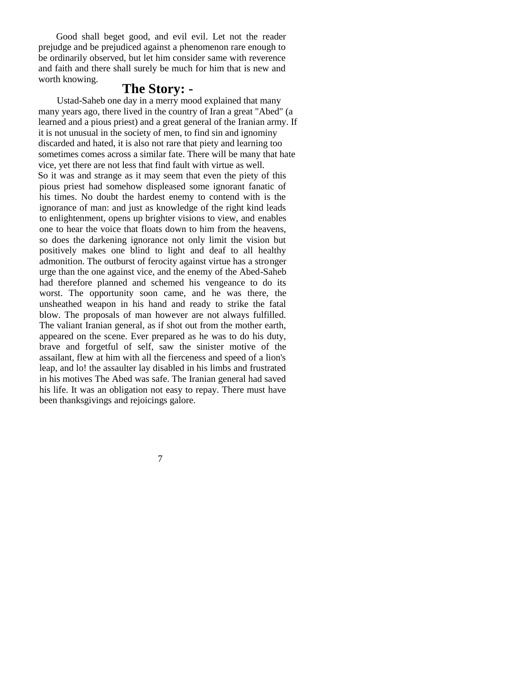Good shall beget good, and evil evil. Let not the reader prejudge and be prejudiced against a phenomenon rare enough to be ordinarily observed, but let him consider same with reverence and faith and there shall surely be much for him that is new and worth knowing.

## **The Story: -**

Ustad-Saheb one day in a merry mood explained that many many years ago, there lived in the country of Iran a great "Abed" (a learned and a pious priest) and a great general of the Iranian army. If it is not unusual in the society of men, to find sin and ignominy discarded and hated, it is also not rare that piety and learning too sometimes comes across a similar fate. There will be many that hate vice, yet there are not less that find fault with virtue as well. So it was and strange as it may seem that even the piety of this pious priest had somehow displeased some ignorant fanatic of his times. No doubt the hardest enemy to contend with is the ignorance of man: and just as knowledge of the right kind leads to enlightenment, opens up brighter visions to view, and enables one to hear the voice that floats down to him from the heavens, so does the darkening ignorance not only limit the vision but positively makes one blind to light and deaf to all healthy admonition. The outburst of ferocity against virtue has a stronger urge than the one against vice, and the enemy of the Abed-Saheb had therefore planned and schemed his vengeance to do its worst. The opportunity soon came, and he was there, the unsheathed weapon in his hand and ready to strike the fatal blow. The proposals of man however are not always fulfilled. The valiant Iranian general, as if shot out from the mother earth, appeared on the scene. Ever prepared as he was to do his duty, brave and forgetful of self, saw the sinister motive of the assailant, flew at him with all the fierceness and speed of a lion's leap, and lo! the assaulter lay disabled in his limbs and frustrated in his motives The Abed was safe. The Iranian general had saved his life. It was an obligation not easy to repay. There must have been thanksgivings and rejoicings galore.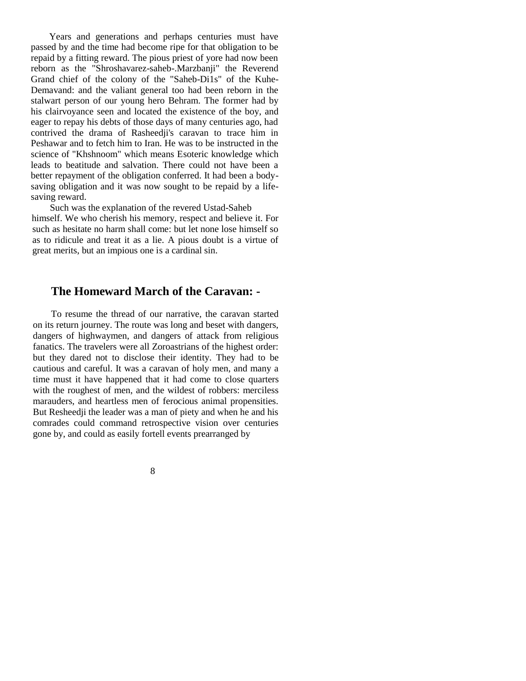Years and generations and perhaps centuries must have passed by and the time had become ripe for that obligation to be repaid by a fitting reward. The pious priest of yore had now been reborn as the "Shroshavarez-saheb-.Marzbanji" the Reverend Grand chief of the colony of the "Saheb-Di1s" of the Kuhe-Demavand: and the valiant general too had been reborn in the stalwart person of our young hero Behram. The former had by his clairvoyance seen and located the existence of the boy, and eager to repay his debts of those days of many centuries ago, had contrived the drama of Rasheedji's caravan to trace him in Peshawar and to fetch him to Iran. He was to be instructed in the science of "Khshnoom" which means Esoteric knowledge which leads to beatitude and salvation. There could not have been a better repayment of the obligation conferred. It had been a bodysaving obligation and it was now sought to be repaid by a lifesaving reward.

Such was the explanation of the revered Ustad-Saheb himself. We who cherish his memory, respect and believe it. For such as hesitate no harm shall come: but let none lose himself so as to ridicule and treat it as a lie. A pious doubt is a virtue of great merits, but an impious one is a cardinal sin.

## **The Homeward March of the Caravan: -**

To resume the thread of our narrative, the caravan started on its return journey. The route was long and beset with dangers, dangers of highwaymen, and dangers of attack from religious fanatics. The travelers were all Zoroastrians of the highest order: but they dared not to disclose their identity. They had to be cautious and careful. It was a caravan of holy men, and many a time must it have happened that it had come to close quarters with the roughest of men, and the wildest of robbers: merciless marauders, and heartless men of ferocious animal propensities. But Resheedji the leader was a man of piety and when he and his comrades could command retrospective vision over centuries gone by, and could as easily fortell events prearranged by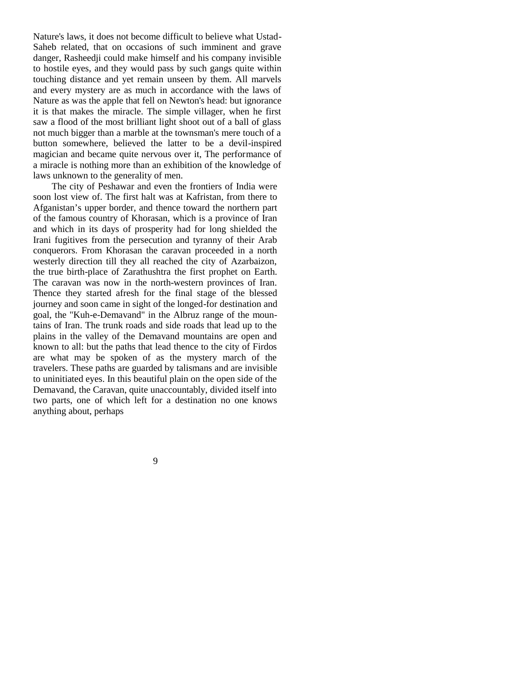Nature's laws, it does not become difficult to believe what Ustad-Saheb related, that on occasions of such imminent and grave danger, Rasheedji could make himself and his company invisible to hostile eyes, and they would pass by such gangs quite within touching distance and yet remain unseen by them. All marvels and every mystery are as much in accordance with the laws of Nature as was the apple that fell on Newton's head: but ignorance it is that makes the miracle. The simple villager, when he first saw a flood of the most brilliant light shoot out of a ball of glass not much bigger than a marble at the townsman's mere touch of a button somewhere, believed the latter to be a devil-inspired magician and became quite nervous over it, The performance of a miracle is nothing more than an exhibition of the knowledge of laws unknown to the generality of men.

The city of Peshawar and even the frontiers of India were soon lost view of. The first halt was at Kafristan, from there to Afganistan's upper border, and thence toward the northern part of the famous country of Khorasan, which is a province of Iran and which in its days of prosperity had for long shielded the Irani fugitives from the persecution and tyranny of their Arab conquerors. From Khorasan the caravan proceeded in a north westerly direction till they all reached the city of Azarbaizon, the true birth-place of Zarathushtra the first prophet on Earth. The caravan was now in the north-western provinces of Iran. Thence they started afresh for the final stage of the blessed journey and soon came in sight of the longed-for destination and goal, the "Kuh-e-Demavand" in the Albruz range of the mountains of Iran. The trunk roads and side roads that lead up to the plains in the valley of the Demavand mountains are open and known to all: but the paths that lead thence to the city of Firdos are what may be spoken of as the mystery march of the travelers. These paths are guarded by talismans and are invisible to uninitiated eyes. In this beautiful plain on the open side of the Demavand, the Caravan, quite unaccountably, divided itself into two parts, one of which left for a destination no one knows anything about, perhaps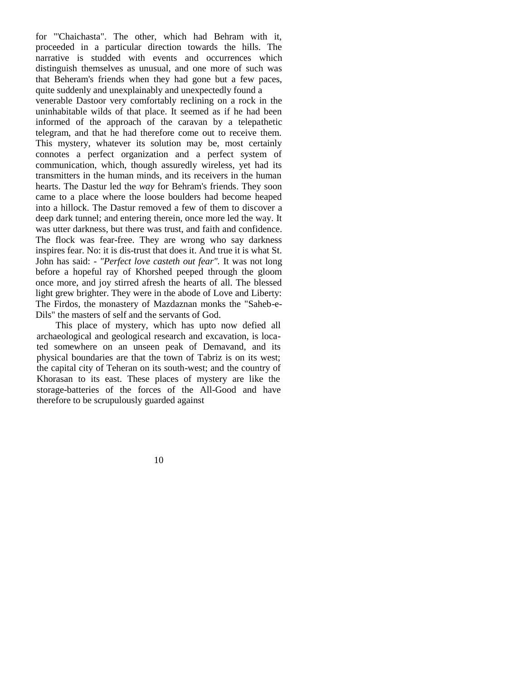for "'Chaichasta". The other, which had Behram with it, proceeded in a particular direction towards the hills. The narrative is studded with events and occurrences which distinguish themselves as unusual, and one more of such was that Beheram's friends when they had gone but a few paces, quite suddenly and unexplainably and unexpectedly found a venerable Dastoor very comfortably reclining on a rock in the uninhabitable wilds of that place. It seemed as if he had been informed of the approach of the caravan by a telepathetic telegram, and that he had therefore come out to receive them. This mystery, whatever its solution may be, most certainly connotes a perfect organization and a perfect system of communication, which, though assuredly wireless, yet had its transmitters in the human minds, and its receivers in the human hearts. The Dastur led the *way* for Behram's friends. They soon came to a place where the loose boulders had become heaped into a hillock. The Dastur removed a few of them to discover a deep dark tunnel; and entering therein, once more led the way. It was utter darkness, but there was trust, and faith and confidence. The flock was fear-free. They are wrong who say darkness inspires fear. No: it is dis-trust that does it. And true it is what St. John has said: - *"Perfect love casteth out fear".* It was not long before a hopeful ray of Khorshed peeped through the gloom once more, and joy stirred afresh the hearts of all. The blessed light grew brighter. They were in the abode of Love and Liberty: The Firdos, the monastery of Mazdaznan monks the "Saheb-e-Dils" the masters of self and the servants of God.

This place of mystery, which has upto now defied all archaeological and geological research and excavation, is located somewhere on an unseen peak of Demavand, and its physical boundaries are that the town of Tabriz is on its west; the capital city of Teheran on its south-west; and the country of Khorasan to its east. These places of mystery are like the storage-batteries of the forces of the All-Good and have therefore to be scrupulously guarded against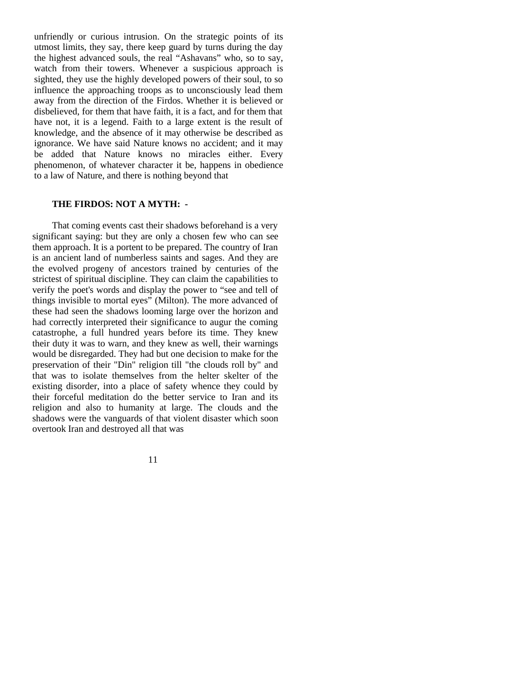unfriendly or curious intrusion. On the strategic points of its utmost limits, they say, there keep guard by turns during the day the highest advanced souls, the real "Ashavans" who, so to say, watch from their towers. Whenever a suspicious approach is sighted, they use the highly developed powers of their soul, to so influence the approaching troops as to unconsciously lead them away from the direction of the Firdos. Whether it is believed or disbelieved, for them that have faith, it is a fact, and for them that have not, it is a legend. Faith to a large extent is the result of knowledge, and the absence of it may otherwise be described as ignorance. We have said Nature knows no accident; and it may be added that Nature knows no miracles either. Every phenomenon, of whatever character it be, happens in obedience to a law of Nature, and there is nothing beyond that

#### **THE FIRDOS: NOT A MYTH: -**

That coming events cast their shadows beforehand is a very significant saying: but they are only a chosen few who can see them approach. It is a portent to be prepared. The country of Iran is an ancient land of numberless saints and sages. And they are the evolved progeny of ancestors trained by centuries of the strictest of spiritual discipline. They can claim the capabilities to verify the poet's words and display the power to "see and tell of things invisible to mortal eyes" (Milton). The more advanced of these had seen the shadows looming large over the horizon and had correctly interpreted their significance to augur the coming catastrophe, a full hundred years before its time. They knew their duty it was to warn, and they knew as well, their warnings would be disregarded. They had but one decision to make for the preservation of their "Din" religion till "the clouds roll by" and that was to isolate themselves from the helter skelter of the existing disorder, into a place of safety whence they could by their forceful meditation do the better service to Iran and its religion and also to humanity at large. The clouds and the shadows were the vanguards of that violent disaster which soon overtook Iran and destroyed all that was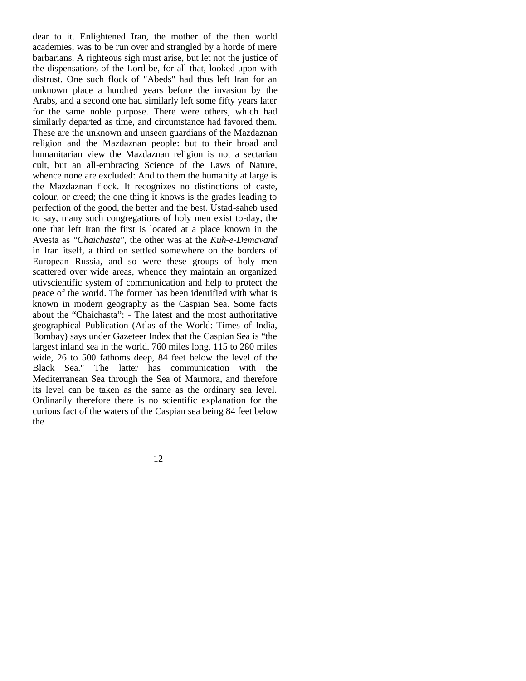dear to it. Enlightened Iran, the mother of the then world academies, was to be run over and strangled by a horde of mere barbarians. A righteous sigh must arise, but let not the justice of the dispensations of the Lord be, for all that, looked upon with distrust. One such flock of "Abeds" had thus left Iran for an unknown place a hundred years before the invasion by the Arabs, and a second one had similarly left some fifty years later for the same noble purpose. There were others, which had similarly departed as time, and circumstance had favored them. These are the unknown and unseen guardians of the Mazdaznan religion and the Mazdaznan people: but to their broad and humanitarian view the Mazdaznan religion is not a sectarian cult, but an all-embracing Science of the Laws of Nature, whence none are excluded: And to them the humanity at large is the Mazdaznan flock. It recognizes no distinctions of caste, colour, or creed; the one thing it knows is the grades leading to perfection of the good, the better and the best. Ustad-saheb used to say, many such congregations of holy men exist to-day, the one that left Iran the first is located at a place known in the Avesta as *"Chaichasta",* the other was at the *Kuh-e-Demavand*  in Iran itself, a third on settled somewhere on the borders of European Russia, and so were these groups of holy men scattered over wide areas, whence they maintain an organized utivscientific system of communication and help to protect the peace of the world. The former has been identified with what is known in modern geography as the Caspian Sea. Some facts about the "Chaichasta": - The latest and the most authoritative geographical Publication (Atlas of the World: Times of India, Bombay) says under Gazeteer Index that the Caspian Sea is "the largest inland sea in the world. 760 miles long, 115 to 280 miles wide, 26 to 500 fathoms deep, 84 feet below the level of the Black Sea." The latter has communication with the Mediterranean Sea through the Sea of Marmora, and therefore its level can be taken as the same as the ordinary sea level. Ordinarily therefore there is no scientific explanation for the curious fact of the waters of the Caspian sea being 84 feet below the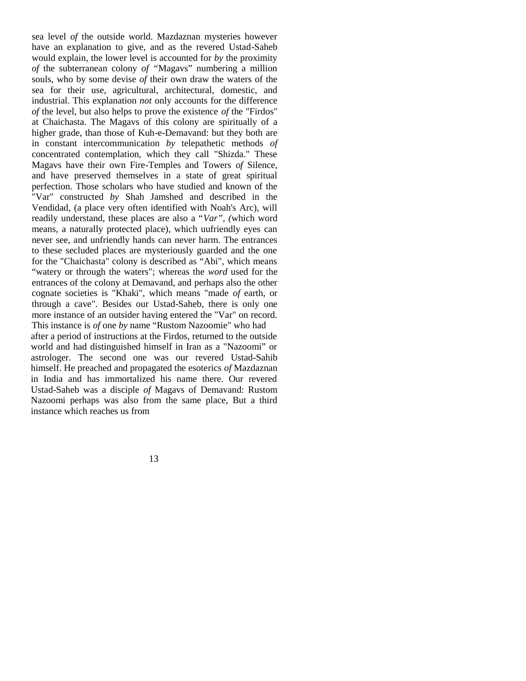sea level *of* the outside world. Mazdaznan mysteries however have an explanation to give, and as the revered Ustad-Saheb would explain, the lower level is accounted for *by* the proximity *of* the subterranean colony *of "*Magavs" numbering a million souls, who by some devise *of* their own draw the waters of the sea for their use, agricultural, architectural, domestic, and industrial. This explanation *not* only accounts for the difference *of* the level, but also helps to prove the existence *of* the "Firdos" at Chaichasta. The Magavs of this colony are spiritually of a higher grade, than those of Kuh-e-Demavand: but they both are in constant intercommunication *by* telepathetic methods *of*  concentrated contemplation, which they call "Shizda." These Magavs have their own Fire-Temples and Towers *of* Silence, and have preserved themselves in a state of great spiritual perfection. Those scholars who have studied and known of the "Var" constructed *by* Shah Jamshed and described in the Vendidad, (a place very often identified with Noah's Arc), will readily understand, these places are also a "*Var", (*which word means, a naturally protected place), which uufriendly eyes can never see, and unfriendly hands can never harm. The entrances to these secluded places are mysteriously guarded and the one for the "Chaichasta" colony is described as "Abi", which means "watery or through the waters"; whereas the *word* used for the entrances of the colony at Demavand, and perhaps also the other cognate societies is "Khaki", which means "made *of* earth, or through a cave". Besides our Ustad-Saheb, there is only one more instance of an outsider having entered the "Var" on record. This instance is *of* one *by* name "Rustom Nazoomie" who had after a period of instructions at the Firdos, returned to the outside world and had distinguished himself in Iran as a "Nazoomi" or astrologer. The second one was our revered Ustad-Sahib himself. He preached and propagated the esoterics *of* Mazdaznan in India and has immortalized his name there. Our revered Ustad-Saheb was a disciple *of* Magavs of Demavand: Rustom Nazoomi perhaps was also from the same place, But a third instance which reaches us from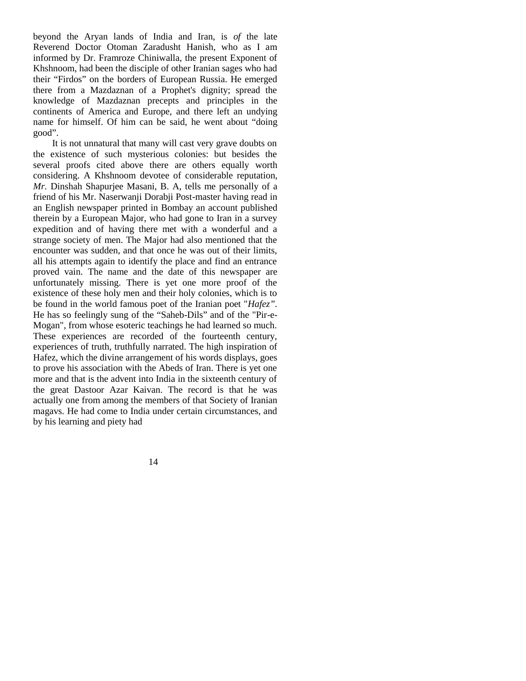beyond the Aryan lands of India and Iran, is *of* the late Reverend Doctor Otoman Zaradusht Hanish, who as I am informed by Dr. Framroze Chiniwalla, the present Exponent of Khshnoom, had been the disciple of other Iranian sages who had their "Firdos" on the borders of European Russia. He emerged there from a Mazdaznan of a Prophet's dignity; spread the knowledge of Mazdaznan precepts and principles in the continents of America and Europe, and there left an undying name for himself. Of him can be said, he went about "doing good".

It is not unnatural that many will cast very grave doubts on the existence of such mysterious colonies: but besides the several proofs cited above there are others equally worth considering. A Khshnoom devotee of considerable reputation, *Mr.* Dinshah Shapurjee Masani, B. A, tells me personally of a friend of his Mr. Naserwanji Dorabji Post-master having read in an English newspaper printed in Bombay an account published therein by a European Major, who had gone to Iran in a survey expedition and of having there met with a wonderful and a strange society of men. The Major had also mentioned that the encounter was sudden, and that once he was out of their limits, all his attempts again to identify the place and find an entrance proved vain. The name and the date of this newspaper are unfortunately missing. There is yet one more proof of the existence of these holy men and their holy colonies, which is to be found in the world famous poet of the Iranian poet "*Hafez".*  He has so feelingly sung of the "Saheb-Dils" and of the "Pir-e-Mogan", from whose esoteric teachings he had learned so much. These experiences are recorded of the fourteenth century, experiences of truth, truthfully narrated. The high inspiration of Hafez, which the divine arrangement of his words displays, goes to prove his association with the Abeds of Iran. There is yet one more and that is the advent into India in the sixteenth century of the great Dastoor Azar Kaivan. The record is that he was actually one from among the members of that Society of Iranian magavs. He had come to India under certain circumstances, and by his learning and piety had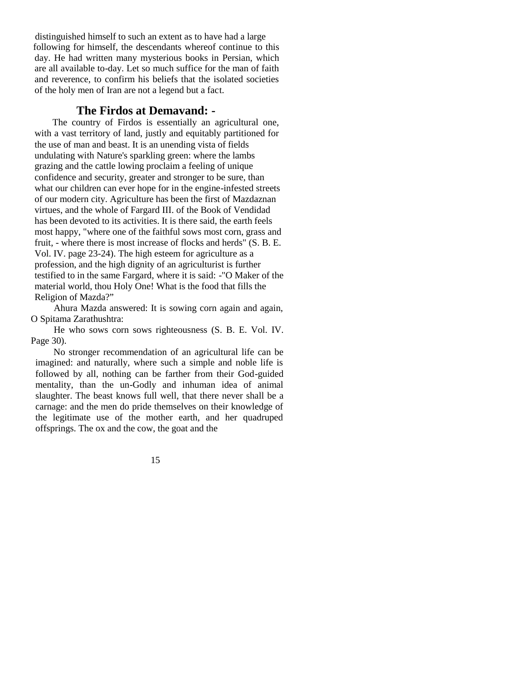distinguished himself to such an extent as to have had a large following for himself, the descendants whereof continue to this day. He had written many mysterious books in Persian, which are all available to-day. Let so much suffice for the man of faith and reverence, to confirm his beliefs that the isolated societies of the holy men of Iran are not a legend but a fact.

### **The Firdos at Demavand: -**

The country of Firdos is essentially an agricultural one, with a vast territory of land, justly and equitably partitioned for the use of man and beast. It is an unending vista of fields undulating with Nature's sparkling green: where the lambs grazing and the cattle lowing proclaim a feeling of unique confidence and security, greater and stronger to be sure, than what our children can ever hope for in the engine-infested streets of our modern city. Agriculture has been the first of Mazdaznan virtues, and the whole of Fargard III. of the Book of Vendidad has been devoted to its activities. It is there said, the earth feels most happy, "where one of the faithful sows most corn, grass and fruit, - where there is most increase of flocks and herds" (S. B. E. Vol. IV. page 23-24). The high esteem for agriculture as a profession, and the high dignity of an agriculturist is further testified to in the same Fargard, where it is said: -"O Maker of the material world, thou Holy One! What is the food that fills the Religion of Mazda?"

Ahura Mazda answered: It is sowing corn again and again, O Spitama Zarathushtra:

He who sows corn sows righteousness (S. B. E. Vol. IV. Page 30).

No stronger recommendation of an agricultural life can be imagined: and naturally, where such a simple and noble life is followed by all, nothing can be farther from their God-guided mentality, than the un-Godly and inhuman idea of animal slaughter. The beast knows full well, that there never shall be a carnage: and the men do pride themselves on their knowledge of the legitimate use of the mother earth, and her quadruped offsprings. The ox and the cow, the goat and the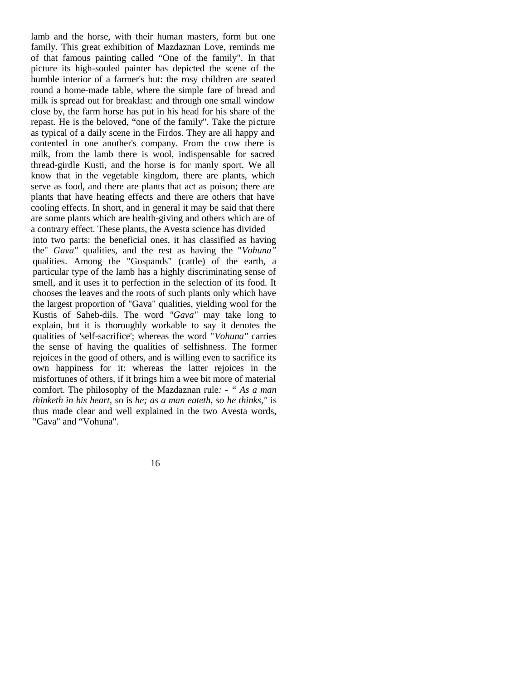lamb and the horse, with their human masters, form but one family. This great exhibition of Mazdaznan Love, reminds me of that famous painting called "One of the family". In that picture its high-souled painter has depicted the scene of the humble interior of a farmer's hut: the rosy children are seated round a home-made table, where the simple fare of bread and milk is spread out for breakfast: and through one small window close by, the farm horse has put in his head for his share of the repast. He is the beloved, "one of the family". Take the picture as typical of a daily scene in the Firdos. They are all happy and contented in one another's company. From the cow there is milk, from the lamb there is wool, indispensable for sacred thread-girdle Kusti, and the horse is for manly sport. We all know that in the vegetable kingdom, there are plants, which serve as food, and there are plants that act as poison; there are plants that have heating effects and there are others that have cooling effects. In short, and in general it may be said that there are some plants which are health-giving and others which are of a contrary effect. These plants, the Avesta science has divided into two parts: the beneficial ones, it has classified as having the" *Gava"* qualities, and the rest as having the "*Vohuna"*  qualities. Among the "Gospands" (cattle) of the earth, a particular type of the lamb has a highly discriminating sense of smell, and it uses it to perfection in the selection of its food. It chooses the leaves and the roots of such plants only which have the largest proportion of "Gava" qualities, yielding wool for the Kustis of Saheb-dils. The word *"Gava"* may take long to explain, but it is thoroughly workable to say it denotes the qualities of 'self-sacrifice'; whereas the word "*Vohuna"* carries the sense of having the qualities of selfishness. The former rejoices in the good of others, and is willing even to sacrifice its own happiness for it: whereas the latter rejoices in the misfortunes of others, if it brings him a wee bit more of material comfort. The philosophy of the Mazdaznan rule*: - " As a man thinketh in his heart,* so is *he; as a man eateth, so he thinks,"* is thus made clear and well explained in the two Avesta words, "Gava" and "Vohuna".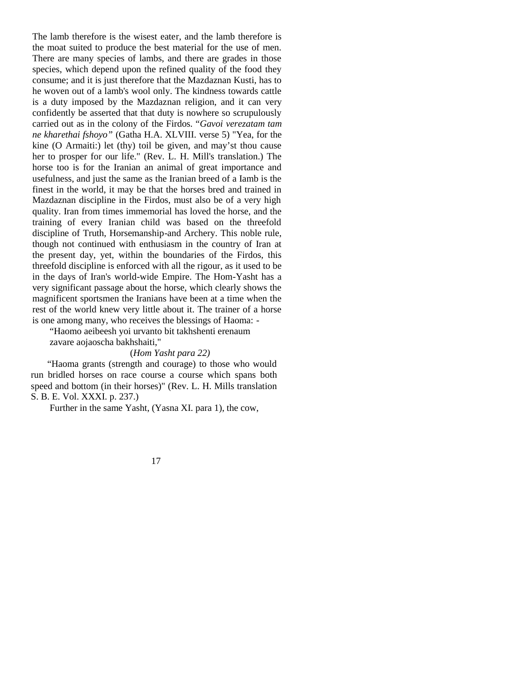The lamb therefore is the wisest eater, and the lamb therefore is the moat suited to produce the best material for the use of men. There are many species of lambs, and there are grades in those species, which depend upon the refined quality of the food they consume; and it is just therefore that the Mazdaznan Kusti, has to he woven out of a lamb's wool only. The kindness towards cattle is a duty imposed by the Mazdaznan religion, and it can very confidently be asserted that that duty is nowhere so scrupulously carried out as in the colony of the Firdos. "*Gavoi verezatam tam ne kharethai fshoyo"* (Gatha H.A. XLVIII. verse 5) "Yea, for the kine (O Armaiti:) let (thy) toil be given, and may'st thou cause her to prosper for our life." (Rev. L. H. Mill's translation.) The horse too is for the Iranian an animal of great importance and usefulness, and just the same as the Iranian breed of a Iamb is the finest in the world, it may be that the horses bred and trained in Mazdaznan discipline in the Firdos, must also be of a very high quality. Iran from times immemorial has loved the horse, and the training of every Iranian child was based on the threefold discipline of Truth, Horsemanship-and Archery. This noble rule, though not continued with enthusiasm in the country of Iran at the present day, yet, within the boundaries of the Firdos, this threefold discipline is enforced with all the rigour, as it used to be in the days of Iran's world-wide Empire. The Hom-Yasht has a very significant passage about the horse, which clearly shows the magnificent sportsmen the Iranians have been at a time when the rest of the world knew very little about it. The trainer of a horse is one among many, who receives the blessings of Haoma: -

"Haomo aeibeesh yoi urvanto bit takhshenti erenaum zavare aojaoscha bakhshaiti,"

#### (*Hom Yasht para 22)*

 "Haoma grants (strength and courage) to those who would run bridled horses on race course a course which spans both speed and bottom (in their horses)" (Rev. L. H. Mills translation S. B. E. Vol. XXXI. p. 237.)

Further in the same Yasht, (Yasna XI. para 1), the cow,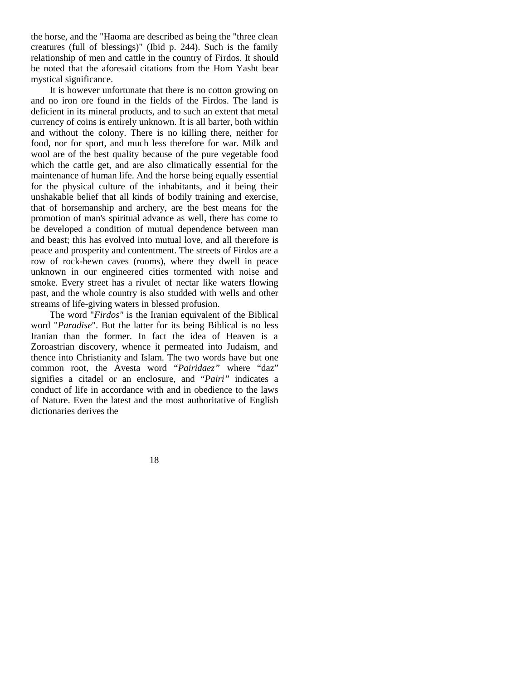the horse, and the "Haoma are described as being the "three clean creatures (full of blessings)" (Ibid p. 244). Such is the family relationship of men and cattle in the country of Firdos. It should be noted that the aforesaid citations from the Hom Yasht bear mystical significance.

It is however unfortunate that there is no cotton growing on and no iron ore found in the fields of the Firdos. The land is deficient in its mineral products, and to such an extent that metal currency of coins is entirely unknown. It is all barter, both within and without the colony. There is no killing there, neither for food, nor for sport, and much less therefore for war. Milk and wool are of the best quality because of the pure vegetable food which the cattle get, and are also climatically essential for the maintenance of human life. And the horse being equally essential for the physical culture of the inhabitants, and it being their unshakable belief that all kinds of bodily training and exercise, that of horsemanship and archery, are the best means for the promotion of man's spiritual advance as well, there has come to be developed a condition of mutual dependence between man and beast; this has evolved into mutual love, and all therefore is peace and prosperity and contentment. The streets of Firdos are a row of rock-hewn caves (rooms), where they dwell in peace unknown in our engineered cities tormented with noise and smoke. Every street has a rivulet of nectar like waters flowing past, and the whole country is also studded with wells and other streams of life-giving waters in blessed profusion.

The word "*Firdos"* is the Iranian equivalent of the Biblical word "*Paradise*". But the latter for its being Biblical is no less Iranian than the former. In fact the idea of Heaven is a Zoroastrian discovery, whence it permeated into Judaism, and thence into Christianity and Islam. The two words have but one common root, the Avesta word "*Pairidaez"* where "daz" signifies a citadel or an enclosure, and "*Pairi"* indicates a conduct of life in accordance with and in obedience to the laws of Nature. Even the latest and the most authoritative of English dictionaries derives the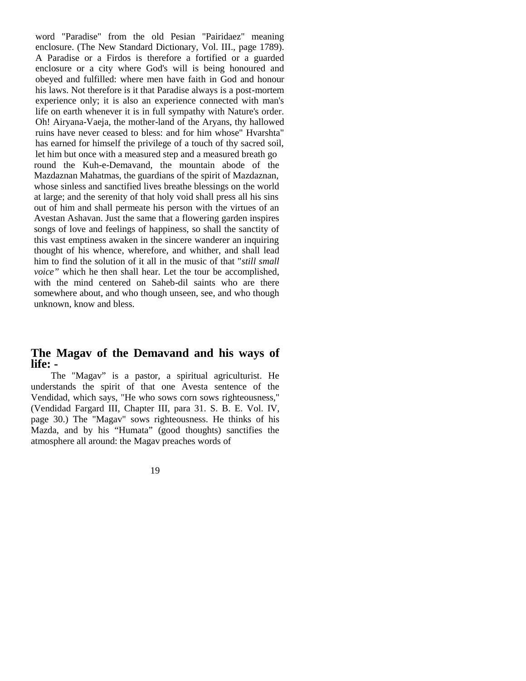word "Paradise" from the old Pesian "Pairidaez" meaning enclosure. (The New Standard Dictionary, Vol. III., page 1789). A Paradise or a Firdos is therefore a fortified or a guarded enclosure or a city where God's will is being honoured and obeyed and fulfilled: where men have faith in God and honour his laws. Not therefore is it that Paradise always is a post-mortem experience only; it is also an experience connected with man's life on earth whenever it is in full sympathy with Nature's order. Oh! Airyana-Vaeja, the mother-land of the Aryans, thy hallowed ruins have never ceased to bless: and for him whose" Hvarshta" has earned for himself the privilege of a touch of thy sacred soil, let him but once with a measured step and a measured breath go round the Kuh-e-Demavand, the mountain abode of the Mazdaznan Mahatmas, the guardians of the spirit of Mazdaznan, whose sinless and sanctified lives breathe blessings on the world at large; and the serenity of that holy void shall press all his sins out of him and shall permeate his person with the virtues of an Avestan Ashavan. Just the same that a flowering garden inspires songs of love and feelings of happiness, so shall the sanctity of this vast emptiness awaken in the sincere wanderer an inquiring thought of his whence, wherefore, and whither, and shall lead him to find the solution of it all in the music of that "*still small voice"* which he then shall hear. Let the tour be accomplished, with the mind centered on Saheb-dil saints who are there somewhere about, and who though unseen, see, and who though unknown, know and bless.

## **The Magav of the Demavand and his ways of life: -**

The "Magav" is a pastor, a spiritual agriculturist. He understands the spirit of that one Avesta sentence of the Vendidad, which says, "He who sows corn sows righteousness," (Vendidad Fargard III, Chapter III, para 31. S. B. E. Vol. IV, page 30.) The "Magav" sows righteousness. He thinks of his Mazda, and by his "Humata" (good thoughts) sanctifies the atmosphere all around: the Magav preaches words of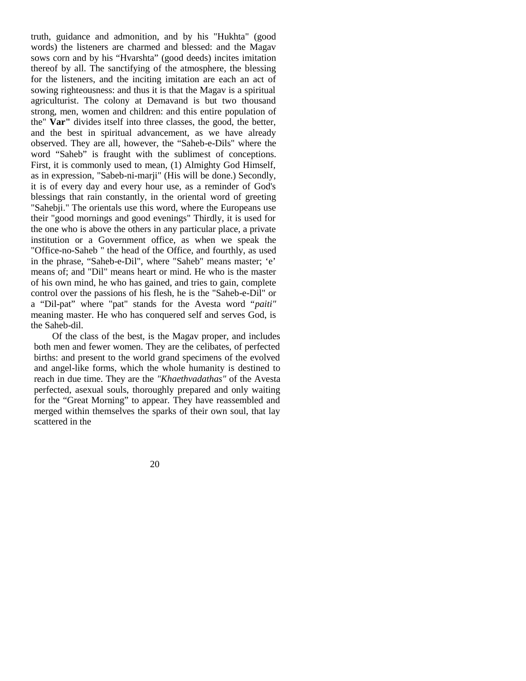truth, guidance and admonition, and by his "Hukhta" (good words) the listeners are charmed and blessed: and the Magav sows corn and by his "Hvarshta" (good deeds) incites imitation thereof by all. The sanctifying of the atmosphere, the blessing for the listeners, and the inciting imitation are each an act of sowing righteousness: and thus it is that the Magav is a spiritual agriculturist. The colony at Demavand is but two thousand strong, men, women and children: and this entire population of the" **Var"** divides itself into three classes, the good, the better, and the best in spiritual advancement, as we have already observed. They are all, however, the "Saheb-e-Dils" where the word "Saheb" is fraught with the sublimest of conceptions. First, it is commonly used to mean, (1) Almighty God Himself, as in expression, "Sabeb-ni-marji" (His will be done.) Secondly, it is of every day and every hour use, as a reminder of God's blessings that rain constantly, in the oriental word of greeting "Sahebji." The orientals use this word, where the Europeans use their "good mornings and good evenings" Thirdly, it is used for the one who is above the others in any particular place, a private institution or a Government office, as when we speak the "Office-no-Saheb " the head of the Office, and fourthly, as used in the phrase, "Saheb-e-Dil", where "Saheb" means master; 'e' means of; and "Dil" means heart or mind. He who is the master of his own mind, he who has gained, and tries to gain, complete control over the passions of his flesh, he is the "Saheb-e-Dil" or a "Dil-pat" where "pat" stands for the Avesta word "*paiti"*  meaning master. He who has conquered self and serves God, is the Saheb-dil.

Of the class of the best, is the Magav proper, and includes both men and fewer women. They are the celibates, of perfected births: and present to the world grand specimens of the evolved and angel-like forms, which the whole humanity is destined to reach in due time. They are the *"Khaethvadathas"* of the Avesta perfected, asexual souls, thoroughly prepared and only waiting for the "Great Morning" to appear. They have reassembled and merged within themselves the sparks of their own soul, that lay scattered in the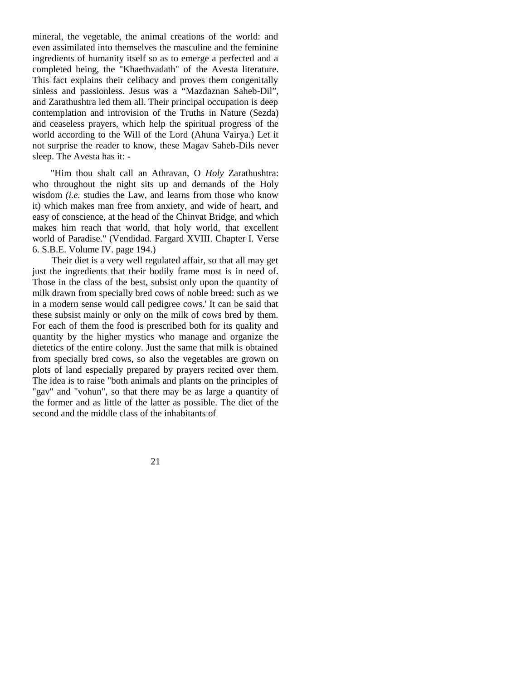mineral, the vegetable, the animal creations of the world: and even assimilated into themselves the masculine and the feminine ingredients of humanity itself so as to emerge a perfected and a completed being, the "Khaethvadath" of the Avesta literature. This fact explains their celibacy and proves them congenitally sinless and passionless. Jesus was a "Mazdaznan Saheb-Dil", and Zarathushtra led them all. Their principal occupation is deep contemplation and introvision of the Truths in Nature (Sezda) and ceaseless prayers, which help the spiritual progress of the world according to the Will of the Lord (Ahuna Vairya.) Let it not surprise the reader to know, these Magav Saheb-Dils never sleep. The Avesta has it: -

"Him thou shalt call an Athravan, O *Holy* Zarathushtra: who throughout the night sits up and demands of the Holy wisdom *(i.e.* studies the Law, and learns from those who know it) which makes man free from anxiety, and wide of heart, and easy of conscience, at the head of the Chinvat Bridge, and which makes him reach that world, that holy world, that excellent world of Paradise." (Vendidad. Fargard XVIII. Chapter I. Verse 6. S.B.E. Volume IV. page 194.)

Their diet is a very well regulated affair, so that all may get just the ingredients that their bodily frame most is in need of. Those in the class of the best, subsist only upon the quantity of milk drawn from specially bred cows of noble breed: such as we in a modern sense would call pedigree cows.' It can be said that these subsist mainly or only on the milk of cows bred by them. For each of them the food is prescribed both for its quality and quantity by the higher mystics who manage and organize the dietetics of the entire colony. Just the same that milk is obtained from specially bred cows, so also the vegetables are grown on plots of land especially prepared by prayers recited over them. The idea is to raise "both animals and plants on the principles of "gav" and "vohun", so that there may be as large a quantity of the former and as little of the latter as possible. The diet of the second and the middle class of the inhabitants of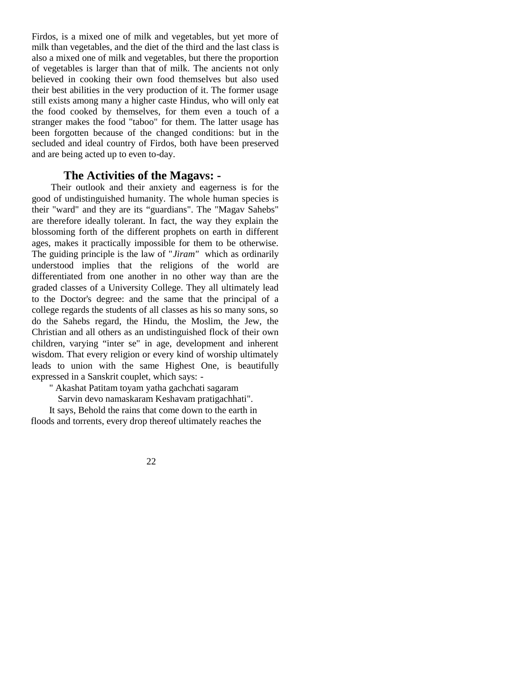Firdos, is a mixed one of milk and vegetables, but yet more of milk than vegetables, and the diet of the third and the last class is also a mixed one of milk and vegetables, but there the proportion of vegetables is larger than that of milk. The ancients not only believed in cooking their own food themselves but also used their best abilities in the very production of it. The former usage still exists among many a higher caste Hindus, who will only eat the food cooked by themselves, for them even a touch of a stranger makes the food "taboo" for them. The latter usage has been forgotten because of the changed conditions: but in the secluded and ideal country of Firdos, both have been preserved and are being acted up to even to-day.

## **The Activities of the Magavs: -**

Their outlook and their anxiety and eagerness is for the good of undistinguished humanity. The whole human species is their "ward" and they are its "guardians". The "Magav Sahebs" are therefore ideally tolerant. In fact, the way they explain the blossoming forth of the different prophets on earth in different ages, makes it practically impossible for them to be otherwise. The guiding principle is the law of "*Jiram"* which as ordinarily understood implies that the religions of the world are differentiated from one another in no other way than are the graded classes of a University College. They all ultimately lead to the Doctor's degree: and the same that the principal of a college regards the students of all classes as his so many sons, so do the Sahebs regard, the Hindu, the Moslim, the Jew, the Christian and all others as an undistinguished flock of their own children, varying "inter se" in age, development and inherent wisdom. That every religion or every kind of worship ultimately leads to union with the same Highest One, is beautifully expressed in a Sanskrit couplet, which says: -

" Akashat Patitam toyam yatha gachchati sagaram

Sarvin devo namaskaram Keshavam pratigachhati".

It says, Behold the rains that come down to the earth in floods and torrents, every drop thereof ultimately reaches the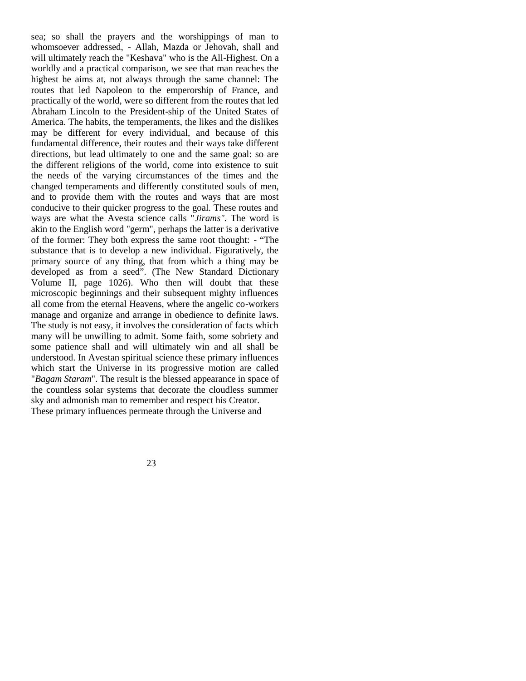sea; so shall the prayers and the worshippings of man to whomsoever addressed, - Allah, Mazda or Jehovah, shall and will ultimately reach the "Keshava" who is the All-Highest. On a worldly and a practical comparison, we see that man reaches the highest he aims at, not always through the same channel: The routes that led Napoleon to the emperorship of France, and practically of the world, were so different from the routes that led Abraham Lincoln to the President-ship of the United States of America. The habits, the temperaments, the likes and the dislikes may be different for every individual, and because of this fundamental difference, their routes and their ways take different directions, but lead ultimately to one and the same goal: so are the different religions of the world, come into existence to suit the needs of the varying circumstances of the times and the changed temperaments and differently constituted souls of men, and to provide them with the routes and ways that are most conducive to their quicker progress to the goal. These routes and ways are what the Avesta science calls "*Jirams".* The word is akin to the English word "germ", perhaps the latter is a derivative of the former: They both express the same root thought: - "The substance that is to develop a new individual. Figuratively, the primary source of any thing, that from which a thing may be developed as from a seed". (The New Standard Dictionary Volume II, page 1026). Who then will doubt that these microscopic beginnings and their subsequent mighty influences all come from the eternal Heavens, where the angelic co-workers manage and organize and arrange in obedience to definite laws. The study is not easy, it involves the consideration of facts which many will be unwilling to admit. Some faith, some sobriety and some patience shall and will ultimately win and all shall be understood. In Avestan spiritual science these primary influences which start the Universe in its progressive motion are called "*Bagam Staram*". The result is the blessed appearance in space of the countless solar systems that decorate the cloudless summer sky and admonish man to remember and respect his Creator. These primary influences permeate through the Universe and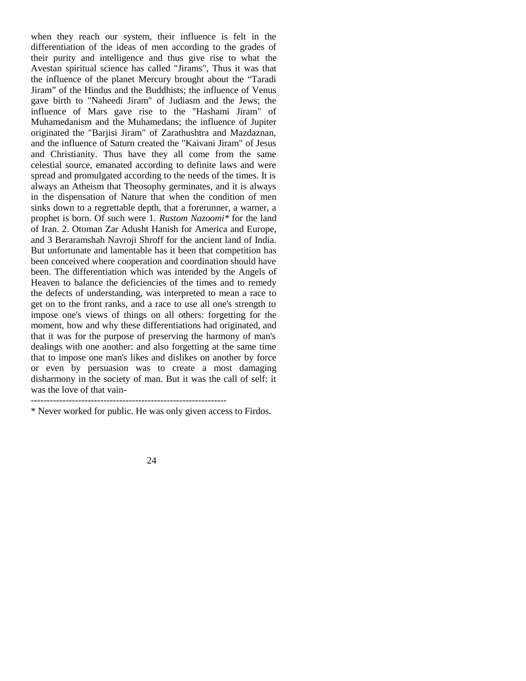when they reach our system, their influence is felt in the differentiation of the ideas of men according to the grades of their purity and intelligence and thus give rise to what the Avestan spiritual science has called "Jirams", Thus it was that the influence of the planet Mercury brought about the "Taradi Jiram" of the Hindus and the Buddhists; the influence of Venus gave birth to "Naheedi Jiram" of Judiasm and the Jews; the influence of Mars gave rise to the "Hashami Jiram" of Muhamedanism and the Muhamedans; the influence of Jupiter originated the "Barjisi Jiram" of Zarathushtra and Mazdaznan, and the influence of Saturn created the "Kaivani Jiram" of Jesus and Christianity. Thus have they all come from the same celestial source, emanated according to definite laws and were spread and promulgated according to the needs of the times. It is always an Atheism that Theosophy germinates, and it is always in the dispensation of Nature that when the condition of men sinks down to a regrettable depth, that a forerunner, a warner, a prophet is born. Of such were 1. *Rustom Nazoomi\** for the land of Iran. 2. Otoman Zar Adusht Hanish for America and Europe, and 3 Beraramshah Navroji Shroff for the ancient land of India. But unfortunate and lamentable has it been that competition has been conceived where cooperation and coordination should have been. The differentiation which was intended by the Angels of Heaven to balance the deficiencies of the times and to remedy the defects of understanding, was interpreted to mean a race to get on to the front ranks, and a race to use all one's strength to impose one's views of things on all others: forgetting for the moment, how and why these differentiations had originated, and that it was for the purpose of preserving the harmony of man's dealings with one another: and also forgetting at the same time that to impose one man's likes and dislikes on another by force or even by persuasion was to create a most damaging disharmony in the society of man. But it was the call of self: it was the love of that vain-

--------------------------------------------------------------

\* Never worked for public. He was only given access to Firdos.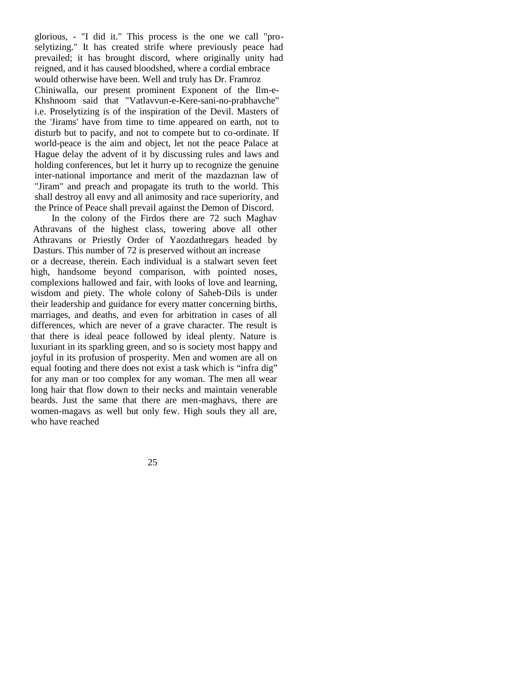glorious, - "I did it." This process is the one we call "proselytizing." It has created strife where previously peace had prevailed; it has brought discord, where originally unity had reigned, and it has caused bloodshed, where a cordial embrace would otherwise have been. Well and truly has Dr. Framroz Chiniwalla, our present prominent Exponent of the Ilm-e-Khshnoom said that "Vatlavvun-e-Kere-sani-no-prabhavche" i.e. Proselytizing is of the inspiration of the Devil. Masters of the 'Jirams' have from time to time appeared on earth, not to disturb but to pacify, and not to compete but to co-ordinate. If world-peace is the aim and object, let not the peace Palace at Hague delay the advent of it by discussing rules and laws and holding conferences, but let it hurry up to recognize the genuine inter-national importance and merit of the mazdaznan law of "Jiram" and preach and propagate its truth to the world. This shall destroy all envy and all animosity and race superiority, and the Prince of Peace shall prevail against the Demon of Discord.

In the colony of the Firdos there are 72 such Maghav Athravans of the highest class, towering above all other Athravans or Priestly Order of Yaozdathregars headed by Dasturs. This number of 72 is preserved without an increase or a decrease, therein. Each individual is a stalwart seven feet high, handsome beyond comparison, with pointed noses, complexions hallowed and fair, with looks of love and learning, wisdom and piety. The whole colony of Saheb-Dils is under their leadership and guidance for every matter concerning births, marriages, and deaths, and even for arbitration in cases of all differences, which are never of a grave character. The result is that there is ideal peace followed by ideal plenty. Nature is luxuriant in its sparkling green, and so is society most happy and joyful in its profusion of prosperity. Men and women are all on equal footing and there does not exist a task which is "infra dig" for any man or too complex for any woman. The men all wear long hair that flow down to their necks and maintain venerable beards. Just the same that there are men-maghavs, there are women-magavs as well but only few. High souls they all are, who have reached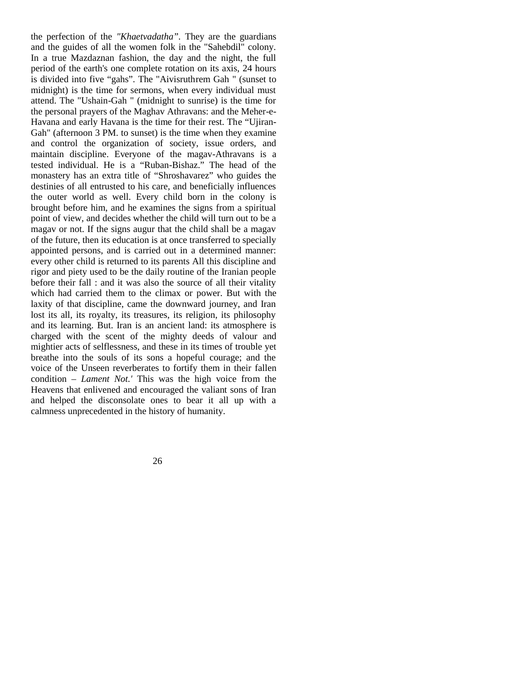the perfection of the *"Khaetvadatha".* They are the guardians and the guides of all the women folk in the "Sahebdil" colony. In a true Mazdaznan fashion, the day and the night, the full period of the earth's one complete rotation on its axis, 24 hours is divided into five "gahs". The "Aivisruthrem Gah " (sunset to midnight) is the time for sermons, when every individual must attend. The "Ushain-Gah " (midnight to sunrise) is the time for the personal prayers of the Maghav Athravans: and the Meher-e-Havana and early Havana is the time for their rest. The "Ujiran-Gah" (afternoon 3 PM. to sunset) is the time when they examine and control the organization of society, issue orders, and maintain discipline. Everyone of the magav-Athravans is a tested individual. He is a "Ruban-Bishaz." The head of the monastery has an extra title of "Shroshavarez" who guides the destinies of all entrusted to his care, and beneficially influences the outer world as well. Every child born in the colony is brought before him, and he examines the signs from a spiritual point of view, and decides whether the child will turn out to be a magav or not. If the signs augur that the child shall be a magav of the future, then its education is at once transferred to specially appointed persons, and is carried out in a determined manner: every other child is returned to its parents All this discipline and rigor and piety used to be the daily routine of the Iranian people before their fall : and it was also the source of all their vitality which had carried them to the climax or power. But with the laxity of that discipline, came the downward journey, and Iran lost its all, its royalty, its treasures, its religion, its philosophy and its learning. But. Iran is an ancient land: its atmosphere is charged with the scent of the mighty deeds of valour and mightier acts of selflessness, and these in its times of trouble yet breathe into the souls of its sons a hopeful courage; and the voice of the Unseen reverberates to fortify them in their fallen condition – *Lament Not.'* This was the high voice from the Heavens that enlivened and encouraged the valiant sons of Iran and helped the disconsolate ones to bear it all up with a calmness unprecedented in the history of humanity.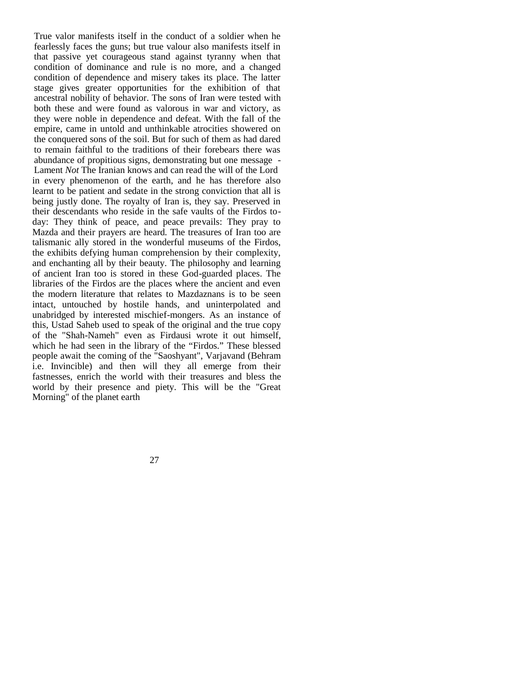True valor manifests itself in the conduct of a soldier when he fearlessly faces the guns; but true valour also manifests itself in that passive yet courageous stand against tyranny when that condition of dominance and rule is no more, and a changed condition of dependence and misery takes its place. The latter stage gives greater opportunities for the exhibition of that ancestral nobility of behavior. The sons of Iran were tested with both these and were found as valorous in war and victory, as they were noble in dependence and defeat. With the fall of the empire, came in untold and unthinkable atrocities showered on the conquered sons of the soil. But for such of them as had dared to remain faithful to the traditions of their forebears there was abundance of propitious signs, demonstrating but one message - Lament *Not* The Iranian knows and can read the will of the Lord in every phenomenon of the earth, and he has therefore also learnt to be patient and sedate in the strong conviction that all is being justly done. The royalty of Iran is, they say. Preserved in their descendants who reside in the safe vaults of the Firdos today: They think of peace, and peace prevails: They pray to Mazda and their prayers are heard. The treasures of Iran too are talismanic ally stored in the wonderful museums of the Firdos, the exhibits defying human comprehension by their complexity, and enchanting all by their beauty. The philosophy and learning of ancient Iran too is stored in these God-guarded places. The libraries of the Firdos are the places where the ancient and even the modern literature that relates to Mazdaznans is to be seen intact, untouched by hostile hands, and uninterpolated and unabridged by interested mischief-mongers. As an instance of this, Ustad Saheb used to speak of the original and the true copy of the "Shah-Nameh" even as Firdausi wrote it out himself, which he had seen in the library of the "Firdos." These blessed people await the coming of the "Saoshyant", Varjavand (Behram i.e. Invincible) and then will they all emerge from their fastnesses, enrich the world with their treasures and bless the world by their presence and piety. This will be the "Great Morning" of the planet earth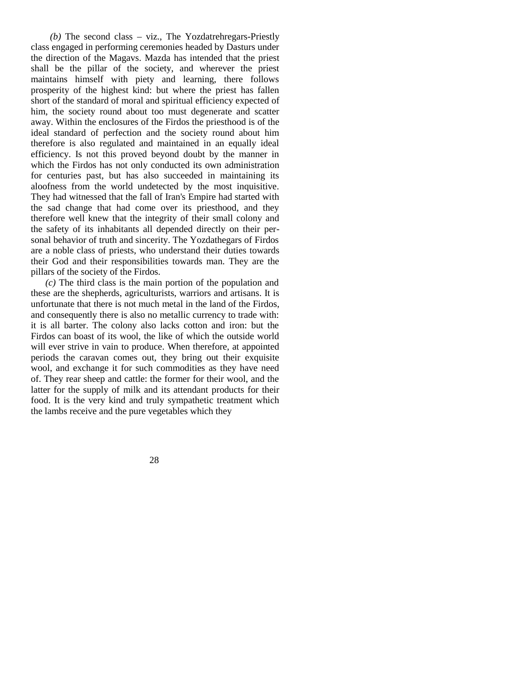*(b)* The second class – viz., The Yozdatrehregars-Priestly class engaged in performing ceremonies headed by Dasturs under the direction of the Magavs. Mazda has intended that the priest shall be the pillar of the society, and wherever the priest maintains himself with piety and learning, there follows prosperity of the highest kind: but where the priest has fallen short of the standard of moral and spiritual efficiency expected of him, the society round about too must degenerate and scatter away. Within the enclosures of the Firdos the priesthood is of the ideal standard of perfection and the society round about him therefore is also regulated and maintained in an equally ideal efficiency. Is not this proved beyond doubt by the manner in which the Firdos has not only conducted its own administration for centuries past, but has also succeeded in maintaining its aloofness from the world undetected by the most inquisitive. They had witnessed that the fall of Iran's Empire had started with the sad change that had come over its priesthood, and they therefore well knew that the integrity of their small colony and the safety of its inhabitants all depended directly on their personal behavior of truth and sincerity. The Yozdathegars of Firdos are a noble class of priests, who understand their duties towards their God and their responsibilities towards man. They are the pillars of the society of the Firdos.

*(c)* The third class is the main portion of the population and these are the shepherds, agriculturists, warriors and artisans. It is unfortunate that there is not much metal in the land of the Firdos, and consequently there is also no metallic currency to trade with: it is all barter. The colony also lacks cotton and iron: but the Firdos can boast of its wool, the like of which the outside world will ever strive in vain to produce. When therefore, at appointed periods the caravan comes out, they bring out their exquisite wool, and exchange it for such commodities as they have need of. They rear sheep and cattle: the former for their wool, and the latter for the supply of milk and its attendant products for their food. It is the very kind and truly sympathetic treatment which the lambs receive and the pure vegetables which they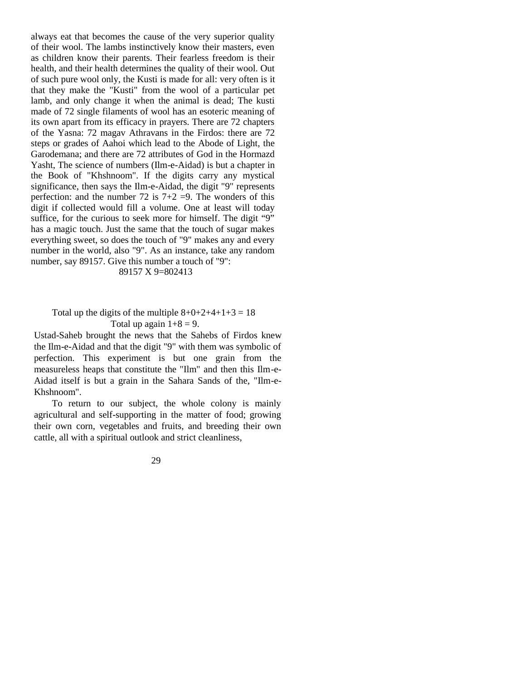always eat that becomes the cause of the very superior quality of their wool. The lambs instinctively know their masters, even as children know their parents. Their fearless freedom is their health, and their health determines the quality of their wool. Out of such pure wool only, the Kusti is made for all: very often is it that they make the "Kusti" from the wool of a particular pet lamb, and only change it when the animal is dead; The kusti made of 72 single filaments of wool has an esoteric meaning of its own apart from its efficacy in prayers. There are 72 chapters of the Yasna: 72 magav Athravans in the Firdos: there are 72 steps or grades of Aahoi which lead to the Abode of Light, the Garodemana; and there are 72 attributes of God in the Hormazd Yasht, The science of numbers (Ilm-e-Aidad) is but a chapter in the Book of "Khshnoom". If the digits carry any mystical significance, then says the Ilm-e-Aidad, the digit "9" represents perfection: and the number 72 is  $7+2 = 9$ . The wonders of this digit if collected would fill a volume. One at least will today suffice, for the curious to seek more for himself. The digit "9" has a magic touch. Just the same that the touch of sugar makes everything sweet, so does the touch of "9" makes any and every number in the world, also "9". As an instance, take any random number, say 89157. Give this number a touch of "9":

#### 89157 X 9=802413

## Total up the digits of the multiple  $8+0+2+4+1+3=18$ Total up again  $1+8 = 9$ .

Ustad-Saheb brought the news that the Sahebs of Firdos knew the Ilm-e-Aidad and that the digit "9" with them was symbolic of perfection. This experiment is but one grain from the measureless heaps that constitute the "Ilm" and then this Ilm-e-Aidad itself is but a grain in the Sahara Sands of the, "Ilm-e-Khshnoom".

To return to our subject, the whole colony is mainly agricultural and self-supporting in the matter of food; growing their own corn, vegetables and fruits, and breeding their own cattle, all with a spiritual outlook and strict cleanliness,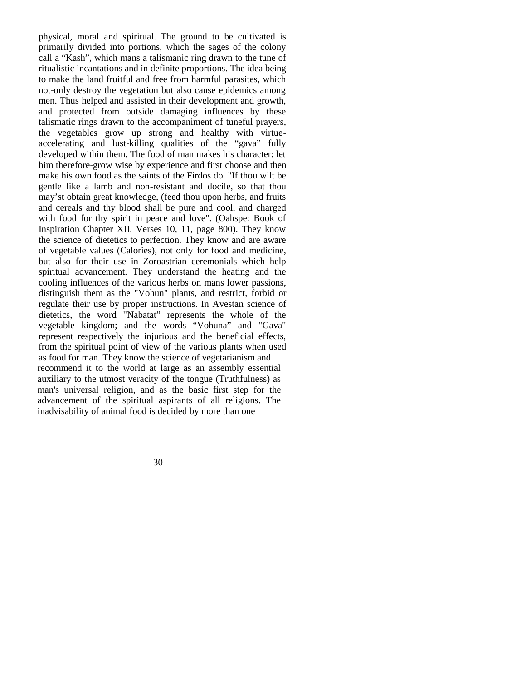physical, moral and spiritual. The ground to be cultivated is primarily divided into portions, which the sages of the colony call a "Kash", which mans a talismanic ring drawn to the tune of ritualistic incantations and in definite proportions. The idea being to make the land fruitful and free from harmful parasites, which not-only destroy the vegetation but also cause epidemics among men. Thus helped and assisted in their development and growth, and protected from outside damaging influences by these talismatic rings drawn to the accompaniment of tuneful prayers, the vegetables grow up strong and healthy with virtueaccelerating and lust-killing qualities of the "gava" fully developed within them. The food of man makes his character: let him therefore-grow wise by experience and first choose and then make his own food as the saints of the Firdos do. "If thou wilt be gentle like a lamb and non-resistant and docile, so that thou may'st obtain great knowledge, (feed thou upon herbs, and fruits and cereals and thy blood shall be pure and cool, and charged with food for thy spirit in peace and love". (Oahspe: Book of Inspiration Chapter XII. Verses 10, 11, page 800). They know the science of dietetics to perfection. They know and are aware of vegetable values (Calories), not only for food and medicine, but also for their use in Zoroastrian ceremonials which help spiritual advancement. They understand the heating and the cooling influences of the various herbs on mans lower passions, distinguish them as the "Vohun" plants, and restrict, forbid or regulate their use by proper instructions. In Avestan science of dietetics, the word "Nabatat" represents the whole of the vegetable kingdom; and the words "Vohuna" and "Gava" represent respectively the injurious and the beneficial effects, from the spiritual point of view of the various plants when used as food for man. They know the science of vegetarianism and recommend it to the world at large as an assembly essential auxiliary to the utmost veracity of the tongue (Truthfulness) as man's universal religion, and as the basic first step for the advancement of the spiritual aspirants of all religions. The inadvisability of animal food is decided by more than one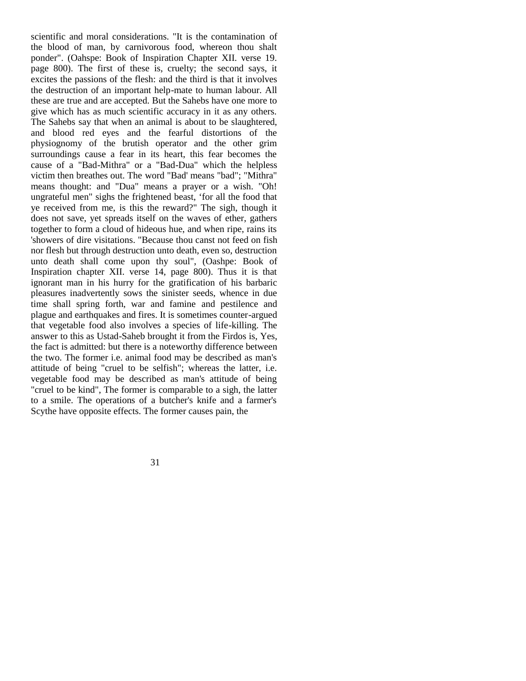scientific and moral considerations. "It is the contamination of the blood of man, by carnivorous food, whereon thou shalt ponder". (Oahspe: Book of Inspiration Chapter XII. verse 19. page 800). The first of these is, cruelty; the second says, it excites the passions of the flesh: and the third is that it involves the destruction of an important help-mate to human labour. All these are true and are accepted. But the Sahebs have one more to give which has as much scientific accuracy in it as any others. The Sahebs say that when an animal is about to be slaughtered, and blood red eyes and the fearful distortions of the physiognomy of the brutish operator and the other grim surroundings cause a fear in its heart, this fear becomes the cause of a "Bad-Mithra" or a "Bad-Dua" which the helpless victim then breathes out. The word "Bad' means "bad"; "Mithra" means thought: and "Dua" means a prayer or a wish. "Oh! ungrateful men" sighs the frightened beast, 'for all the food that ye received from me, is this the reward?" The sigh, though it does not save, yet spreads itself on the waves of ether, gathers together to form a cloud of hideous hue, and when ripe, rains its 'showers of dire visitations. "Because thou canst not feed on fish nor flesh but through destruction unto death, even so, destruction unto death shall come upon thy soul", (Oashpe: Book of Inspiration chapter XII. verse 14, page 800). Thus it is that ignorant man in his hurry for the gratification of his barbaric pleasures inadvertently sows the sinister seeds, whence in due time shall spring forth, war and famine and pestilence and plague and earthquakes and fires. It is sometimes counter-argued that vegetable food also involves a species of life-killing. The answer to this as Ustad-Saheb brought it from the Firdos is, Yes, the fact is admitted: but there is a noteworthy difference between the two. The former i.e. animal food may be described as man's attitude of being "cruel to be selfish"; whereas the latter, i.e. vegetable food may be described as man's attitude of being "cruel to be kind", The former is comparable to a sigh, the latter to a smile. The operations of a butcher's knife and a farmer's Scythe have opposite effects. The former causes pain, the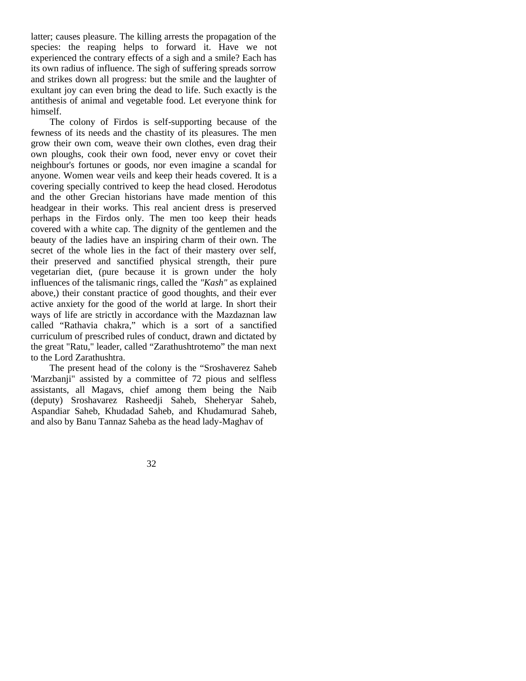latter; causes pleasure. The killing arrests the propagation of the species: the reaping helps to forward it. Have we not experienced the contrary effects of a sigh and a smile? Each has its own radius of influence. The sigh of suffering spreads sorrow and strikes down all progress: but the smile and the laughter of exultant joy can even bring the dead to life. Such exactly is the antithesis of animal and vegetable food. Let everyone think for himself.

The colony of Firdos is self-supporting because of the fewness of its needs and the chastity of its pleasures. The men grow their own com, weave their own clothes, even drag their own ploughs, cook their own food, never envy or covet their neighbour's fortunes or goods, nor even imagine a scandal for anyone. Women wear veils and keep their heads covered. It is a covering specially contrived to keep the head closed. Herodotus and the other Grecian historians have made mention of this headgear in their works. This real ancient dress is preserved perhaps in the Firdos only. The men too keep their heads covered with a white cap. The dignity of the gentlemen and the beauty of the ladies have an inspiring charm of their own. The secret of the whole lies in the fact of their mastery over self, their preserved and sanctified physical strength, their pure vegetarian diet, (pure because it is grown under the holy influences of the talismanic rings, called the *"Kash"* as explained above,) their constant practice of good thoughts, and their ever active anxiety for the good of the world at large. In short their ways of life are strictly in accordance with the Mazdaznan law called "Rathavia chakra," which is a sort of a sanctified curriculum of prescribed rules of conduct, drawn and dictated by the great "Ratu," leader, called "Zarathushtrotemo" the man next to the Lord Zarathushtra.

The present head of the colony is the "Sroshaverez Saheb 'Marzbanji" assisted by a committee of 72 pious and selfless assistants, all Magavs, chief among them being the Naib (deputy) Sroshavarez Rasheedji Saheb, Sheheryar Saheb, Aspandiar Saheb, Khudadad Saheb, and Khudamurad Saheb, and also by Banu Tannaz Saheba as the head lady-Maghav of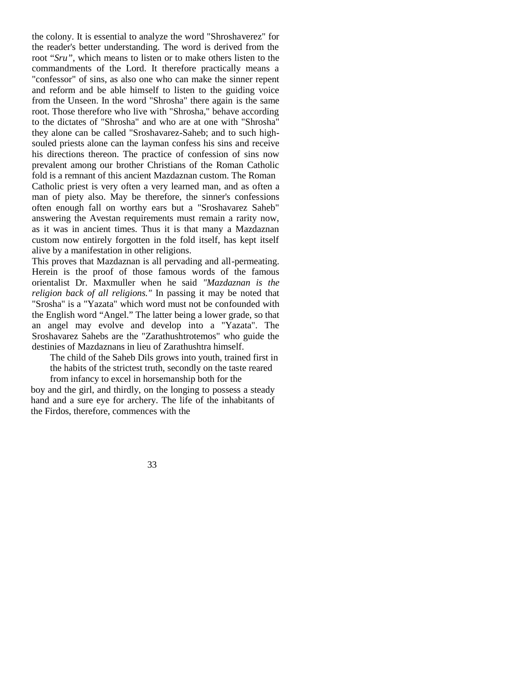the colony. It is essential to analyze the word "Shroshaverez" for the reader's better understanding. The word is derived from the root "*Sru",* which means to listen or to make others listen to the commandments of the Lord. It therefore practically means a "confessor" of sins, as also one who can make the sinner repent and reform and be able himself to listen to the guiding voice from the Unseen. In the word "Shrosha" there again is the same root. Those therefore who live with "Shrosha," behave according to the dictates of "Shrosha" and who are at one with "Shrosha" they alone can be called "Sroshavarez-Saheb; and to such highsouled priests alone can the layman confess his sins and receive his directions thereon. The practice of confession of sins now prevalent among our brother Christians of the Roman Catholic fold is a remnant of this ancient Mazdaznan custom. The Roman Catholic priest is very often a very learned man, and as often a man of piety also. May be therefore, the sinner's confessions often enough fall on worthy ears but a "Sroshavarez Saheb" answering the Avestan requirements must remain a rarity now, as it was in ancient times. Thus it is that many a Mazdaznan custom now entirely forgotten in the fold itself, has kept itself alive by a manifestation in other religions.

This proves that Mazdaznan is all pervading and all-permeating. Herein is the proof of those famous words of the famous orientalist Dr. Maxmuller when he said *"Mazdaznan is the religion back of all religions."* In passing it may be noted that "Srosha" is a "Yazata" which word must not be confounded with the English word "Angel." The latter being a lower grade, so that an angel may evolve and develop into a "Yazata". The Sroshavarez Sahebs are the "Zarathushtrotemos" who guide the destinies of Mazdaznans in lieu of Zarathushtra himself.

The child of the Saheb Dils grows into youth, trained first in the habits of the strictest truth, secondly on the taste reared from infancy to excel in horsemanship both for the

boy and the girl, and thirdly, on the longing to possess a steady hand and a sure eye for archery. The life of the inhabitants of the Firdos, therefore, commences with the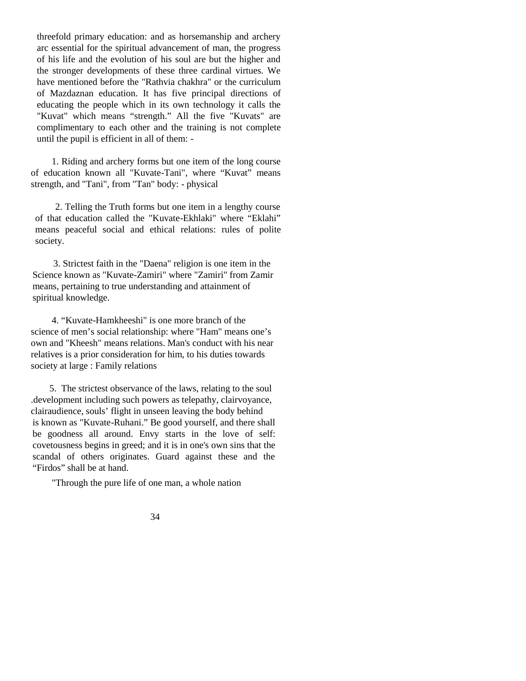threefold primary education: and as horsemanship and archery arc essential for the spiritual advancement of man, the progress of his life and the evolution of his soul are but the higher and the stronger developments of these three cardinal virtues. We have mentioned before the "Rathvia chakhra" or the curriculum of Mazdaznan education. It has five principal directions of educating the people which in its own technology it calls the "Kuvat" which means "strength." All the five "Kuvats" are complimentary to each other and the training is not complete until the pupil is efficient in all of them: -

1. Riding and archery forms but one item of the long course of education known all "Kuvate-Tani", where "Kuvat" means strength, and "Tani", from "Tan" body: - physical

 2. Telling the Truth forms but one item in a lengthy course of that education called the "Kuvate-Ekhlaki" where "Eklahi" means peaceful social and ethical relations: rules of polite society.

3. Strictest faith in the "Daena" religion is one item in the Science known as "Kuvate-Zamiri" where "Zamiri" from Zamir means, pertaining to true understanding and attainment of spiritual knowledge.

4. "Kuvate-Hamkheeshi" is one more branch of the science of men's social relationship: where "Ham" means one's own and "Kheesh" means relations. Man's conduct with his near relatives is a prior consideration for him, to his duties towards society at large : Family relations

5. The strictest observance of the laws, relating to the soul .development including such powers as telepathy, clairvoyance, clairaudience, souls' flight in unseen leaving the body behind is known as "Kuvate-Ruhani." Be good yourself, and there shall be goodness all around. Envy starts in the love of self: covetousness begins in greed; and it is in one's own sins that the scandal of others originates. Guard against these and the "Firdos" shall be at hand.

"Through the pure life of one man, a whole nation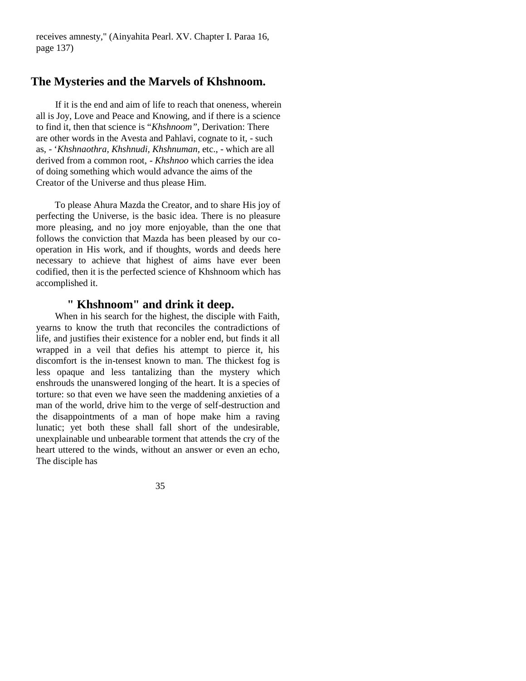receives amnesty," (Ainyahita Pearl. XV. Chapter I. Paraa 16, page 137)

## **The Mysteries and the Marvels of Khshnoom.**

If it is the end and aim of life to reach that oneness, wherein all is Joy, Love and Peace and Knowing, and if there is a science to find it, then that science is "*Khshnoom",* Derivation: There are other words in the Avesta and Pahlavi, cognate to it, - such as, - '*Khshnaothra, Khshnudi, Khshnuman,* etc., - which are all derived from a common root, - *Khshnoo* which carries the idea of doing something which would advance the aims of the Creator of the Universe and thus please Him.

To please Ahura Mazda the Creator, and to share His joy of perfecting the Universe, is the basic idea. There is no pleasure more pleasing, and no joy more enjoyable, than the one that follows the conviction that Mazda has been pleased by our cooperation in His work, and if thoughts, words and deeds here necessary to achieve that highest of aims have ever been codified, then it is the perfected science of Khshnoom which has accomplished it.

# **" Khshnoom" and drink it deep.**

When in his search for the highest, the disciple with Faith, yearns to know the truth that reconciles the contradictions of life, and justifies their existence for a nobler end, but finds it all wrapped in a veil that defies his attempt to pierce it, his discomfort is the in-tensest known to man. The thickest fog is less opaque and less tantalizing than the mystery which enshrouds the unanswered longing of the heart. It is a species of torture: so that even we have seen the maddening anxieties of a man of the world, drive him to the verge of self-destruction and the disappointments of a man of hope make him a raving lunatic; yet both these shall fall short of the undesirable, unexplainable und unbearable torment that attends the cry of the heart uttered to the winds, without an answer or even an echo, The disciple has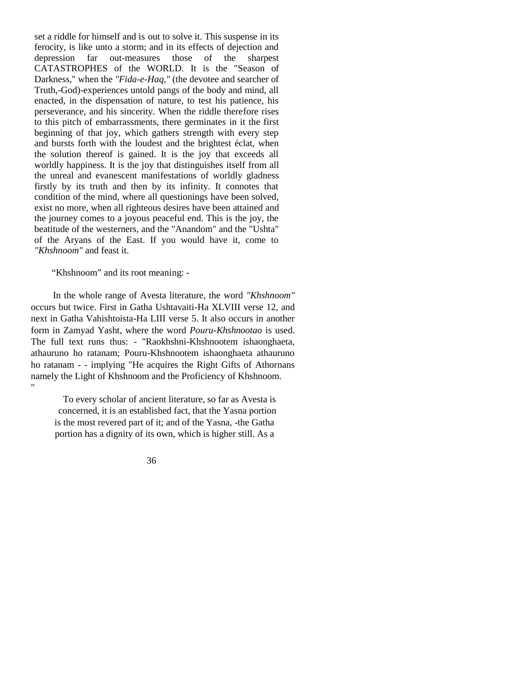set a riddle for himself and is out to solve it. This suspense in its ferocity, is like unto a storm; and in its effects of dejection and depression far out-measures those of the sharpest CATASTROPHES of the WORLD. It is the "Season of Darkness," when the *"Fida-e-Haq,"* (the devotee and searcher of Truth,-God)-experiences untold pangs of the body and mind, all enacted, in the dispensation of nature, to test his patience, his perseverance, and his sincerity. When the riddle therefore rises to this pitch of embarrassments, there germinates in it the first beginning of that joy, which gathers strength with every step and bursts forth with the loudest and the brightest éclat, when the solution thereof is gained. It is the joy that exceeds all worldly happiness. It is the joy that distinguishes itself from all the unreal and evanescent manifestations of worldly gladness firstly by its truth and then by its infinity. It connotes that condition of the mind, where all questionings have been solved, exist no more, when all righteous desires have been attained and the journey comes to a joyous peaceful end. This is the joy, the beatitude of the westerners, and the "Anandom" and the "Ushta" of the Aryans of the East. If you would have it, come to *"Khshnoom"* and feast it.

"Khshnoom" and its root meaning: -

In the whole range of Avesta literature, the word *"Khshnoom"*  occurs but twice. First in Gatha Ushtavaiti-Ha XLVIII verse 12, and next in Gatha Vahishtoista-Ha LIII verse 5. It also occurs in another form in Zamyad Yasht, where the word *Pouru-Khshnootao* is used. The full text runs thus: - "Raokhshni-Khshnootem ishaonghaeta, athauruno ho ratanam; Pouru-Khshnootem ishaonghaeta athauruno ho ratanam - - implying "He acquires the Right Gifts of Athornans namely the Light of Khshnoom and the Proficiency of Khshnoom. "

To every scholar of ancient literature, so far as Avesta is concerned, it is an established fact, that the Yasna portion is the most revered part of it; and of the Yasna, -the Gatha portion has a dignity of its own, which is higher still. As a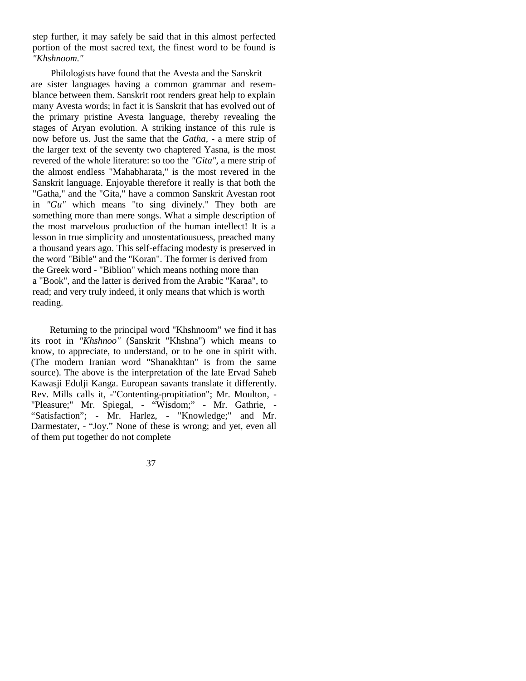step further, it may safely be said that in this almost perfected portion of the most sacred text, the finest word to be found is *"Khshnoom."*

Philologists have found that the Avesta and the Sanskrit are sister languages having a common grammar and resemblance between them. Sanskrit root renders great help to explain many Avesta words; in fact it is Sanskrit that has evolved out of the primary pristine Avesta language, thereby revealing the stages of Aryan evolution. A striking instance of this rule is now before us. Just the same that the *Gatha, -* a mere strip of the larger text of the seventy two chaptered Yasna, is the most revered of the whole literature: so too the *"Gita",* a mere strip of the almost endless "Mahabharata," is the most revered in the Sanskrit language. Enjoyable therefore it really is that both the "Gatha," and the "Gita," have a common Sanskrit Avestan root in *"Gu"* which means "to sing divinely." They both are something more than mere songs. What a simple description of the most marvelous production of the human intellect! It is a lesson in true simplicity and unostentatiousuess, preached many a thousand years ago. This self-effacing modesty is preserved in the word "Bible" and the "Koran". The former is derived from the Greek word - "Biblion" which means nothing more than a "Book", and the latter is derived from the Arabic "Karaa", to read; and very truly indeed, it only means that which is worth reading.

Returning to the principal word "Khshnoom" we find it has its root in *"Khshnoo"* (Sanskrit "Khshna") which means to know, to appreciate, to understand, or to be one in spirit with. (The modern Iranian word "Shanakhtan" is from the same source). The above is the interpretation of the late Ervad Saheb Kawasji Edulji Kanga. European savants translate it differently. Rev. Mills calls it, -"Contenting-propitiation"; Mr. Moulton, - "Pleasure;" Mr. Spiegal, - "Wisdom;" - Mr. Gathrie, - "Satisfaction"; - Mr. Harlez, - "Knowledge;" and Mr. Darmestater, - "Joy." None of these is wrong; and yet, even all of them put together do not complete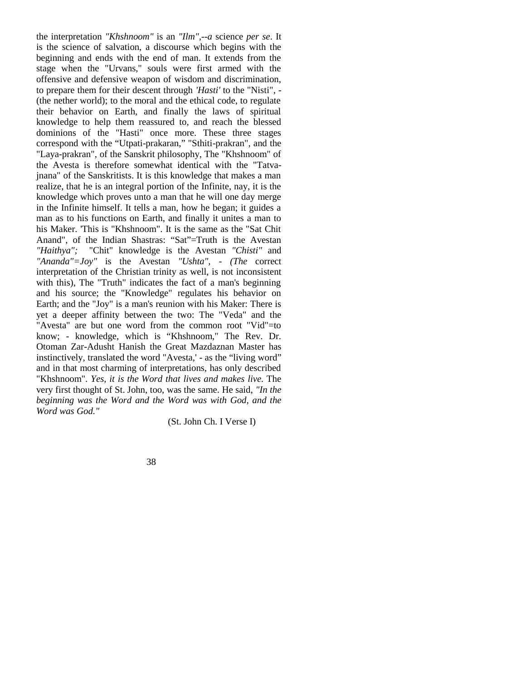the interpretation *"Khshnoom"* is an *"Ilm",--a* science *per se*. It is the science of salvation, a discourse which begins with the beginning and ends with the end of man. It extends from the stage when the "Urvans," souls were first armed with the offensive and defensive weapon of wisdom and discrimination, to prepare them for their descent through *'Hasti'* to the "Nisti", - (the nether world); to the moral and the ethical code, to regulate their behavior on Earth, and finally the laws of spiritual knowledge to help them reassured to, and reach the blessed dominions of the "Hasti" once more. These three stages correspond with the "Utpati-prakaran," "Sthiti-prakran", and the "Laya-prakran", of the Sanskrit philosophy, The "Khshnoom" of the Avesta is therefore somewhat identical with the "Tatvajnana" of the Sanskritists. It is this knowledge that makes a man realize, that he is an integral portion of the Infinite, nay, it is the knowledge which proves unto a man that he will one day merge in the Infinite himself. It tells a man, how he began; it guides a man as to his functions on Earth, and finally it unites a man to his Maker. 'This is "Khshnoom". It is the same as the "Sat Chit Anand", of the Indian Shastras: "Sat"=Truth is the Avestan *"Haithya";* "Chit" knowledge is the Avestan *"Chisti"* and *"Ananda"=Joy"* is the Avestan *"Ushta", - (The* correct interpretation of the Christian trinity as well, is not inconsistent with this), The "Truth" indicates the fact of a man's beginning and his source; the "Knowledge" regulates his behavior on Earth; and the "Joy" is a man's reunion with his Maker: There is yet a deeper affinity between the two: The "Veda" and the "Avesta" are but one word from the common root "Vid"=to know; - knowledge, which is "Khshnoom," The Rev. Dr. Otoman Zar-Adusht Hanish the Great Mazdaznan Master has instinctively, translated the word "Avesta,' - as the "living word" and in that most charming of interpretations, has only described "Khshnoom". *Yes, it is the Word that lives and makes live.* The very first thought of St. John, too, was the same. He said, *"In the beginning was the Word and the Word was with God, and the Word was God."*

(St. John Ch. I Verse I)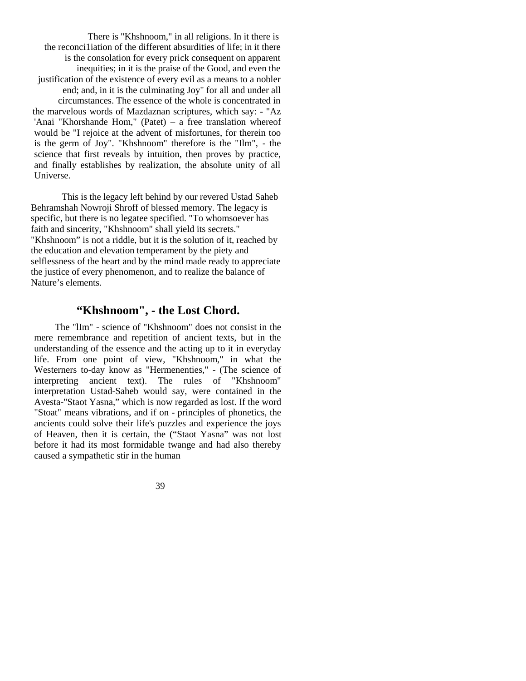There is "Khshnoom," in all religions. In it there is the reconci1iation of the different absurdities of life; in it there is the consolation for every prick consequent on apparent inequities; in it is the praise of the Good, and even the justification of the existence of every evil as a means to a nobler end; and, in it is the culminating Joy" for all and under all circumstances. The essence of the whole is concentrated in the marvelous words of Mazdaznan scriptures, which say: - "Az 'Anai "Khorshande Hom," (Patet) – a free translation whereof would be "I rejoice at the advent of misfortunes, for therein too is the germ of Joy". "Khshnoom" therefore is the "Ilm", - the science that first reveals by intuition, then proves by practice, and finally establishes by realization, the absolute unity of all Universe.

This is the legacy left behind by our revered Ustad Saheb Behramshah Nowroji Shroff of blessed memory. The legacy is specific, but there is no legatee specified. "To whomsoever has faith and sincerity, "Khshnoom" shall yield its secrets." "Khshnoom" is not a riddle, but it is the solution of it, reached by the education and elevation temperament by the piety and selflessness of the heart and by the mind made ready to appreciate the justice of every phenomenon, and to realize the balance of Nature's elements.

## **"Khshnoom", - the Lost Chord.**

The "lIm" - science of "Khshnoom" does not consist in the mere remembrance and repetition of ancient texts, but in the understanding of the essence and the acting up to it in everyday life. From one point of view, "Khshnoom," in what the Westerners to-day know as "Hermenenties," - (The science of interpreting ancient text). The rules of "Khshnoom" interpretation Ustad-Saheb would say, were contained in the Avesta-"Staot Yasna," which is now regarded as lost. If the word "Stoat" means vibrations, and if on - principles of phonetics, the ancients could solve their life's puzzles and experience the joys of Heaven, then it is certain, the ("Staot Yasna" was not lost before it had its most formidable twange and had also thereby caused a sympathetic stir in the human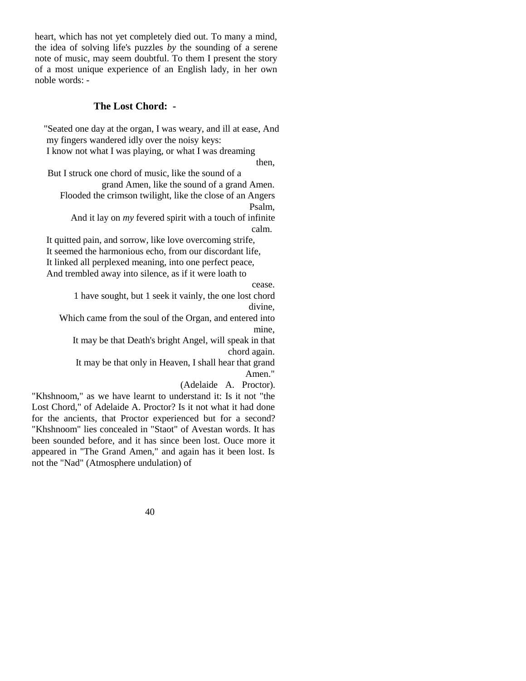heart, which has not yet completely died out. To many a mind, the idea of solving life's puzzles *by* the sounding of a serene note of music, may seem doubtful. To them I present the story of a most unique experience of an English lady, in her own noble words: -

### **The Lost Chord: -**

"Seated one day at the organ, I was weary, and ill at ease, And my fingers wandered idly over the noisy keys:

I know not what I was playing, or what I was dreaming

then,

But I struck one chord of music, like the sound of a grand Amen, like the sound of a grand Amen.

Flooded the crimson twilight, like the close of an Angers Psalm,

And it lay on *my* fevered spirit with a touch of infinite calm.

It quitted pain, and sorrow, like love overcoming strife, It seemed the harmonious echo, from our discordant life, It linked all perplexed meaning, into one perfect peace, And trembled away into silence, as if it were loath to

cease.

1 have sought, but 1 seek it vainly, the one lost chord divine,

Which came from the soul of the Organ, and entered into mine,

It may be that Death's bright Angel, will speak in that chord again.

It may be that only in Heaven, I shall hear that grand Amen."

(Adelaide A. Proctor).

"Khshnoom," as we have learnt to understand it: Is it not "the Lost Chord," of Adelaide A. Proctor? Is it not what it had done for the ancients, that Proctor experienced but for a second? "Khshnoom" lies concealed in "Staot" of Avestan words. It has been sounded before, and it has since been lost. Ouce more it appeared in "The Grand Amen," and again has it been lost. Is not the "Nad" (Atmosphere undulation) of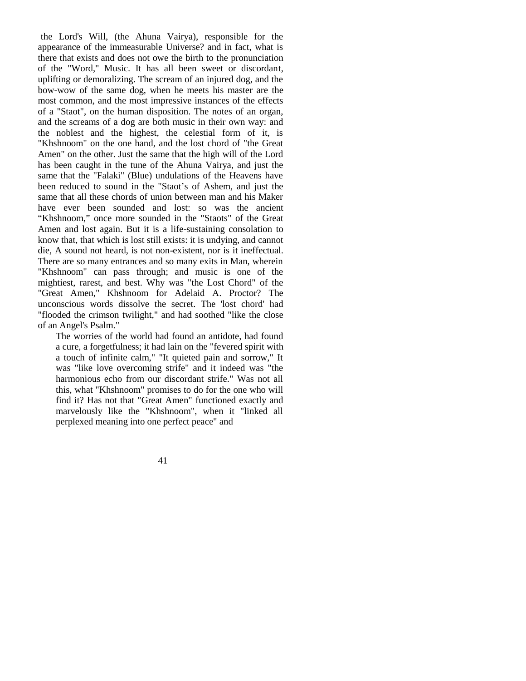the Lord's Will, (the Ahuna Vairya), responsible for the appearance of the immeasurable Universe? and in fact, what is there that exists and does not owe the birth to the pronunciation of the "Word," Music. It has all been sweet or discordant, uplifting or demoralizing. The scream of an injured dog, and the bow-wow of the same dog, when he meets his master are the most common, and the most impressive instances of the effects of a "Staot", on the human disposition. The notes of an organ, and the screams of a dog are both music in their own way: and the noblest and the highest, the celestial form of it, is "Khshnoom" on the one hand, and the lost chord of "the Great Amen" on the other. Just the same that the high will of the Lord has been caught in the tune of the Ahuna Vairya, and just the same that the "Falaki" (Blue) undulations of the Heavens have been reduced to sound in the "Staot's of Ashem, and just the same that all these chords of union between man and his Maker have ever been sounded and lost: so was the ancient "Khshnoom," once more sounded in the "Staots" of the Great Amen and lost again. But it is a life-sustaining consolation to know that, that which is lost still exists: it is undying, and cannot die, A sound not heard, is not non-existent, nor is it ineffectual. There are so many entrances and so many exits in Man, wherein "Khshnoom" can pass through; and music is one of the mightiest, rarest, and best. Why was "the Lost Chord" of the "Great Amen," Khshnoom for Adelaid A. Proctor? The unconscious words dissolve the secret. The 'lost chord' had "flooded the crimson twilight," and had soothed "like the close of an Angel's Psalm."

The worries of the world had found an antidote, had found a cure, a forgetfulness; it had lain on the "fevered spirit with a touch of infinite calm," "It quieted pain and sorrow," It was "like love overcoming strife" and it indeed was "the harmonious echo from our discordant strife." Was not all this, what "Khshnoom" promises to do for the one who will find it? Has not that "Great Amen" functioned exactly and marvelously like the "Khshnoom", when it "linked all perplexed meaning into one perfect peace" and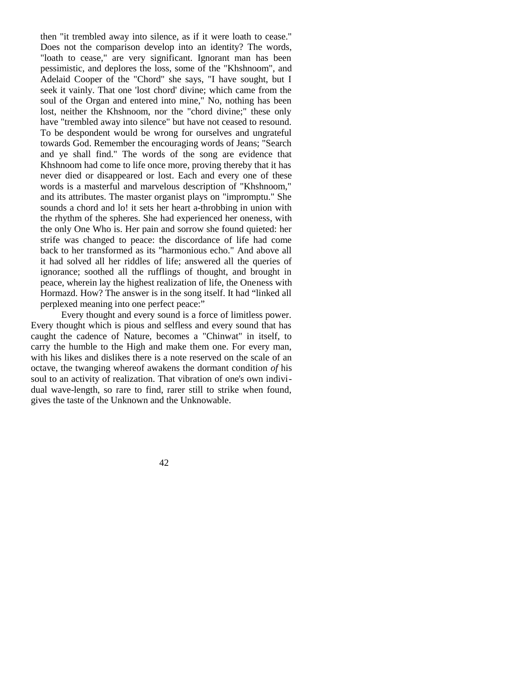then "it trembled away into silence, as if it were loath to cease." Does not the comparison develop into an identity? The words, "loath to cease," are very significant. Ignorant man has been pessimistic, and deplores the loss, some of the "Khshnoom", and Adelaid Cooper of the "Chord" she says, "I have sought, but I seek it vainly. That one 'lost chord' divine; which came from the soul of the Organ and entered into mine," No, nothing has been lost, neither the Khshnoom, nor the "chord divine;" these only have "trembled away into silence" but have not ceased to resound. To be despondent would be wrong for ourselves and ungrateful towards God. Remember the encouraging words of Jeans; "Search and ye shall find." The words of the song are evidence that Khshnoom had come to life once more, proving thereby that it has never died or disappeared or lost. Each and every one of these words is a masterful and marvelous description of "Khshnoom," and its attributes. The master organist plays on "impromptu." She sounds a chord and lo! it sets her heart a-throbbing in union with the rhythm of the spheres. She had experienced her oneness, with the only One Who is. Her pain and sorrow she found quieted: her strife was changed to peace: the discordance of life had come back to her transformed as its "harmonious echo." And above all it had solved all her riddles of life; answered all the queries of ignorance; soothed all the rufflings of thought, and brought in peace, wherein lay the highest realization of life, the Oneness with Hormazd. How? The answer is in the song itself. It had "linked all perplexed meaning into one perfect peace:"

Every thought and every sound is a force of limitless power. Every thought which is pious and selfless and every sound that has caught the cadence of Nature, becomes a "Chinwat" in itself, to carry the humble to the High and make them one. For every man, with his likes and dislikes there is a note reserved on the scale of an octave, the twanging whereof awakens the dormant condition *of* his soul to an activity of realization. That vibration of one's own individual wave-length, so rare to find, rarer still to strike when found, gives the taste of the Unknown and the Unknowable.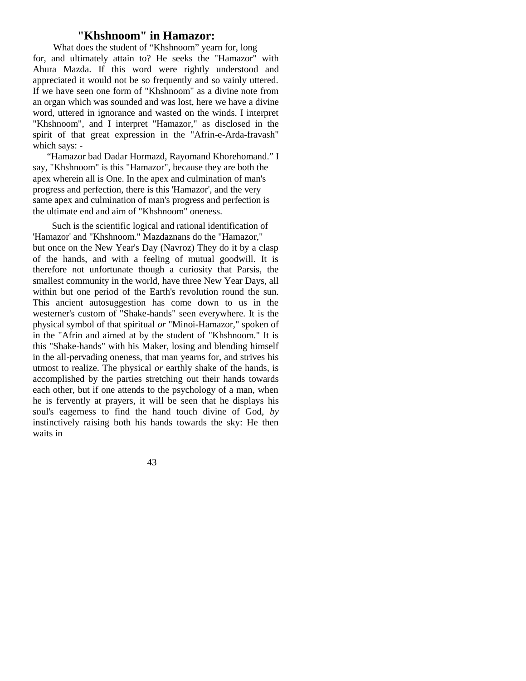### **"Khshnoom" in Hamazor:**

What does the student of "Khshnoom" yearn for, long for, and ultimately attain to? He seeks the "Hamazor" with Ahura Mazda. If this word were rightly understood and appreciated it would not be so frequently and so vainly uttered. If we have seen one form of "Khshnoom" as a divine note from an organ which was sounded and was lost, here we have a divine word, uttered in ignorance and wasted on the winds. I interpret "Khshnoom", and I interpret "Hamazor," as disclosed in the spirit of that great expression in the "Afrin-e-Arda-fravash" which says: -

"Hamazor bad Dadar Hormazd, Rayomand Khorehomand." I say, "Khshnoom" is this "Hamazor", because they are both the apex wherein all is One. In the apex and culmination of man's progress and perfection, there is this 'Hamazor', and the very same apex and culmination of man's progress and perfection is the ultimate end and aim of "Khshnoom" oneness.

Such is the scientific logical and rational identification of 'Hamazor' and "Khshnoom." Mazdaznans do the "Hamazor," but once on the New Year's Day (Navroz) They do it by a clasp of the hands, and with a feeling of mutual goodwill. It is therefore not unfortunate though a curiosity that Parsis, the smallest community in the world, have three New Year Days, all within but one period of the Earth's revolution round the sun. This ancient autosuggestion has come down to us in the westerner's custom of "Shake-hands" seen everywhere. It is the physical symbol of that spiritual *or* "Minoi-Hamazor," spoken of in the "Afrin and aimed at by the student of "Khshnoom." It is this "Shake-hands" with his Maker, losing and blending himself in the all-pervading oneness, that man yearns for, and strives his utmost to realize. The physical *or* earthly shake of the hands, is accomplished by the parties stretching out their hands towards each other, but if one attends to the psychology of a man, when he is fervently at prayers, it will be seen that he displays his soul's eagerness to find the hand touch divine of God, *by*  instinctively raising both his hands towards the sky: He then waits in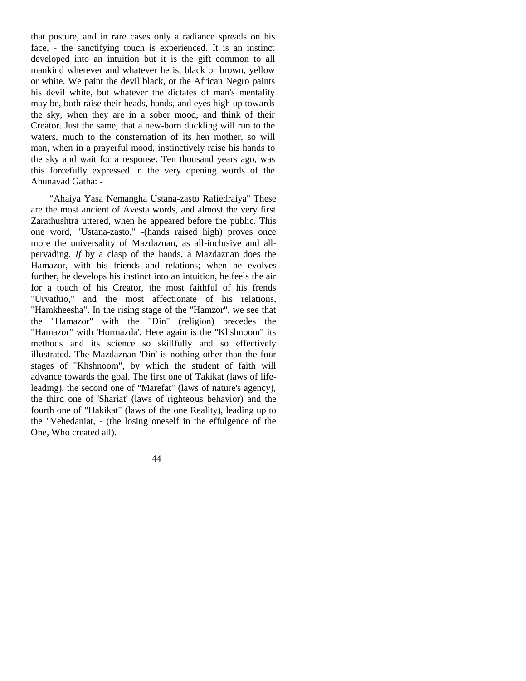that posture, and in rare cases only a radiance spreads on his face, - the sanctifying touch is experienced. It is an instinct developed into an intuition but it is the gift common to all mankind wherever and whatever he is, black or brown, yellow or white. We paint the devil black, or the African Negro paints his devil white, but whatever the dictates of man's mentality may be, both raise their heads, hands, and eyes high up towards the sky, when they are in a sober mood, and think of their Creator. Just the same, that a new-born duckling will run to the waters, much to the consternation of its hen mother, so will man, when in a prayerful mood, instinctively raise his hands to the sky and wait for a response. Ten thousand years ago, was this forcefully expressed in the very opening words of the Ahunavad Gatha: -

"Ahaiya Yasa Nemangha Ustana-zasto Rafiedraiya" These are the most ancient of Avesta words, and almost the very first Zarathushtra uttered, when he appeared before the public. This one word, "Ustana-zasto," -(hands raised high) proves once more the universality of Mazdaznan, as all-inclusive and allpervading. *If* by a clasp of the hands, a Mazdaznan does the Hamazor, with his friends and relations; when he evolves further, he develops his instinct into an intuition, he feels the air for a touch of his Creator, the most faithful of his frends "Urvathio," and the most affectionate of his relations, "Hamkheesha". In the rising stage of the "Hamzor", we see that the "Hamazor" with the "Din" (religion) precedes the "Hamazor" with 'Hormazda'. Here again is the "Khshnoom" its methods and its science so skillfully and so effectively illustrated. The Mazdaznan 'Din' is nothing other than the four stages of "Khshnoom", by which the student of faith will advance towards the goal. The first one of Takikat (laws of lifeleading), the second one of "Marefat" (laws of nature's agency), the third one of 'Shariat' (laws of righteous behavior) and the fourth one of "Hakikat" (laws of the one Reality), leading up to the "Vehedaniat, - (the losing oneself in the effulgence of the One, Who created all).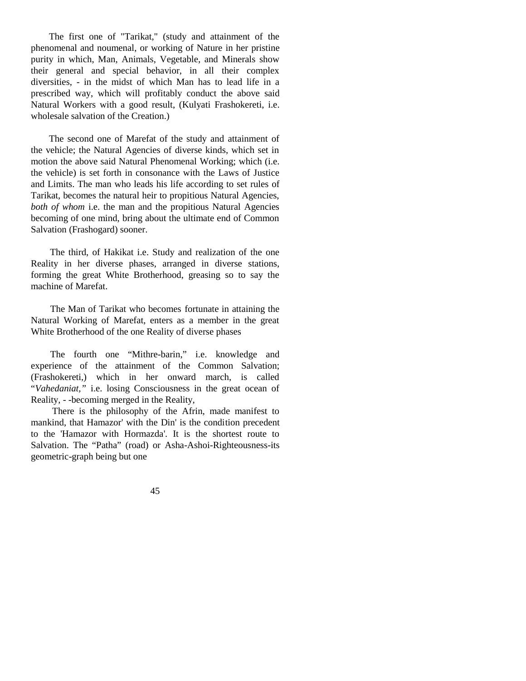The first one of "Tarikat," (study and attainment of the phenomenal and noumenal, or working of Nature in her pristine purity in which, Man, Animals, Vegetable, and Minerals show their general and special behavior, in all their complex diversities, - in the midst of which Man has to lead life in a prescribed way, which will profitably conduct the above said Natural Workers with a good result, (Kulyati Frashokereti, i.e. wholesale salvation of the Creation.)

The second one of Marefat of the study and attainment of the vehicle; the Natural Agencies of diverse kinds, which set in motion the above said Natural Phenomenal Working; which (i.e. the vehicle) is set forth in consonance with the Laws of Justice and Limits. The man who leads his life according to set rules of Tarikat, becomes the natural heir to propitious Natural Agencies, *both of whom* i.e. the man and the propitious Natural Agencies becoming of one mind, bring about the ultimate end of Common Salvation (Frashogard) sooner.

The third, of Hakikat i.e. Study and realization of the one Reality in her diverse phases, arranged in diverse stations, forming the great White Brotherhood, greasing so to say the machine of Marefat.

The Man of Tarikat who becomes fortunate in attaining the Natural Working of Marefat, enters as a member in the great White Brotherhood of the one Reality of diverse phases

The fourth one "Mithre-barin," i.e. knowledge and experience of the attainment of the Common Salvation; (Frashokereti,) which in her onward march, is called "*Vahedaniat,"* i.e. losing Consciousness in the great ocean of Reality, - -becoming merged in the Reality,

 There is the philosophy of the Afrin, made manifest to mankind, that Hamazor' with the Din' is the condition precedent to the 'Hamazor with Hormazda'. It is the shortest route to Salvation. The "Patha" (road) or Asha-Ashoi-Righteousness-its geometric-graph being but one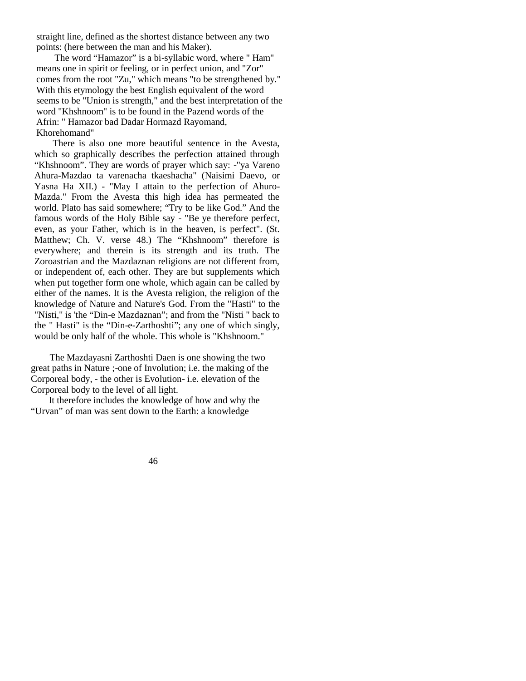straight line, defined as the shortest distance between any two points: (here between the man and his Maker).

The word "Hamazor" is a bi-syllabic word, where " Ham" means one in spirit or feeling, or in perfect union, and "Zor" comes from the root "Zu," which means "to be strengthened by." With this etymology the best English equivalent of the word seems to be "Union is strength," and the best interpretation of the word "Khshnoom" is to be found in the Pazend words of the Afrin: " Hamazor bad Dadar Hormazd Rayomand, Khorehomand"

There is also one more beautiful sentence in the Avesta, which so graphically describes the perfection attained through "Khshnoom". They are words of prayer which say: -"ya Vareno Ahura-Mazdao ta varenacha tkaeshacha" (Naisimi Daevo, or Yasna Ha XII.) - "May I attain to the perfection of Ahuro-Mazda." From the Avesta this high idea has permeated the world. Plato has said somewhere; "Try to be like God." And the famous words of the Holy Bible say - "Be ye therefore perfect, even, as your Father, which is in the heaven, is perfect". (St. Matthew; Ch. V. verse 48.) The "Khshnoom" therefore is everywhere; and therein is its strength and its truth. The Zoroastrian and the Mazdaznan religions are not different from, or independent of, each other. They are but supplements which when put together form one whole, which again can be called by either of the names. It is the Avesta religion, the religion of the knowledge of Nature and Nature's God. From the "Hasti" to the "Nisti," is 'the "Din-e Mazdaznan"; and from the "Nisti " back to the " Hasti" is the "Din-e-Zarthoshti"; any one of which singly, would be only half of the whole. This whole is "Khshnoom."

The Mazdayasni Zarthoshti Daen is one showing the two great paths in Nature ;-one of Involution; i.e. the making of the Corporeal body, - the other is Evolution- i.e. elevation of the Corporeal body to the level of all light.

It therefore includes the knowledge of how and why the "Urvan" of man was sent down to the Earth: a knowledge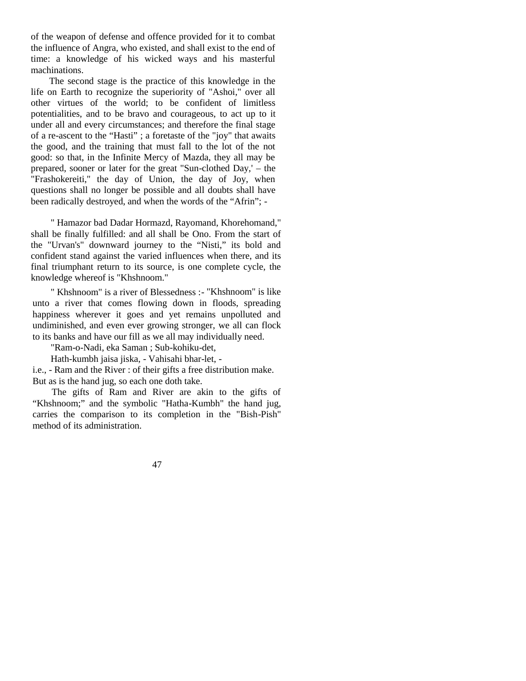of the weapon of defense and offence provided for it to combat the influence of Angra, who existed, and shall exist to the end of time: a knowledge of his wicked ways and his masterful machinations.

The second stage is the practice of this knowledge in the life on Earth to recognize the superiority of "Ashoi," over all other virtues of the world; to be confident of limitless potentialities, and to be bravo and courageous, to act up to it under all and every circumstances; and therefore the final stage of a re-ascent to the "Hasti" ; a foretaste of the "joy" that awaits the good, and the training that must fall to the lot of the not good: so that, in the Infinite Mercy of Mazda, they all may be prepared, sooner or later for the great "Sun-clothed Day,' – the "Frashokereiti," the day of Union, the day of Joy, when questions shall no longer be possible and all doubts shall have been radically destroyed, and when the words of the "Afrin"; -

" Hamazor bad Dadar Hormazd, Rayomand, Khorehomand," shall be finally fulfilled: and all shall be Ono. From the start of the "Urvan's" downward journey to the "Nisti," its bold and confident stand against the varied influences when there, and its final triumphant return to its source, is one complete cycle, the knowledge whereof is "Khshnoom."

" Khshnoom" is a river of Blessedness :- "Khshnoom" is like unto a river that comes flowing down in floods, spreading happiness wherever it goes and yet remains unpolluted and undiminished, and even ever growing stronger, we all can flock to its banks and have our fill as we all may individually need.

"Ram-o-Nadi, eka Saman ; Sub-kohiku-det,

Hath-kumbh jaisa jiska, - Vahisahi bhar-let, -

i.e., - Ram and the River : of their gifts a free distribution make. But as is the hand jug, so each one doth take.

The gifts of Ram and River are akin to the gifts of "Khshnoom;" and the symbolic "Hatha-Kumbh" the hand jug, carries the comparison to its completion in the "Bish-Pish" method of its administration.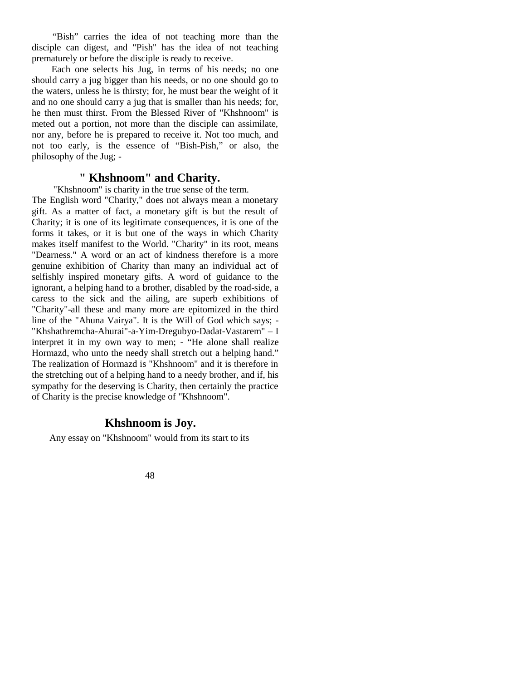"Bish" carries the idea of not teaching more than the disciple can digest, and "Pish" has the idea of not teaching prematurely or before the disciple is ready to receive.

Each one selects his Jug, in terms of his needs; no one should carry a jug bigger than his needs, or no one should go to the waters, unless he is thirsty; for, he must bear the weight of it and no one should carry a jug that is smaller than his needs; for, he then must thirst. From the Blessed River of "Khshnoom" is meted out a portion, not more than the disciple can assimilate, nor any, before he is prepared to receive it. Not too much, and not too early, is the essence of "Bish-Pish," or also, the philosophy of the Jug; -

## **" Khshnoom" and Charity.**

 "Khshnoom" is charity in the true sense of the term. The English word "Charity," does not always mean a monetary gift. As a matter of fact, a monetary gift is but the result of Charity; it is one of its legitimate consequences, it is one of the forms it takes, or it is but one of the ways in which Charity makes itself manifest to the World. "Charity" in its root, means "Dearness." A word or an act of kindness therefore is a more genuine exhibition of Charity than many an individual act of selfishly inspired monetary gifts. A word of guidance to the ignorant, a helping hand to a brother, disabled by the road-side, a caress to the sick and the ailing, are superb exhibitions of "Charity"-all these and many more are epitomized in the third line of the "Ahuna Vairya". It is the Will of God which says; - "Khshathremcha-Ahurai"-a-Yim-Dregubyo-Dadat-Vastarem" – I interpret it in my own way to men; - "He alone shall realize Hormazd, who unto the needy shall stretch out a helping hand." The realization of Hormazd is "Khshnoom" and it is therefore in the stretching out of a helping hand to a needy brother, and if, his sympathy for the deserving is Charity, then certainly the practice of Charity is the precise knowledge of "Khshnoom".

## **Khshnoom is Joy.**

Any essay on "Khshnoom" would from its start to its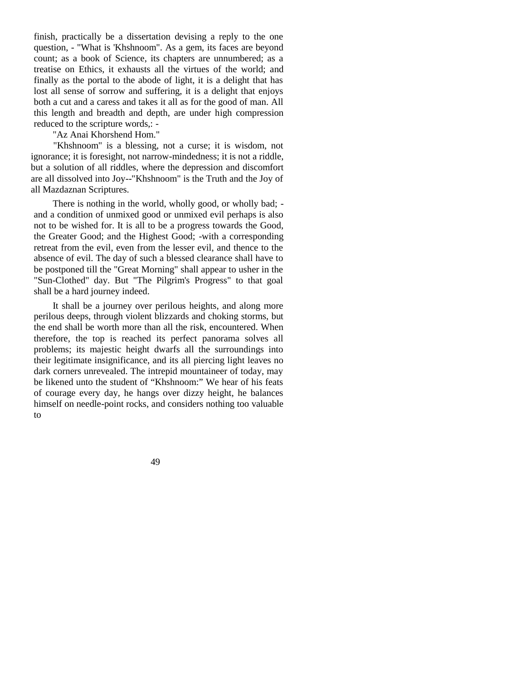finish, practically be a dissertation devising a reply to the one question, - "What is 'Khshnoom". As a gem, its faces are beyond count; as a book of Science, its chapters are unnumbered; as a treatise on Ethics, it exhausts all the virtues of the world; and finally as the portal to the abode of light, it is a delight that has lost all sense of sorrow and suffering, it is a delight that enjoys both a cut and a caress and takes it all as for the good of man. All this length and breadth and depth, are under high compression reduced to the scripture words,: -

"Az Anai Khorshend Hom."

"Khshnoom" is a blessing, not a curse; it is wisdom, not ignorance; it is foresight, not narrow-mindedness; it is not a riddle, but a solution of all riddles, where the depression and discomfort are all dissolved into Joy--"Khshnoom" is the Truth and the Joy of all Mazdaznan Scriptures.

There is nothing in the world, wholly good, or wholly bad; and a condition of unmixed good or unmixed evil perhaps is also not to be wished for. It is all to be a progress towards the Good, the Greater Good; and the Highest Good; -with a corresponding retreat from the evil, even from the lesser evil, and thence to the absence of evil. The day of such a blessed clearance shall have to be postponed till the "Great Morning" shall appear to usher in the "Sun-Clothed" day. But "The Pilgrim's Progress" to that goal shall be a hard journey indeed.

It shall be a journey over perilous heights, and along more perilous deeps, through violent blizzards and choking storms, but the end shall be worth more than all the risk, encountered. When therefore, the top is reached its perfect panorama solves all problems; its majestic height dwarfs all the surroundings into their legitimate insignificance, and its all piercing light leaves no dark corners unrevealed. The intrepid mountaineer of today, may be likened unto the student of "Khshnoom:" We hear of his feats of courage every day, he hangs over dizzy height, he balances himself on needle-point rocks, and considers nothing too valuable to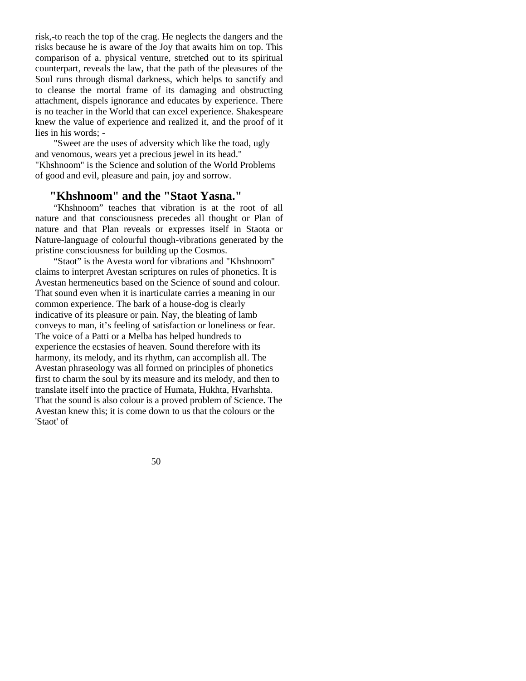risk,-to reach the top of the crag. He neglects the dangers and the risks because he is aware of the Joy that awaits him on top. This comparison of a. physical venture, stretched out to its spiritual counterpart, reveals the law, that the path of the pleasures of the Soul runs through dismal darkness, which helps to sanctify and to cleanse the mortal frame of its damaging and obstructing attachment, dispels ignorance and educates by experience. There is no teacher in the World that can excel experience. Shakespeare knew the value of experience and realized it, and the proof of it lies in his words; -

"Sweet are the uses of adversity which like the toad, ugly and venomous, wears yet a precious jewel in its head." "Khshnoom" is the Science and solution of the World Problems of good and evil, pleasure and pain, joy and sorrow.

## **"Khshnoom" and the "Staot Yasna."**

"Khshnoom" teaches that vibration is at the root of all nature and that consciousness precedes all thought or Plan of nature and that Plan reveals or expresses itself in Staota or Nature-language of colourful though-vibrations generated by the pristine consciousness for building up the Cosmos.

"Staot" is the Avesta word for vibrations and "Khshnoom" claims to interpret Avestan scriptures on rules of phonetics. It is Avestan hermeneutics based on the Science of sound and colour. That sound even when it is inarticulate carries a meaning in our common experience. The bark of a house-dog is clearly indicative of its pleasure or pain. Nay, the bleating of lamb conveys to man, it's feeling of satisfaction or loneliness or fear. The voice of a Patti or a Melba has helped hundreds to experience the ecstasies of heaven. Sound therefore with its harmony, its melody, and its rhythm, can accomplish all. The Avestan phraseology was all formed on principles of phonetics first to charm the soul by its measure and its melody, and then to translate itself into the practice of Humata, Hukhta, Hvarhshta. That the sound is also colour is a proved problem of Science. The Avestan knew this; it is come down to us that the colours or the 'Staot' of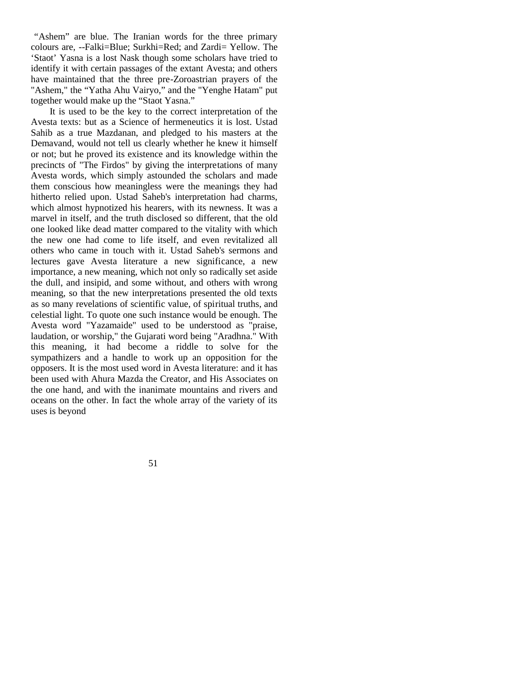*"*Ashem" are blue. The Iranian words for the three primary colours are, --Falki=Blue; Surkhi=Red; and Zardi= Yellow. The 'Staot' Yasna is a lost Nask though some scholars have tried to identify it with certain passages of the extant Avesta; and others have maintained that the three pre-Zoroastrian prayers of the "Ashem," the "Yatha Ahu Vairyo," and the "Yenghe Hatam" put together would make up the "Staot Yasna."

It is used to be the key to the correct interpretation of the Avesta texts: but as a Science of hermeneutics it is lost. Ustad Sahib as a true Mazdanan, and pledged to his masters at the Demavand, would not tell us clearly whether he knew it himself or not; but he proved its existence and its knowledge within the precincts of "The Firdos" by giving the interpretations of many Avesta words, which simply astounded the scholars and made them conscious how meaningless were the meanings they had hitherto relied upon. Ustad Saheb's interpretation had charms, which almost hypnotized his hearers, with its newness. It was a marvel in itself, and the truth disclosed so different, that the old one looked like dead matter compared to the vitality with which the new one had come to life itself, and even revitalized all others who came in touch with it. Ustad Saheb's sermons and lectures gave Avesta literature a new significance, a new importance, a new meaning, which not only so radically set aside the dull, and insipid, and some without, and others with wrong meaning, so that the new interpretations presented the old texts as so many revelations of scientific value, of spiritual truths, and celestial light. To quote one such instance would be enough. The Avesta word "Yazamaide" used to be understood as "praise, laudation, or worship," the Gujarati word being "Aradhna." With this meaning, it had become a riddle to solve for the sympathizers and a handle to work up an opposition for the opposers. It is the most used word in Avesta literature: and it has been used with Ahura Mazda the Creator, and His Associates on the one hand, and with the inanimate mountains and rivers and oceans on the other. In fact the whole array of the variety of its uses is beyond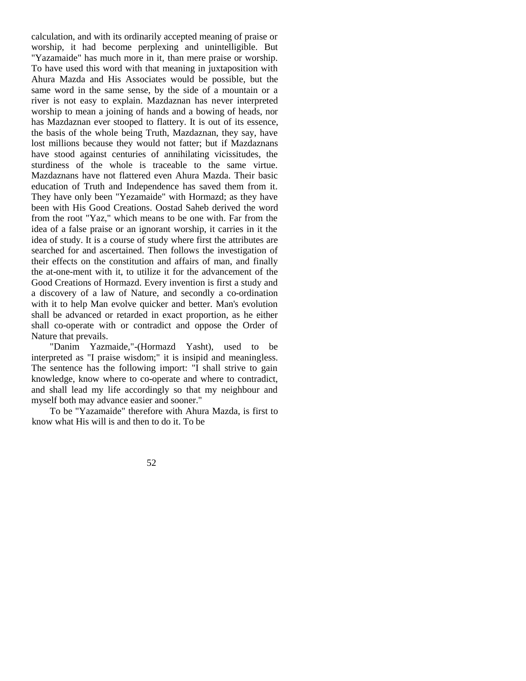calculation, and with its ordinarily accepted meaning of praise or worship, it had become perplexing and unintelligible. But "Yazamaide" has much more in it, than mere praise or worship. To have used this word with that meaning in juxtaposition with Ahura Mazda and His Associates would be possible, but the same word in the same sense, by the side of a mountain or a river is not easy to explain. Mazdaznan has never interpreted worship to mean a joining of hands and a bowing of heads, nor has Mazdaznan ever stooped to flattery. It is out of its essence, the basis of the whole being Truth, Mazdaznan, they say, have lost millions because they would not fatter; but if Mazdaznans have stood against centuries of annihilating vicissitudes, the sturdiness of the whole is traceable to the same virtue. Mazdaznans have not flattered even Ahura Mazda. Their basic education of Truth and Independence has saved them from it. They have only been "Yezamaide" with Hormazd; as they have been with His Good Creations. Oostad Saheb derived the word from the root "Yaz," which means to be one with. Far from the idea of a false praise or an ignorant worship, it carries in it the idea of study. It is a course of study where first the attributes are searched for and ascertained. Then follows the investigation of their effects on the constitution and affairs of man, and finally the at-one-ment with it, to utilize it for the advancement of the Good Creations of Hormazd. Every invention is first a study and a discovery of a law of Nature, and secondly a co-ordination with it to help Man evolve quicker and better. Man's evolution shall be advanced or retarded in exact proportion, as he either shall co-operate with or contradict and oppose the Order of Nature that prevails.

"Danim Yazmaide,"-(Hormazd Yasht), used to be interpreted as "I praise wisdom;" it is insipid and meaningless. The sentence has the following import: "I shall strive to gain knowledge, know where to co-operate and where to contradict, and shall lead my life accordingly so that my neighbour and myself both may advance easier and sooner."

To be "Yazamaide" therefore with Ahura Mazda, is first to know what His will is and then to do it. To be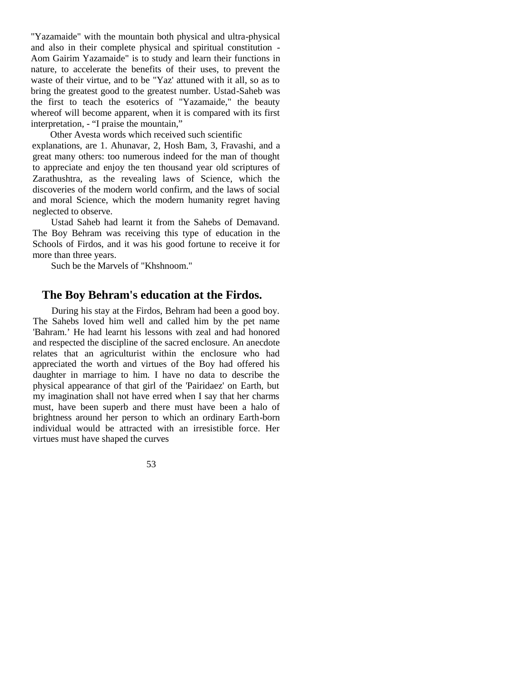"Yazamaide" with the mountain both physical and ultra-physical and also in their complete physical and spiritual constitution - Aom Gairim Yazamaide" is to study and learn their functions in nature, to accelerate the benefits of their uses, to prevent the waste of their virtue, and to be "Yaz' attuned with it all, so as to bring the greatest good to the greatest number. Ustad-Saheb was the first to teach the esoterics of "Yazamaide," the beauty whereof will become apparent, when it is compared with its first interpretation, - "I praise the mountain,"

Other Avesta words which received such scientific explanations, are 1. Ahunavar, 2, Hosh Bam, 3, Fravashi, and a great many others: too numerous indeed for the man of thought to appreciate and enjoy the ten thousand year old scriptures of Zarathushtra, as the revealing laws of Science, which the discoveries of the modern world confirm, and the laws of social and moral Science, which the modern humanity regret having neglected to observe.

Ustad Saheb had learnt it from the Sahebs of Demavand. The Boy Behram was receiving this type of education in the Schools of Firdos, and it was his good fortune to receive it for more than three years.

Such be the Marvels of "Khshnoom."

# **The Boy Behram's education at the Firdos.**

During his stay at the Firdos, Behram had been a good boy. The Sahebs loved him well and called him by the pet name 'Bahram.' He had learnt his lessons with zeal and had honored and respected the discipline of the sacred enclosure. An anecdote relates that an agriculturist within the enclosure who had appreciated the worth and virtues of the Boy had offered his daughter in marriage to him. I have no data to describe the physical appearance of that girl of the 'Pairidaez' on Earth, but my imagination shall not have erred when I say that her charms must, have been superb and there must have been a halo of brightness around her person to which an ordinary Earth-born individual would be attracted with an irresistible force. Her virtues must have shaped the curves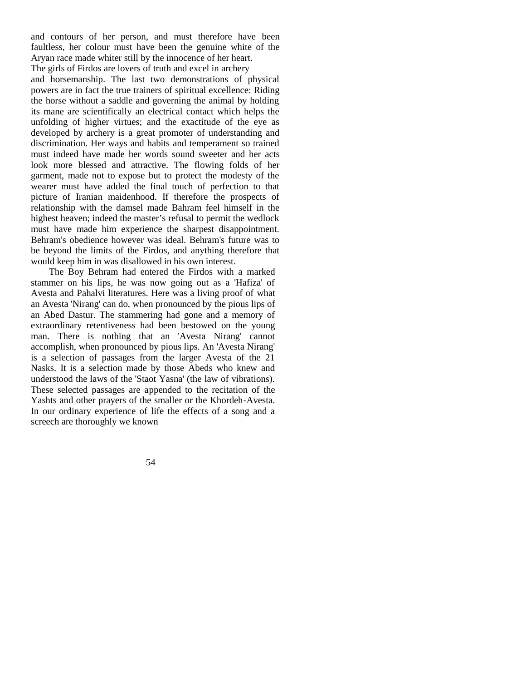and contours of her person, and must therefore have been faultless, her colour must have been the genuine white of the Aryan race made whiter still by the innocence of her heart.

The girls of Firdos are lovers of truth and excel in archery and horsemanship. The last two demonstrations of physical powers are in fact the true trainers of spiritual excellence: Riding the horse without a saddle and governing the animal by holding its mane are scientifically an electrical contact which helps the unfolding of higher virtues; and the exactitude of the eye as developed by archery is a great promoter of understanding and discrimination. Her ways and habits and temperament so trained must indeed have made her words sound sweeter and her acts look more blessed and attractive. The flowing folds of her garment, made not to expose but to protect the modesty of the wearer must have added the final touch of perfection to that picture of Iranian maidenhood. If therefore the prospects of relationship with the damsel made Bahram feel himself in the highest heaven; indeed the master's refusal to permit the wedlock must have made him experience the sharpest disappointment. Behram's obedience however was ideal. Behram's future was to be beyond the limits of the Firdos, and anything therefore that would keep him in was disallowed in his own interest.

The Boy Behram had entered the Firdos with a marked stammer on his lips, he was now going out as a 'Hafiza' of Avesta and Pahalvi literatures. Here was a living proof of what an Avesta 'Nirang' can do, when pronounced by the pious lips of an Abed Dastur. The stammering had gone and a memory of extraordinary retentiveness had been bestowed on the young man. There is nothing that an 'Avesta Nirang' cannot accomplish, when pronounced by pious lips. An 'Avesta Nirang' is a selection of passages from the larger Avesta of the 21 Nasks. It is a selection made by those Abeds who knew and understood the laws of the 'Staot Yasna' (the law of vibrations). These selected passages are appended to the recitation of the Yashts and other prayers of the smaller or the Khordeh-Avesta. In our ordinary experience of life the effects of a song and a screech are thoroughly we known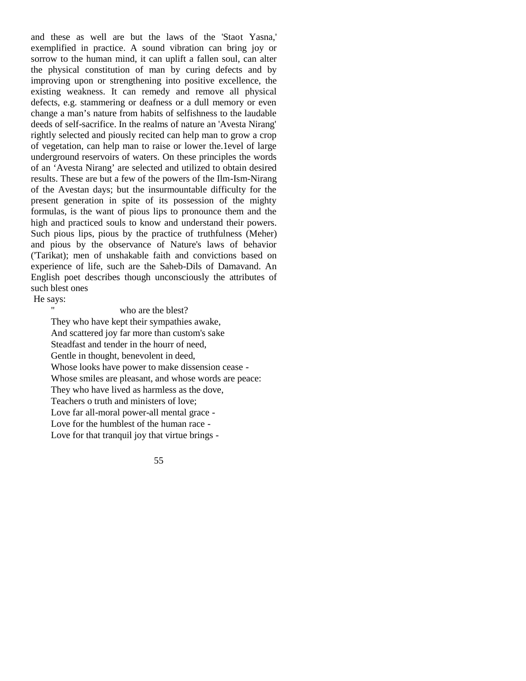and these as well are but the laws of the 'Staot Yasna,' exemplified in practice. A sound vibration can bring joy or sorrow to the human mind, it can uplift a fallen soul, can alter the physical constitution of man by curing defects and by improving upon or strengthening into positive excellence, the existing weakness. It can remedy and remove all physical defects, e.g. stammering or deafness or a dull memory or even change a man's nature from habits of selfishness to the laudable deeds of self-sacrifice. In the realms of nature an 'Avesta Nirang' rightly selected and piously recited can help man to grow a crop of vegetation, can help man to raise or lower the.1evel of large underground reservoirs of waters. On these principles the words of an 'Avesta Nirang' are selected and utilized to obtain desired results. These are but a few of the powers of the Ilm-Ism-Nirang of the Avestan days; but the insurmountable difficulty for the present generation in spite of its possession of the mighty formulas, is the want of pious lips to pronounce them and the high and practiced souls to know and understand their powers. Such pious lips, pious by the practice of truthfulness (Meher) and pious by the observance of Nature's laws of behavior ('Tarikat); men of unshakable faith and convictions based on experience of life, such are the Saheb-Dils of Damavand. An English poet describes though unconsciously the attributes of such blest ones

He says:

#### who are the blest?

They who have kept their sympathies awake, And scattered joy far more than custom's sake Steadfast and tender in the hourr of need, Gentle in thought, benevolent in deed, Whose looks have power to make dissension cease - Whose smiles are pleasant, and whose words are peace: They who have lived as harmless as the dove, Teachers o truth and ministers of love; Love far all-moral power-all mental grace - Love for the humblest of the human race - Love for that tranquil joy that virtue brings -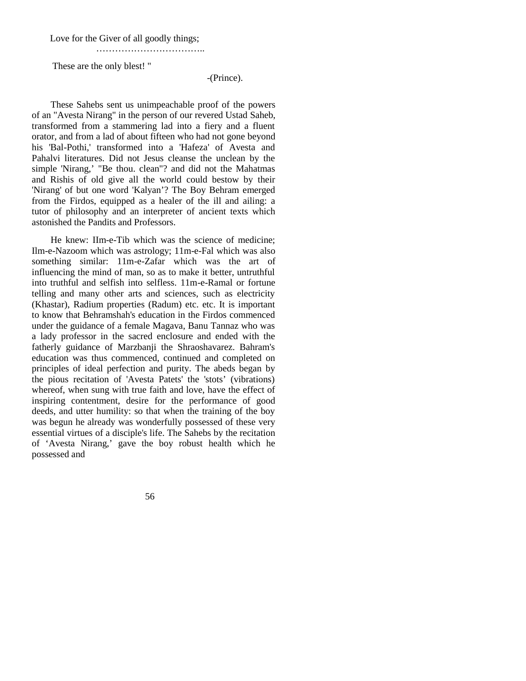Love for the Giver of all goodly things;

……………………………..

These are the only blest! "

#### -(Prince).

These Sahebs sent us unimpeachable proof of the powers of an "Avesta Nirang" in the person of our revered Ustad Saheb, transformed from a stammering lad into a fiery and a fluent orator, and from a lad of about fifteen who had not gone beyond his 'Bal-Pothi,' transformed into a 'Hafeza' of Avesta and Pahalvi literatures. Did not Jesus cleanse the unclean by the simple 'Nirang,' "Be thou. clean"? and did not the Mahatmas and Rishis of old give all the world could bestow by their 'Nirang' of but one word 'Kalyan'? The Boy Behram emerged from the Firdos, equipped as a healer of the ill and ailing: a tutor of philosophy and an interpreter of ancient texts which astonished the Pandits and Professors.

He knew: IIm-e-Tib which was the science of medicine; Ilm-e-Nazoom which was astrology; 11m-e-Fal which was also something similar: 11m-e-Zafar which was the art of influencing the mind of man, so as to make it better, untruthful into truthful and selfish into selfless. 11m-e-Ramal or fortune telling and many other arts and sciences, such as electricity (Khastar), Radium properties (Radum) etc. etc. It is important to know that Behramshah's education in the Firdos commenced under the guidance of a female Magava, Banu Tannaz who was a lady professor in the sacred enclosure and ended with the fatherly guidance of Marzbanji the Shraoshavarez. Bahram's education was thus commenced, continued and completed on principles of ideal perfection and purity. The abeds began by the pious recitation of 'Avesta Patets' the 'stots' (vibrations) whereof, when sung with true faith and love, have the effect of inspiring contentment, desire for the performance of good deeds, and utter humility: so that when the training of the boy was begun he already was wonderfully possessed of these very essential virtues of a disciple's life. The Sahebs by the recitation of 'Avesta Nirang,' gave the boy robust health which he possessed and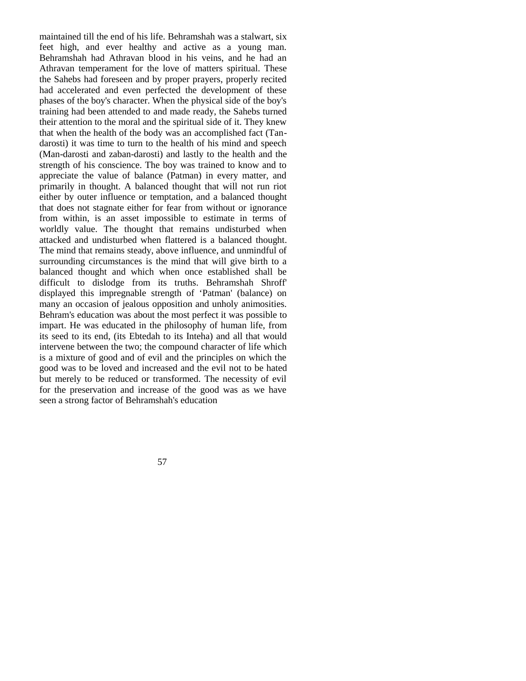maintained till the end of his life. Behramshah was a stalwart, six feet high, and ever healthy and active as a young man. Behramshah had Athravan blood in his veins, and he had an Athravan temperament for the love of matters spiritual. These the Sahebs had foreseen and by proper prayers, properly recited had accelerated and even perfected the development of these phases of the boy's character. When the physical side of the boy's training had been attended to and made ready, the Sahebs turned their attention to the moral and the spiritual side of it. They knew that when the health of the body was an accomplished fact (Tandarosti) it was time to turn to the health of his mind and speech (Man-darosti and zaban-darosti) and lastly to the health and the strength of his conscience. The boy was trained to know and to appreciate the value of balance (Patman) in every matter, and primarily in thought. A balanced thought that will not run riot either by outer influence or temptation, and a balanced thought that does not stagnate either for fear from without or ignorance from within, is an asset impossible to estimate in terms of worldly value. The thought that remains undisturbed when attacked and undisturbed when flattered is a balanced thought. The mind that remains steady, above influence, and unmindful of surrounding circumstances is the mind that will give birth to a balanced thought and which when once established shall be difficult to dislodge from its truths. Behramshah Shroff' displayed this impregnable strength of 'Patman' (balance) on many an occasion of jealous opposition and unholy animosities. Behram's education was about the most perfect it was possible to impart. He was educated in the philosophy of human life, from its seed to its end, (its Ebtedah to its Inteha) and all that would intervene between the two; the compound character of life which is a mixture of good and of evil and the principles on which the good was to be loved and increased and the evil not to be hated but merely to be reduced or transformed. The necessity of evil for the preservation and increase of the good was as we have seen a strong factor of Behramshah's education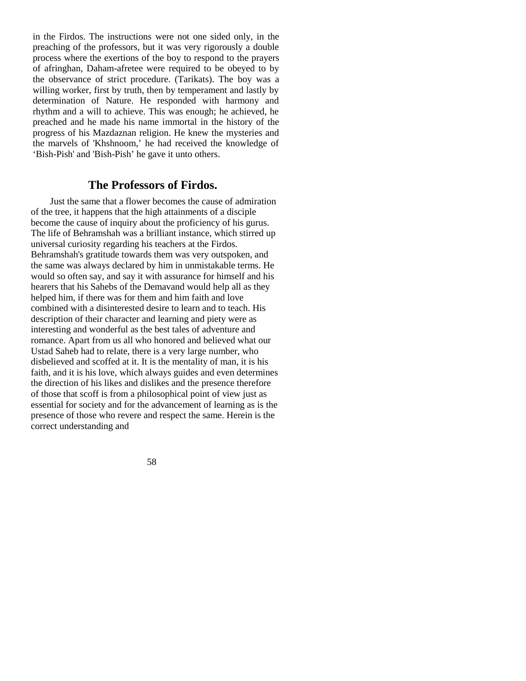in the Firdos. The instructions were not one sided only, in the preaching of the professors, but it was very rigorously a double process where the exertions of the boy to respond to the prayers of afringhan, Daham-afretee were required to be obeyed to by the observance of strict procedure. (Tarikats). The boy was a willing worker, first by truth, then by temperament and lastly by determination of Nature. He responded with harmony and rhythm and a will to achieve. This was enough; he achieved, he preached and he made his name immortal in the history of the progress of his Mazdaznan religion. He knew the mysteries and the marvels of 'Khshnoom,' he had received the knowledge of 'Bish-Pish' and 'Bish-Pish' he gave it unto others.

### **The Professors of Firdos.**

Just the same that a flower becomes the cause of admiration of the tree, it happens that the high attainments of a disciple become the cause of inquiry about the proficiency of his gurus. The life of Behramshah was a brilliant instance, which stirred up universal curiosity regarding his teachers at the Firdos. Behramshah's gratitude towards them was very outspoken, and the same was always declared by him in unmistakable terms. He would so often say, and say it with assurance for himself and his hearers that his Sahebs of the Demavand would help all as they helped him, if there was for them and him faith and love combined with a disinterested desire to learn and to teach. His description of their character and learning and piety were as interesting and wonderful as the best tales of adventure and romance. Apart from us all who honored and believed what our Ustad Saheb had to relate, there is a very large number, who disbelieved and scoffed at it. It is the mentality of man, it is his faith, and it is his love, which always guides and even determines the direction of his likes and dislikes and the presence therefore of those that scoff is from a philosophical point of view just as essential for society and for the advancement of learning as is the presence of those who revere and respect the same. Herein is the correct understanding and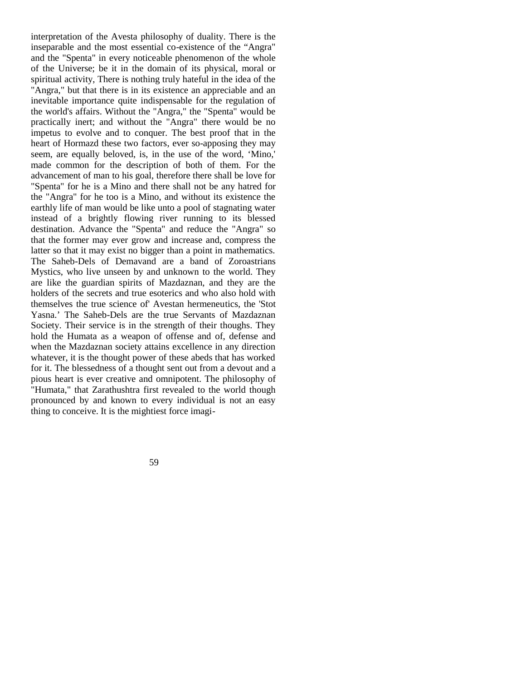interpretation of the Avesta philosophy of duality. There is the inseparable and the most essential co-existence of the "Angra" and the "Spenta" in every noticeable phenomenon of the whole of the Universe; be it in the domain of its physical, moral or spiritual activity, There is nothing truly hateful in the idea of the "Angra," but that there is in its existence an appreciable and an inevitable importance quite indispensable for the regulation of the world's affairs. Without the "Angra," the "Spenta" would be practically inert; and without the "Angra" there would be no impetus to evolve and to conquer. The best proof that in the heart of Hormazd these two factors, ever so-apposing they may seem, are equally beloved, is, in the use of the word, 'Mino,' made common for the description of both of them. For the advancement of man to his goal, therefore there shall be love for "Spenta" for he is a Mino and there shall not be any hatred for the "Angra" for he too is a Mino, and without its existence the earthly life of man would be like unto a pool of stagnating water instead of a brightly flowing river running to its blessed destination. Advance the "Spenta" and reduce the "Angra" so that the former may ever grow and increase and, compress the latter so that it may exist no bigger than a point in mathematics. The Saheb-Dels of Demavand are a band of Zoroastrians Mystics, who live unseen by and unknown to the world. They are like the guardian spirits of Mazdaznan, and they are the holders of the secrets and true esoterics and who also hold with themselves the true science of' Avestan hermeneutics, the 'Stot Yasna.' The Saheb-Dels are the true Servants of Mazdaznan Society. Their service is in the strength of their thoughs. They hold the Humata as a weapon of offense and of, defense and when the Mazdaznan society attains excellence in any direction whatever, it is the thought power of these abeds that has worked for it. The blessedness of a thought sent out from a devout and a pious heart is ever creative and omnipotent. The philosophy of "Humata," that Zarathushtra first revealed to the world though pronounced by and known to every individual is not an easy thing to conceive. It is the mightiest force imagi-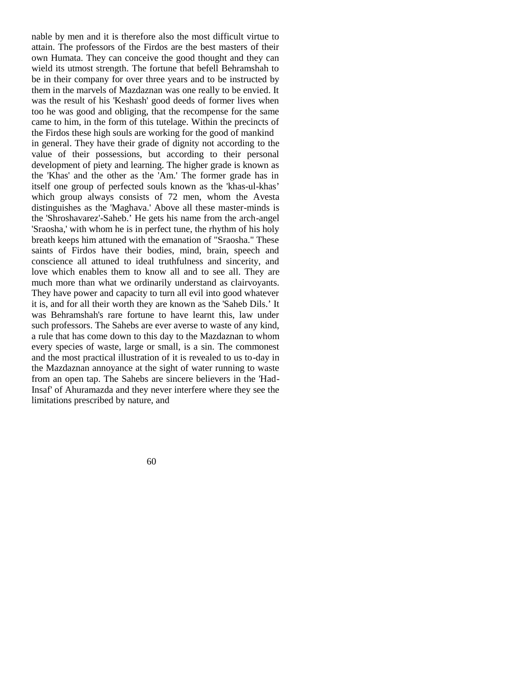nable by men and it is therefore also the most difficult virtue to attain. The professors of the Firdos are the best masters of their own Humata. They can conceive the good thought and they can wield its utmost strength. The fortune that befell Behramshah to be in their company for over three years and to be instructed by them in the marvels of Mazdaznan was one really to be envied. It was the result of his 'Keshash' good deeds of former lives when too he was good and obliging, that the recompense for the same came to him, in the form of this tutelage. Within the precincts of the Firdos these high souls are working for the good of mankind in general. They have their grade of dignity not according to the value of their possessions, but according to their personal development of piety and learning. The higher grade is known as the 'Khas' and the other as the 'Am.' The former grade has in itself one group of perfected souls known as the 'khas-ul-khas' which group always consists of 72 men, whom the Avesta distinguishes as the 'Maghava.' Above all these master-minds is the 'Shroshavarez'-Saheb.' He gets his name from the arch-angel 'Sraosha,' with whom he is in perfect tune, the rhythm of his holy breath keeps him attuned with the emanation of "Sraosha." These saints of Firdos have their bodies, mind, brain, speech and conscience all attuned to ideal truthfulness and sincerity, and love which enables them to know all and to see all. They are much more than what we ordinarily understand as clairvoyants. They have power and capacity to turn all evil into good whatever it is, and for all their worth they are known as the 'Saheb Dils.' It was Behramshah's rare fortune to have learnt this, law under such professors. The Sahebs are ever averse to waste of any kind, a rule that has come down to this day to the Mazdaznan to whom every species of waste, large or small, is a sin. The commonest and the most practical illustration of it is revealed to us to-day in the Mazdaznan annoyance at the sight of water running to waste from an open tap. The Sahebs are sincere believers in the 'Had-Insaf' of Ahuramazda and they never interfere where they see the limitations prescribed by nature, and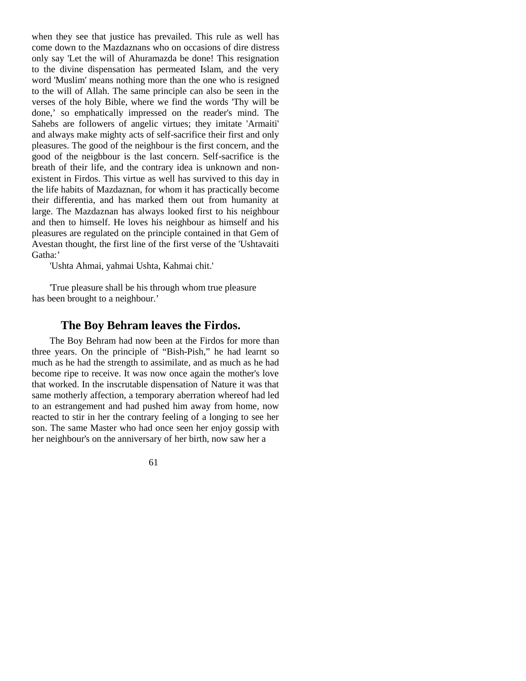when they see that justice has prevailed. This rule as well has come down to the Mazdaznans who on occasions of dire distress only say 'Let the will of Ahuramazda be done! This resignation to the divine dispensation has permeated Islam, and the very word 'Muslim' means nothing more than the one who is resigned to the will of Allah. The same principle can also be seen in the verses of the holy Bible, where we find the words 'Thy will be done,' so emphatically impressed on the reader's mind. The Sahebs are followers of angelic virtues; they imitate 'Armaiti' and always make mighty acts of self-sacrifice their first and only pleasures. The good of the neighbour is the first concern, and the good of the neigbbour is the last concern. Self-sacrifice is the breath of their life, and the contrary idea is unknown and nonexistent in Firdos. This virtue as well has survived to this day in the life habits of Mazdaznan, for whom it has practically become their differentia, and has marked them out from humanity at large. The Mazdaznan has always looked first to his neighbour and then to himself. He loves his neighbour as himself and his pleasures are regulated on the principle contained in that Gem of Avestan thought, the first line of the first verse of the 'Ushtavaiti Gatha:'

'Ushta Ahmai, yahmai Ushta, Kahmai chit.'

'True pleasure shall be his through whom true pleasure has been brought to a neighbour.'

### **The Boy Behram leaves the Firdos.**

The Boy Behram had now been at the Firdos for more than three years. On the principle of "Bish-Pish," he had learnt so much as he had the strength to assimilate, and as much as he had become ripe to receive. It was now once again the mother's love that worked. In the inscrutable dispensation of Nature it was that same motherly affection, a temporary aberration whereof had led to an estrangement and had pushed him away from home, now reacted to stir in her the contrary feeling of a longing to see her son. The same Master who had once seen her enjoy gossip with her neighbour's on the anniversary of her birth, now saw her a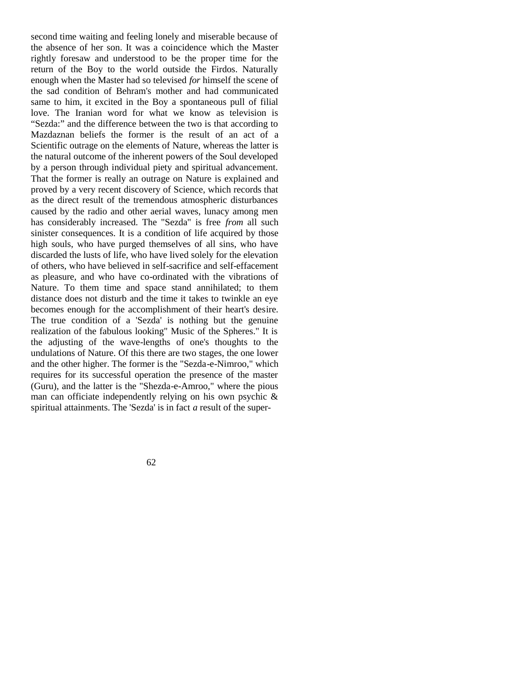second time waiting and feeling lonely and miserable because of the absence of her son. It was a coincidence which the Master rightly foresaw and understood to be the proper time for the return of the Boy to the world outside the Firdos. Naturally enough when the Master had so televised *for* himself the scene of the sad condition of Behram's mother and had communicated same to him, it excited in the Boy a spontaneous pull of filial love. The Iranian word for what we know as television is "Sezda:" and the difference between the two is that according to Mazdaznan beliefs the former is the result of an act of a Scientific outrage on the elements of Nature, whereas the latter is the natural outcome of the inherent powers of the Soul developed by a person through individual piety and spiritual advancement. That the former is really an outrage on Nature is explained and proved by a very recent discovery of Science, which records that as the direct result of the tremendous atmospheric disturbances caused by the radio and other aerial waves, lunacy among men has considerably increased. The "Sezda" is free *from* all such sinister consequences. It is a condition of life acquired by those high souls, who have purged themselves of all sins, who have discarded the lusts of life, who have lived solely for the elevation of others, who have believed in self-sacrifice and self-effacement as pleasure, and who have co-ordinated with the vibrations of Nature. To them time and space stand annihilated; to them distance does not disturb and the time it takes to twinkle an eye becomes enough for the accomplishment of their heart's desire. The true condition of a 'Sezda' is nothing but the genuine realization of the fabulous looking" Music of the Spheres." It is the adjusting of the wave-lengths of one's thoughts to the undulations of Nature. Of this there are two stages, the one lower and the other higher. The former is the "Sezda-e-Nimroo," which requires for its successful operation the presence of the master (Guru), and the latter is the "Shezda-e-Amroo," where the pious man can officiate independently relying on his own psychic & spiritual attainments. The 'Sezda' is in fact *a* result of the super-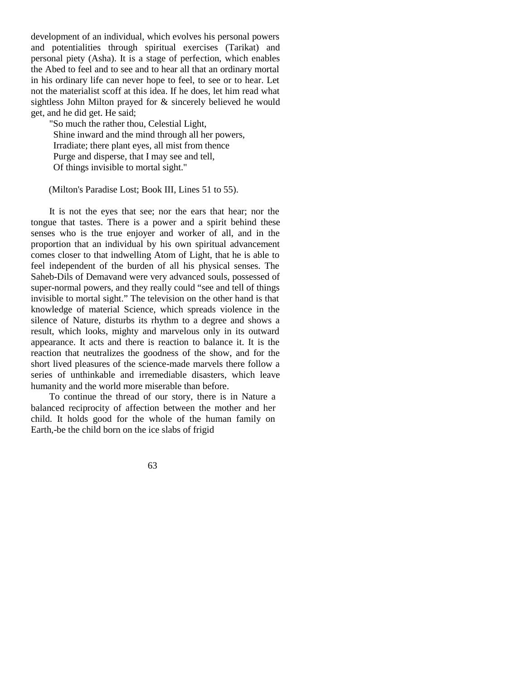development of an individual, which evolves his personal powers and potentialities through spiritual exercises (Tarikat) and personal piety (Asha). It is a stage of perfection, which enables the Abed to feel and to see and to hear all that an ordinary mortal in his ordinary life can never hope to feel, to see or to hear. Let not the materialist scoff at this idea. If he does, let him read what sightless John Milton prayed for & sincerely believed he would get, and he did get. He said;

"So much the rather thou, Celestial Light, Shine inward and the mind through all her powers, Irradiate; there plant eyes, all mist from thence Purge and disperse, that I may see and tell, Of things invisible to mortal sight."

(Milton's Paradise Lost; Book III, Lines 51 to 55).

It is not the eyes that see; nor the ears that hear; nor the tongue that tastes. There is a power and a spirit behind these senses who is the true enjoyer and worker of all, and in the proportion that an individual by his own spiritual advancement comes closer to that indwelling Atom of Light, that he is able to feel independent of the burden of all his physical senses. The Saheb-Dils of Demavand were very advanced souls, possessed of super-normal powers, and they really could "see and tell of things invisible to mortal sight." The television on the other hand is that knowledge of material Science, which spreads violence in the silence of Nature, disturbs its rhythm to a degree and shows a result, which looks, mighty and marvelous only in its outward appearance. It acts and there is reaction to balance it. It is the reaction that neutralizes the goodness of the show, and for the short lived pleasures of the science-made marvels there follow a series of unthinkable and irremediable disasters, which leave humanity and the world more miserable than before.

To continue the thread of our story, there is in Nature a balanced reciprocity of affection between the mother and her child. It holds good for the whole of the human family on Earth,-be the child born on the ice slabs of frigid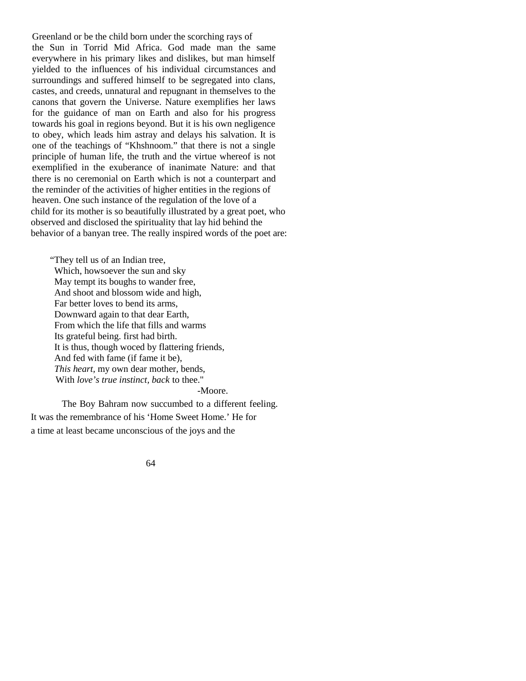Greenland or be the child born under the scorching rays of the Sun in Torrid Mid Africa. God made man the same everywhere in his primary likes and dislikes, but man himself yielded to the influences of his individual circumstances and surroundings and suffered himself to be segregated into clans, castes, and creeds, unnatural and repugnant in themselves to the canons that govern the Universe. Nature exemplifies her laws for the guidance of man on Earth and also for his progress towards his goal in regions beyond. But it is his own negligence to obey, which leads him astray and delays his salvation. It is one of the teachings of "Khshnoom." that there is not a single principle of human life, the truth and the virtue whereof is not exemplified in the exuberance of inanimate Nature: and that there is no ceremonial on Earth which is not a counterpart and the reminder of the activities of higher entities in the regions of heaven. One such instance of the regulation of the love of a child for its mother is so beautifully illustrated by a great poet, who observed and disclosed the spirituality that lay hid behind the behavior of a banyan tree. The really inspired words of the poet are:

"They tell us of an Indian tree, Which, howsoever the sun and sky May tempt its boughs to wander free, And shoot and blossom wide and high, Far better loves to bend its arms, Downward again to that dear Earth, From which the life that fills and warms Its grateful being. first had birth. It is thus, though woced by flattering friends, And fed with fame (if fame it be), *This heart,* my own dear mother, bends, With *love's true instinct, back* to thee."

-Moore.

The Boy Bahram now succumbed to a different feeling. It was the remembrance of his 'Home Sweet Home.' He for a time at least became unconscious of the joys and the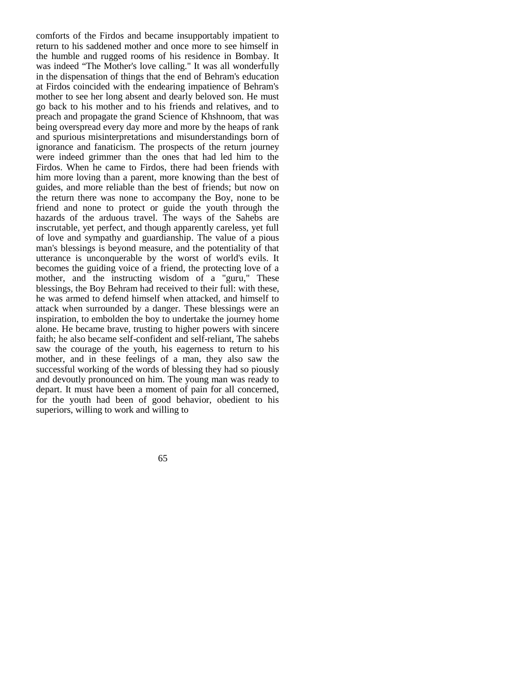comforts of the Firdos and became insupportably impatient to return to his saddened mother and once more to see himself in the humble and rugged rooms of his residence in Bombay. It was indeed "The Mother's love calling." It was all wonderfully in the dispensation of things that the end of Behram's education at Firdos coincided with the endearing impatience of Behram's mother to see her long absent and dearly beloved son. He must go back to his mother and to his friends and relatives, and to preach and propagate the grand Science of Khshnoom, that was being overspread every day more and more by the heaps of rank and spurious misinterpretations and misunderstandings born of ignorance and fanaticism. The prospects of the return journey were indeed grimmer than the ones that had led him to the Firdos. When he came to Firdos, there had been friends with him more loving than a parent, more knowing than the best of guides, and more reliable than the best of friends; but now on the return there was none to accompany the Boy, none to be friend and none to protect or guide the youth through the hazards of the arduous travel. The ways of the Sahebs are inscrutable, yet perfect, and though apparently careless, yet full of love and sympathy and guardianship. The value of a pious man's blessings is beyond measure, and the potentiality of that utterance is unconquerable by the worst of world's evils. It becomes the guiding voice of a friend, the protecting love of a mother, and the instructing wisdom of a "guru," These blessings, the Boy Behram had received to their full: with these, he was armed to defend himself when attacked, and himself to attack when surrounded by a danger. These blessings were an inspiration, to embolden the boy to undertake the journey home alone. He became brave, trusting to higher powers with sincere faith; he also became self-confident and self-reliant, The sahebs saw the courage of the youth, his eagerness to return to his mother, and in these feelings of a man, they also saw the successful working of the words of blessing they had so piously and devoutly pronounced on him. The young man was ready to depart. It must have been a moment of pain for all concerned, for the youth had been of good behavior, obedient to his superiors, willing to work and willing to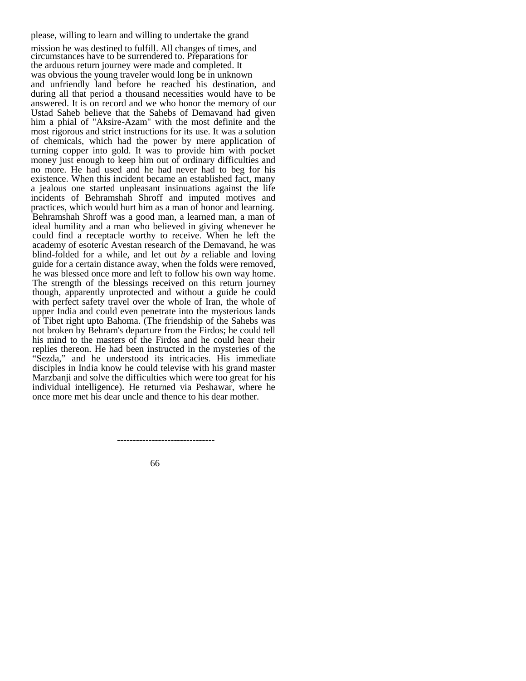please, willing to learn and willing to undertake the grand

mission he was destined to fulfill. All changes of times, and circumstances have to be surrendered to. Preparations for the arduous return journey were made and completed. It was obvious the young traveler would long be in unknown and unfriendly land before he reached his destination, and during all that period a thousand necessities would have to be answered. It is on record and we who honor the memory of our Ustad Saheb believe that the Sahebs of Demavand had given him a phial of "Aksire-Azam" with the most definite and the most rigorous and strict instructions for its use. It was a solution of chemicals, which had the power by mere application of turning copper into gold. It was to provide him with pocket money just enough to keep him out of ordinary difficulties and no more. He had used and he had never had to beg for his existence. When this incident became an established fact, many a jealous one started unpleasant insinuations against the life incidents of Behramshah Shroff and imputed motives and practices, which would hurt him as a man of honor and learning. Behramshah Shroff was a good man, a learned man, a man of ideal humility and a man who believed in giving whenever he could find a receptacle worthy to receive. When he left the academy of esoteric Avestan research of the Demavand, he was blind-folded for a while, and let out *by* a reliable and loving guide for a certain distance away, when the folds were removed, he was blessed once more and left to follow his own way home. The strength of the blessings received on this return journey though, apparently unprotected and without a guide he could with perfect safety travel over the whole of Iran, the whole of upper India and could even penetrate into the mysterious lands of Tibet right upto Bahoma. (The friendship of the Sahebs was not broken by Behram's departure from the Firdos; he could tell his mind to the masters of the Firdos and he could hear their replies thereon. He had been instructed in the mysteries of the "Sezda," and he understood its intricacies. His immediate disciples in India know he could televise with his grand master Marzbanji and solve the difficulties which were too great for his individual intelligence). He returned via Peshawar, where he once more met his dear uncle and thence to his dear mother.

 **-------------------------------**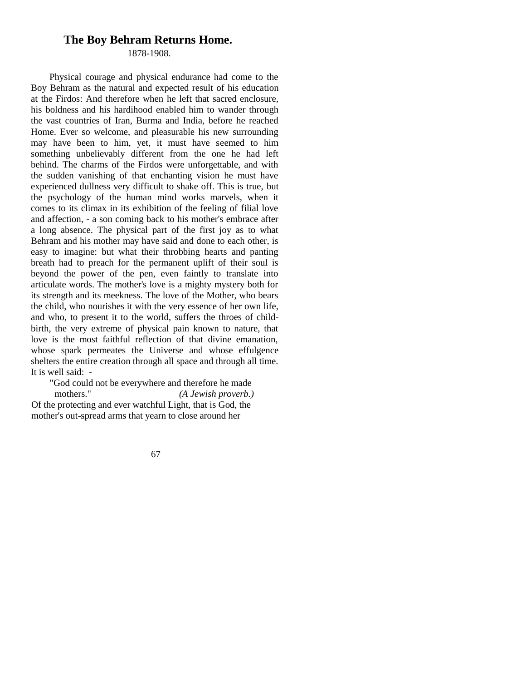### **The Boy Behram Returns Home.**

1878-1908.

Physical courage and physical endurance had come to the Boy Behram as the natural and expected result of his education at the Firdos: And therefore when he left that sacred enclosure, his boldness and his hardihood enabled him to wander through the vast countries of Iran, Burma and India, before he reached Home. Ever so welcome, and pleasurable his new surrounding may have been to him, yet, it must have seemed to him something unbelievably different from the one he had left behind. The charms of the Firdos were unforgettable, and with the sudden vanishing of that enchanting vision he must have experienced dullness very difficult to shake off. This is true, but the psychology of the human mind works marvels, when it comes to its climax in its exhibition of the feeling of filial love and affection, - a son coming back to his mother's embrace after a long absence. The physical part of the first joy as to what Behram and his mother may have said and done to each other, is easy to imagine: but what their throbbing hearts and panting breath had to preach for the permanent uplift of their soul is beyond the power of the pen, even faintly to translate into articulate words. The mother's love is a mighty mystery both for its strength and its meekness. The love of the Mother, who bears the child, who nourishes it with the very essence of her own life, and who, to present it to the world, suffers the throes of childbirth, the very extreme of physical pain known to nature, that love is the most faithful reflection of that divine emanation, whose spark permeates the Universe and whose effulgence shelters the entire creation through all space and through all time. It is well said: -

"God could not be everywhere and therefore he made mothers." *(A Jewish proverb.)* Of the protecting and ever watchful Light, that is God, the mother's out-spread arms that yearn to close around her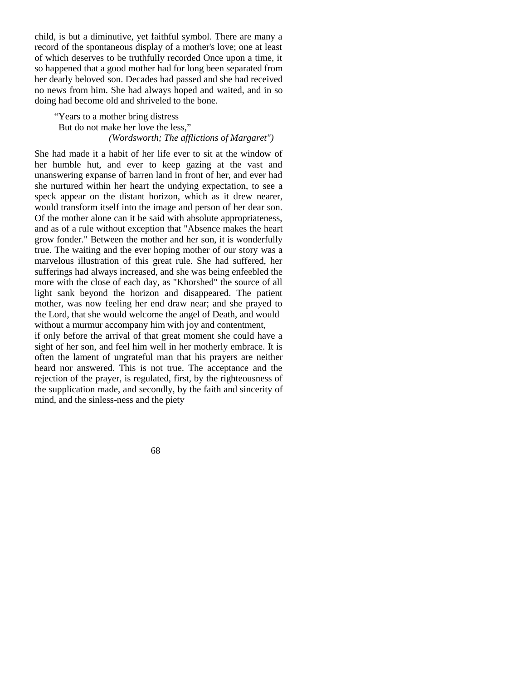child, is but a diminutive, yet faithful symbol. There are many a record of the spontaneous display of a mother's love; one at least of which deserves to be truthfully recorded Once upon a time, it so happened that a good mother had for long been separated from her dearly beloved son. Decades had passed and she had received no news from him. She had always hoped and waited, and in so doing had become old and shriveled to the bone.

"Years to a mother bring distress But do not make her love the less," *(Wordsworth; The afflictions of Margaret")*

She had made it a habit of her life ever to sit at the window of her humble hut, and ever to keep gazing at the vast and unanswering expanse of barren land in front of her, and ever had she nurtured within her heart the undying expectation, to see a speck appear on the distant horizon, which as it drew nearer, would transform itself into the image and person of her dear son. Of the mother alone can it be said with absolute appropriateness, and as of a rule without exception that "Absence makes the heart grow fonder." Between the mother and her son, it is wonderfully true. The waiting and the ever hoping mother of our story was a marvelous illustration of this great rule. She had suffered, her sufferings had always increased, and she was being enfeebled the more with the close of each day, as "Khorshed" the source of all light sank beyond the horizon and disappeared. The patient mother, was now feeling her end draw near; and she prayed to the Lord, that she would welcome the angel of Death, and would without a murmur accompany him with joy and contentment,

if only before the arrival of that great moment she could have a sight of her son, and feel him well in her motherly embrace. It is often the lament of ungrateful man that his prayers are neither heard nor answered. This is not true. The acceptance and the rejection of the prayer, is regulated, first, by the righteousness of the supplication made, and secondly, by the faith and sincerity of mind, and the sinless-ness and the piety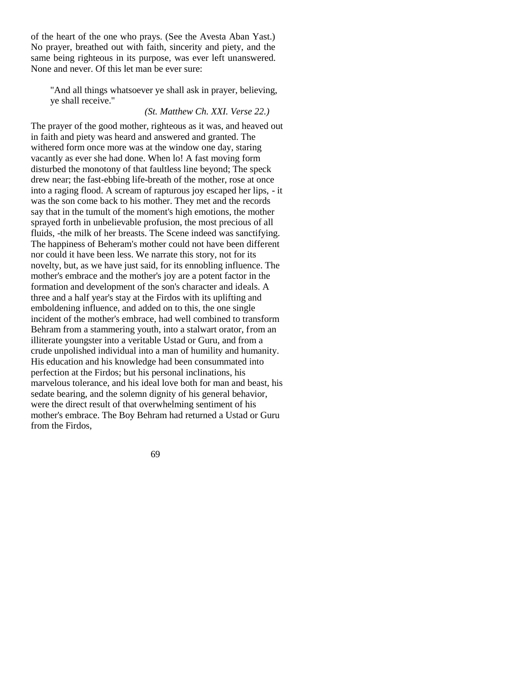of the heart of the one who prays. (See the Avesta Aban Yast.) No prayer, breathed out with faith, sincerity and piety, and the same being righteous in its purpose, was ever left unanswered. None and never. Of this let man be ever sure:

"And all things whatsoever ye shall ask in prayer, believing, ye shall receive."

#### *(St. Matthew Ch. XXI. Verse 22.)*

The prayer of the good mother, righteous as it was, and heaved out in faith and piety was heard and answered and granted. The withered form once more was at the window one day, staring vacantly as ever she had done. When lo! A fast moving form disturbed the monotony of that faultless line beyond; The speck drew near; the fast-ebbing life-breath of the mother, rose at once into a raging flood. A scream of rapturous joy escaped her lips, - it was the son come back to his mother. They met and the records say that in the tumult of the moment's high emotions, the mother sprayed forth in unbelievable profusion, the most precious of all fluids, -the milk of her breasts. The Scene indeed was sanctifying. The happiness of Beheram's mother could not have been different nor could it have been less. We narrate this story, not for its novelty, but, as we have just said, for its ennobling influence. The mother's embrace and the mother's joy are a potent factor in the formation and development of the son's character and ideals. A three and a half year's stay at the Firdos with its uplifting and emboldening influence, and added on to this, the one single incident of the mother's embrace, had well combined to transform Behram from a stammering youth, into a stalwart orator, from an illiterate youngster into a veritable Ustad or Guru, and from a crude unpolished individual into a man of humility and humanity. His education and his knowledge had been consummated into perfection at the Firdos; but his personal inclinations, his marvelous tolerance, and his ideal love both for man and beast, his sedate bearing, and the solemn dignity of his general behavior, were the direct result of that overwhelming sentiment of his mother's embrace. The Boy Behram had returned a Ustad or Guru from the Firdos,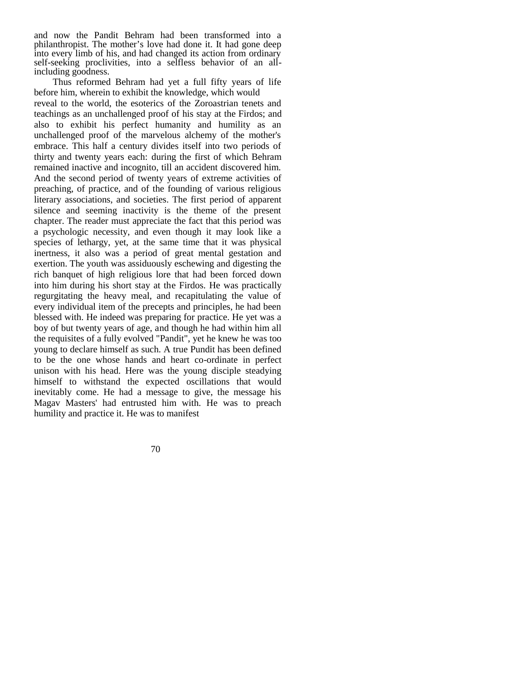and now the Pandit Behram had been transformed into a philanthropist. The mother's love had done it. It had gone deep into every limb of his, and had changed its action from ordinary self-seeking proclivities, into a selfless behavior of an allincluding goodness.

Thus reformed Behram had yet a full fifty years of life before him, wherein to exhibit the knowledge, which would reveal to the world, the esoterics of the Zoroastrian tenets and teachings as an unchallenged proof of his stay at the Firdos; and also to exhibit his perfect humanity and humility as an unchallenged proof of the marvelous alchemy of the mother's embrace. This half a century divides itself into two periods of thirty and twenty years each: during the first of which Behram remained inactive and incognito, till an accident discovered him. And the second period of twenty years of extreme activities of preaching, of practice, and of the founding of various religious literary associations, and societies. The first period of apparent silence and seeming inactivity is the theme of the present chapter. The reader must appreciate the fact that this period was a psychologic necessity, and even though it may look like a species of lethargy, yet, at the same time that it was physical inertness, it also was a period of great mental gestation and exertion. The youth was assiduously eschewing and digesting the rich banquet of high religious lore that had been forced down into him during his short stay at the Firdos. He was practically regurgitating the heavy meal, and recapitulating the value of every individual item of the precepts and principles, he had been blessed with. He indeed was preparing for practice. He yet was a boy of but twenty years of age, and though he had within him all the requisites of a fully evolved "Pandit", yet he knew he was too young to declare himself as such. A true Pundit has been defined to be the one whose hands and heart co-ordinate in perfect unison with his head. Here was the young disciple steadying himself to withstand the expected oscillations that would inevitably come. He had a message to give, the message his Magav Masters' had entrusted him with. He was to preach humility and practice it. He was to manifest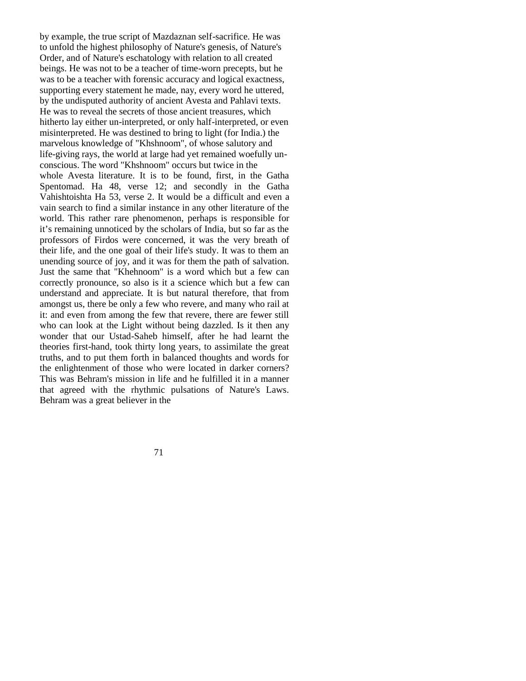by example, the true script of Mazdaznan self-sacrifice. He was to unfold the highest philosophy of Nature's genesis, of Nature's Order, and of Nature's eschatology with relation to all created beings. He was not to be a teacher of time-worn precepts, but he was to be a teacher with forensic accuracy and logical exactness, supporting every statement he made, nay, every word he uttered, by the undisputed authority of ancient Avesta and Pahlavi texts. He was to reveal the secrets of those ancient treasures, which hitherto lay either un-interpreted, or only half-interpreted, or even misinterpreted. He was destined to bring to light (for India.) the marvelous knowledge of "Khshnoom", of whose salutory and life-giving rays, the world at large had yet remained woefully unconscious. The word "Khshnoom" occurs but twice in the whole Avesta literature. It is to be found, first, in the Gatha Spentomad. Ha 48, verse 12; and secondly in the Gatha Vahishtoishta Ha 53, verse 2. It would be a difficult and even a vain search to find a similar instance in any other literature of the world. This rather rare phenomenon, perhaps is responsible for it's remaining unnoticed by the scholars of India, but so far as the professors of Firdos were concerned, it was the very breath of their life, and the one goal of their life's study. It was to them an unending source of joy, and it was for them the path of salvation. Just the same that "Khehnoom" is a word which but a few can correctly pronounce, so also is it a science which but a few can understand and appreciate. It is but natural therefore, that from amongst us, there be only a few who revere, and many who rail at it: and even from among the few that revere, there are fewer still who can look at the Light without being dazzled. Is it then any wonder that our Ustad-Saheb himself, after he had learnt the theories first-hand, took thirty long years, to assimilate the great truths, and to put them forth in balanced thoughts and words for the enlightenment of those who were located in darker corners? This was Behram's mission in life and he fulfilled it in a manner that agreed with the rhythmic pulsations of Nature's Laws. Behram was a great believer in the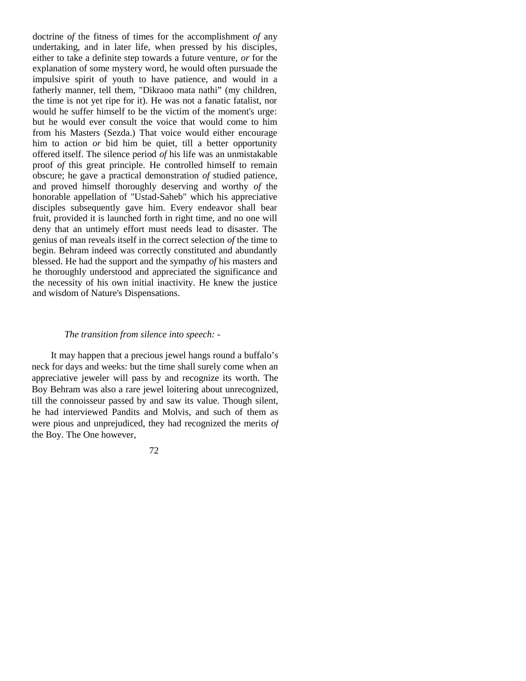doctrine o*f* the fitness of times for the accomplishment *of* any undertaking, and in later life, when pressed by his disciples, either to take a definite step towards a future venture, *or* for the explanation of some mystery word, he would often pursuade the impulsive spirit of youth to have patience, and would in a fatherly manner, tell them, "Dikraoo mata nathi" (my children, the time is not yet ripe for it). He was not a fanatic fatalist, nor would he suffer himself to be the victim of the moment's urge: but he would ever consult the voice that would come to him from his Masters (Sezda.) That voice would either encourage him to action *or* bid him be quiet, till a better opportunity offered itself. The silence period *of* his life was an unmistakable proof *of* this great principle. He controlled himself to remain obscure; he gave a practical demonstration *of* studied patience, and proved himself thoroughly deserving and worthy *of* the honorable appellation of "Ustad-Saheb" which his appreciative disciples subsequently gave him. Every endeavor shall bear fruit, provided it is launched forth in right time, and no one will deny that an untimely effort must needs lead to disaster. The genius of man reveals itself in the correct selection *of* the time to begin. Behram indeed was correctly constituted and abundantly blessed. He had the support and the sympathy *of* his masters and he thoroughly understood and appreciated the significance and the necessity of his own initial inactivity. He knew the justice and wisdom of Nature's Dispensations.

## *The transition from silence into speech: -*

It may happen that a precious jewel hangs round a buffalo's neck for days and weeks: but the time shall surely come when an appreciative jeweler will pass by and recognize its worth. The Boy Behram was also a rare jewel loitering about unrecognized, till the connoisseur passed by and saw its value. Though silent, he had interviewed Pandits and Molvis, and such of them as were pious and unprejudiced, they had recognized the merits *of*  the Boy. The One however,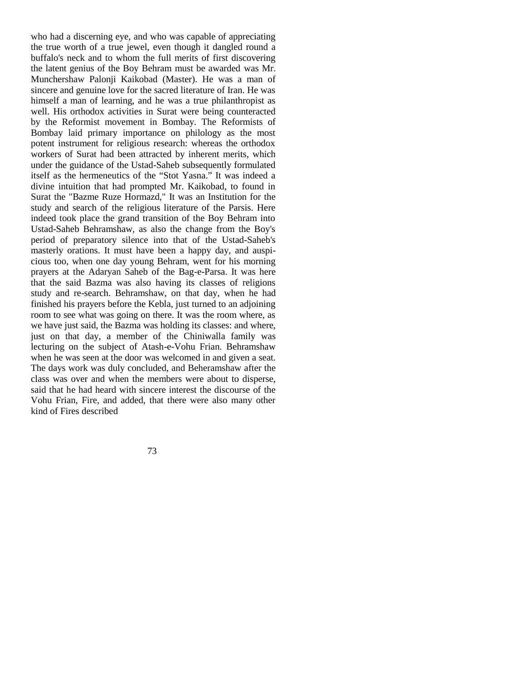who had a discerning eye, and who was capable of appreciating the true worth of a true jewel, even though it dangled round a buffalo's neck and to whom the full merits of first discovering the latent genius of the Boy Behram must be awarded was Mr. Munchershaw Palonji Kaikobad (Master). He was a man of sincere and genuine love for the sacred literature of Iran. He was himself a man of learning, and he was a true philanthropist as well. His orthodox activities in Surat were being counteracted by the Reformist movement in Bombay. The Reformists of Bombay laid primary importance on philology as the most potent instrument for religious research: whereas the orthodox workers of Surat had been attracted by inherent merits, which under the guidance of the Ustad-Saheb subsequently formulated itself as the hermeneutics of the "Stot Yasna." It was indeed a divine intuition that had prompted Mr. Kaikobad, to found in Surat the "Bazme Ruze Hormazd," It was an Institution for the study and search of the religious literature of the Parsis. Here indeed took place the grand transition of the Boy Behram into Ustad-Saheb Behramshaw, as also the change from the Boy's period of preparatory silence into that of the Ustad-Saheb's masterly orations. It must have been a happy day, and auspicious too, when one day young Behram, went for his morning prayers at the Adaryan Saheb of the Bag-e-Parsa. It was here that the said Bazma was also having its classes of religions study and re-search. Behramshaw, on that day, when he had finished his prayers before the Kebla, just turned to an adjoining room to see what was going on there. It was the room where, as we have just said, the Bazma was holding its classes: and where, just on that day, a member of the Chiniwalla family was lecturing on the subject of Atash-e-Vohu Frian. Behramshaw when he was seen at the door was welcomed in and given a seat. The days work was duly concluded, and Beheramshaw after the class was over and when the members were about to disperse, said that he had heard with sincere interest the discourse of the Vohu Frian, Fire, and added, that there were also many other kind of Fires described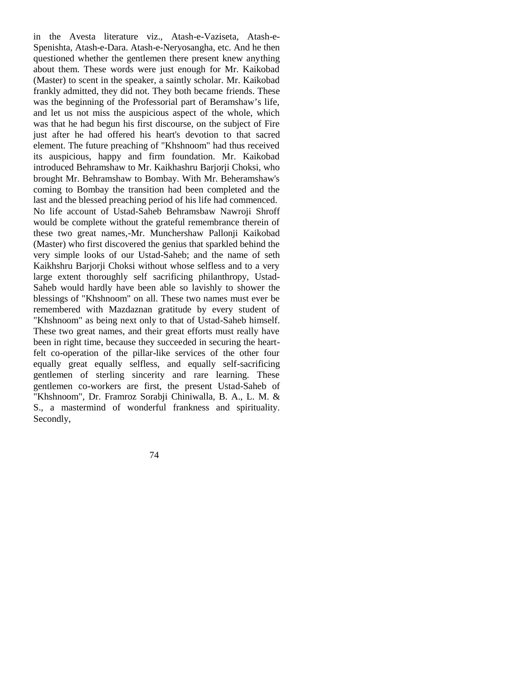in the Avesta literature viz., Atash-e-Vaziseta, Atash-e-Spenishta, Atash-e-Dara. Atash-e-Neryosangha, etc. And he then questioned whether the gentlemen there present knew anything about them. These words were just enough for Mr. Kaikobad (Master) to scent in the speaker, a saintly scholar. Mr. Kaikobad frankly admitted, they did not. They both became friends. These was the beginning of the Professorial part of Beramshaw's life, and let us not miss the auspicious aspect of the whole, which was that he had begun his first discourse, on the subject of Fire just after he had offered his heart's devotion to that sacred element. The future preaching of "Khshnoom" had thus received its auspicious, happy and firm foundation. Mr. Kaikobad introduced Behramshaw to Mr. Kaikhashru Barjorji Choksi, who brought Mr. Behramshaw to Bombay. With Mr. Beheramshaw's coming to Bombay the transition had been completed and the last and the blessed preaching period of his life had commenced. No life account of Ustad-Saheb Behramsbaw Nawroji Shroff would be complete without the grateful remembrance therein of these two great names,-Mr. Munchershaw Pallonji Kaikobad (Master) who first discovered the genius that sparkled behind the very simple looks of our Ustad-Saheb; and the name of seth Kaikhshru Barjorji Choksi without whose selfless and to a very large extent thoroughly self sacrificing philanthropy, Ustad-Saheb would hardly have been able so lavishly to shower the blessings of "Khshnoom" on all. These two names must ever be remembered with Mazdaznan gratitude by every student of "Khshnoom" as being next only to that of Ustad-Saheb himself. These two great names, and their great efforts must really have been in right time, because they succeeded in securing the heartfelt co-operation of the pillar-like services of the other four equally great equally selfless, and equally self-sacrificing gentlemen of sterling sincerity and rare learning. These gentlemen co-workers are first, the present Ustad-Saheb of "Khshnoom", Dr. Framroz Sorabji Chiniwalla, B. A., L. M. & S., a mastermind of wonderful frankness and spirituality. Secondly,